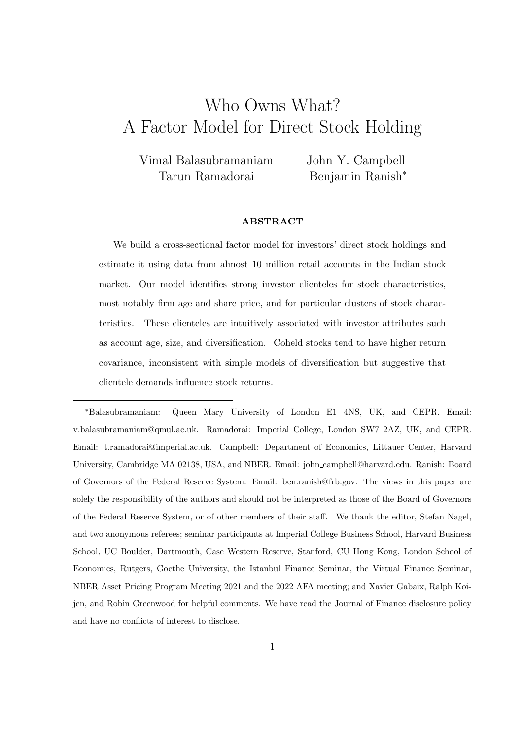# <span id="page-0-0"></span>Who Owns What? A Factor Model for Direct Stock Holding

Vimal Balasubramaniam Tarun Ramadorai

John Y. Campbell Benjamin Ranish<sup>∗</sup>

#### ABSTRACT

We build a cross-sectional factor model for investors' direct stock holdings and estimate it using data from almost 10 million retail accounts in the Indian stock market. Our model identifies strong investor clienteles for stock characteristics, most notably firm age and share price, and for particular clusters of stock characteristics. These clienteles are intuitively associated with investor attributes such as account age, size, and diversification. Coheld stocks tend to have higher return covariance, inconsistent with simple models of diversification but suggestive that clientele demands influence stock returns.

<sup>∗</sup>Balasubramaniam: Queen Mary University of London E1 4NS, UK, and CEPR. Email: v.balasubramaniam@qmul.ac.uk. Ramadorai: Imperial College, London SW7 2AZ, UK, and CEPR. Email: t.ramadorai@imperial.ac.uk. Campbell: Department of Economics, Littauer Center, Harvard University, Cambridge MA 02138, USA, and NBER. Email: john campbell@harvard.edu. Ranish: Board of Governors of the Federal Reserve System. Email: ben.ranish@frb.gov. The views in this paper are solely the responsibility of the authors and should not be interpreted as those of the Board of Governors of the Federal Reserve System, or of other members of their staff. We thank the editor, Stefan Nagel, and two anonymous referees; seminar participants at Imperial College Business School, Harvard Business School, UC Boulder, Dartmouth, Case Western Reserve, Stanford, CU Hong Kong, London School of Economics, Rutgers, Goethe University, the Istanbul Finance Seminar, the Virtual Finance Seminar, NBER Asset Pricing Program Meeting 2021 and the 2022 AFA meeting; and Xavier Gabaix, Ralph Koijen, and Robin Greenwood for helpful comments. We have read the Journal of Finance disclosure policy and have no conflicts of interest to disclose.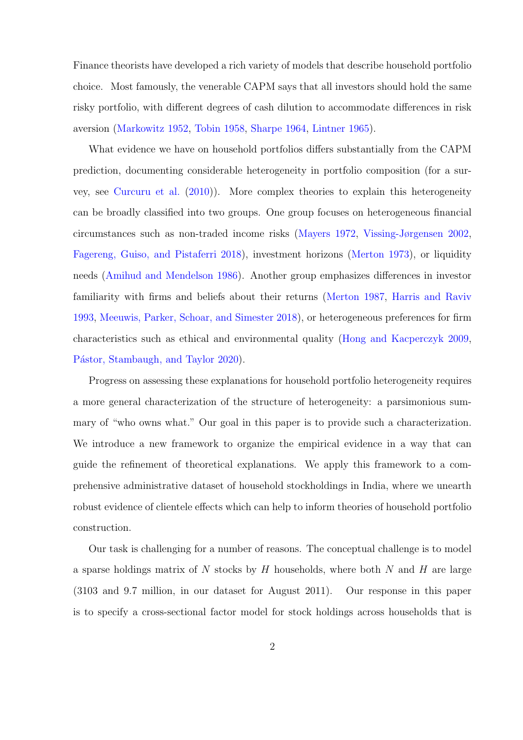Finance theorists have developed a rich variety of models that describe household portfolio choice. Most famously, the venerable CAPM says that all investors should hold the same risky portfolio, with different degrees of cash dilution to accommodate differences in risk aversion [\(Markowitz](#page-53-0) [1952,](#page-53-0) [Tobin](#page-54-0) [1958,](#page-54-0) [Sharpe](#page-54-1) [1964,](#page-54-1) [Lintner](#page-53-1) [1965\)](#page-53-1).

What evidence we have on household portfolios differs substantially from the CAPM prediction, documenting considerable heterogeneity in portfolio composition (for a survey, see [Curcuru et al.](#page-51-0) [\(2010\)](#page-51-0)). More complex theories to explain this heterogeneity can be broadly classified into two groups. One group focuses on heterogeneous financial circumstances such as non-traded income risks [\(Mayers](#page-53-2) [1972,](#page-53-2) [Vissing-Jørgensen](#page-55-0) [2002,](#page-55-0) [Fagereng, Guiso, and Pistaferri](#page-51-1) [2018\)](#page-51-1), investment horizons [\(Merton](#page-54-2) [1973\)](#page-54-2), or liquidity needs [\(Amihud and Mendelson](#page-49-0) [1986\)](#page-49-0). Another group emphasizes differences in investor familiarity with firms and beliefs about their returns [\(Merton](#page-54-3) [1987,](#page-54-3) [Harris and Raviv](#page-52-0) [1993,](#page-52-0) [Meeuwis, Parker, Schoar, and Simester](#page-54-4) [2018\)](#page-54-4), or heterogeneous preferences for firm characteristics such as ethical and environmental quality [\(Hong and Kacperczyk](#page-52-1) [2009,](#page-52-1) Pástor, Stambaugh, and Taylor [2020\)](#page-54-5).

Progress on assessing these explanations for household portfolio heterogeneity requires a more general characterization of the structure of heterogeneity: a parsimonious summary of "who owns what." Our goal in this paper is to provide such a characterization. We introduce a new framework to organize the empirical evidence in a way that can guide the refinement of theoretical explanations. We apply this framework to a comprehensive administrative dataset of household stockholdings in India, where we unearth robust evidence of clientele effects which can help to inform theories of household portfolio construction.

Our task is challenging for a number of reasons. The conceptual challenge is to model a sparse holdings matrix of  $N$  stocks by  $H$  households, where both  $N$  and  $H$  are large (3103 and 9.7 million, in our dataset for August 2011). Our response in this paper is to specify a cross-sectional factor model for stock holdings across households that is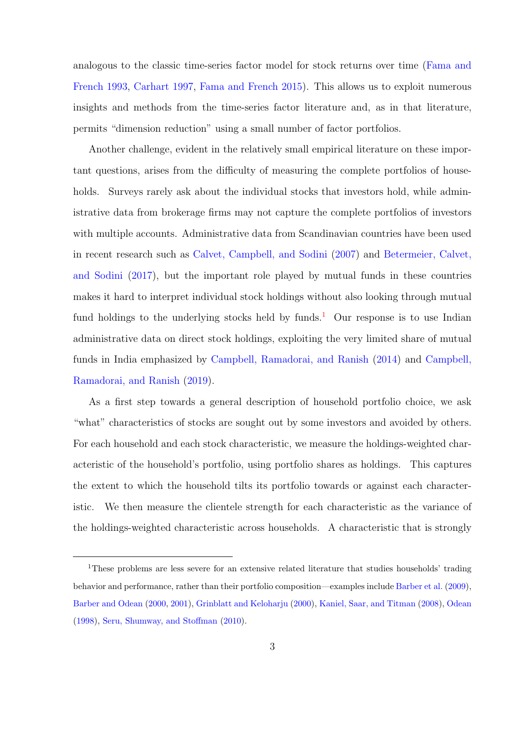analogous to the classic time-series factor model for stock returns over time [\(Fama and](#page-51-2) [French](#page-51-2) [1993,](#page-51-2) [Carhart](#page-51-3) [1997,](#page-51-3) [Fama and French](#page-52-2) [2015\)](#page-52-2). This allows us to exploit numerous insights and methods from the time-series factor literature and, as in that literature, permits "dimension reduction" using a small number of factor portfolios.

Another challenge, evident in the relatively small empirical literature on these important questions, arises from the difficulty of measuring the complete portfolios of households. Surveys rarely ask about the individual stocks that investors hold, while administrative data from brokerage firms may not capture the complete portfolios of investors with multiple accounts. Administrative data from Scandinavian countries have been used in recent research such as [Calvet, Campbell, and Sodini](#page-50-0) [\(2007\)](#page-50-0) and [Betermeier, Calvet,](#page-50-1) [and Sodini](#page-50-1) [\(2017\)](#page-50-1), but the important role played by mutual funds in these countries makes it hard to interpret individual stock holdings without also looking through mutual fund holdings to the underlying stocks held by funds.<sup>[1](#page-0-0)</sup> Our response is to use Indian administrative data on direct stock holdings, exploiting the very limited share of mutual funds in India emphasized by [Campbell, Ramadorai, and Ranish](#page-50-2) [\(2014\)](#page-50-2) and [Campbell,](#page-50-3) [Ramadorai, and Ranish](#page-50-3) [\(2019\)](#page-50-3).

As a first step towards a general description of household portfolio choice, we ask "what" characteristics of stocks are sought out by some investors and avoided by others. For each household and each stock characteristic, we measure the holdings-weighted characteristic of the household's portfolio, using portfolio shares as holdings. This captures the extent to which the household tilts its portfolio towards or against each characteristic. We then measure the clientele strength for each characteristic as the variance of the holdings-weighted characteristic across households. A characteristic that is strongly

<sup>1</sup>These problems are less severe for an extensive related literature that studies households' trading behavior and performance, rather than their portfolio composition—examples include [Barber et al.](#page-50-4) [\(2009\)](#page-50-4), [Barber and Odean](#page-50-5) [\(2000,](#page-50-5) [2001\)](#page-50-6), [Grinblatt and Keloharju](#page-52-3) [\(2000\)](#page-52-3), [Kaniel, Saar, and Titman](#page-52-4) [\(2008\)](#page-52-4), [Odean](#page-54-6) [\(1998\)](#page-54-6), [Seru, Shumway, and Stoffman](#page-54-7) [\(2010\)](#page-54-7).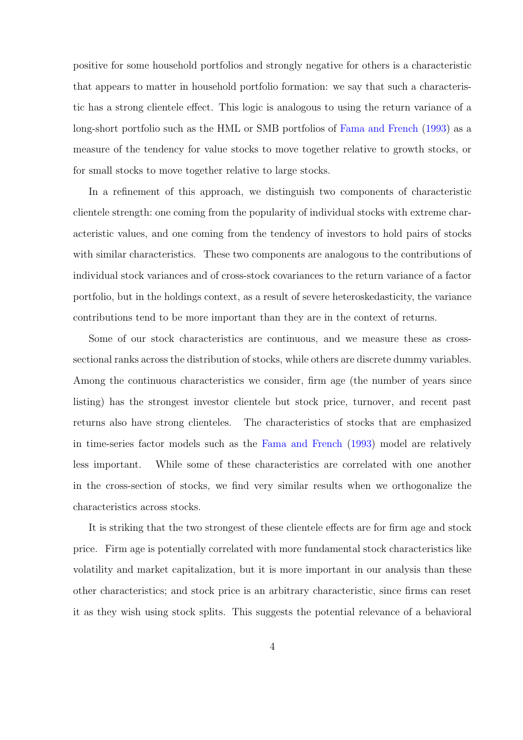positive for some household portfolios and strongly negative for others is a characteristic that appears to matter in household portfolio formation: we say that such a characteristic has a strong clientele effect. This logic is analogous to using the return variance of a long-short portfolio such as the HML or SMB portfolios of [Fama and French](#page-51-2) [\(1993\)](#page-51-2) as a measure of the tendency for value stocks to move together relative to growth stocks, or for small stocks to move together relative to large stocks.

In a refinement of this approach, we distinguish two components of characteristic clientele strength: one coming from the popularity of individual stocks with extreme characteristic values, and one coming from the tendency of investors to hold pairs of stocks with similar characteristics. These two components are analogous to the contributions of individual stock variances and of cross-stock covariances to the return variance of a factor portfolio, but in the holdings context, as a result of severe heteroskedasticity, the variance contributions tend to be more important than they are in the context of returns.

Some of our stock characteristics are continuous, and we measure these as crosssectional ranks across the distribution of stocks, while others are discrete dummy variables. Among the continuous characteristics we consider, firm age (the number of years since listing) has the strongest investor clientele but stock price, turnover, and recent past returns also have strong clienteles. The characteristics of stocks that are emphasized in time-series factor models such as the [Fama and French](#page-51-2) [\(1993\)](#page-51-2) model are relatively less important. While some of these characteristics are correlated with one another in the cross-section of stocks, we find very similar results when we orthogonalize the characteristics across stocks.

It is striking that the two strongest of these clientele effects are for firm age and stock price. Firm age is potentially correlated with more fundamental stock characteristics like volatility and market capitalization, but it is more important in our analysis than these other characteristics; and stock price is an arbitrary characteristic, since firms can reset it as they wish using stock splits. This suggests the potential relevance of a behavioral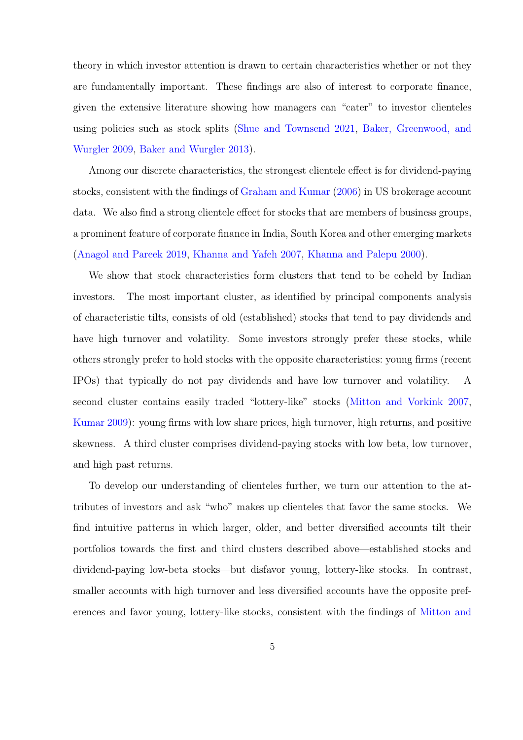theory in which investor attention is drawn to certain characteristics whether or not they are fundamentally important. These findings are also of interest to corporate finance, given the extensive literature showing how managers can "cater" to investor clienteles using policies such as stock splits [\(Shue and Townsend](#page-54-8) [2021,](#page-54-8) [Baker, Greenwood, and](#page-49-1) [Wurgler](#page-49-1) [2009,](#page-49-1) [Baker and Wurgler](#page-49-2) [2013\)](#page-49-2).

Among our discrete characteristics, the strongest clientele effect is for dividend-paying stocks, consistent with the findings of [Graham and Kumar](#page-52-5) [\(2006\)](#page-52-5) in US brokerage account data. We also find a strong clientele effect for stocks that are members of business groups, a prominent feature of corporate finance in India, South Korea and other emerging markets [\(Anagol and Pareek](#page-49-3) [2019,](#page-49-3) [Khanna and Yafeh](#page-53-3) [2007,](#page-53-3) [Khanna and Palepu](#page-52-6) [2000\)](#page-52-6).

We show that stock characteristics form clusters that tend to be coheld by Indian investors. The most important cluster, as identified by principal components analysis of characteristic tilts, consists of old (established) stocks that tend to pay dividends and have high turnover and volatility. Some investors strongly prefer these stocks, while others strongly prefer to hold stocks with the opposite characteristics: young firms (recent IPOs) that typically do not pay dividends and have low turnover and volatility. A second cluster contains easily traded "lottery-like" stocks [\(Mitton and Vorkink](#page-54-9) [2007,](#page-54-9) [Kumar](#page-53-4) [2009\)](#page-53-4): young firms with low share prices, high turnover, high returns, and positive skewness. A third cluster comprises dividend-paying stocks with low beta, low turnover, and high past returns.

To develop our understanding of clienteles further, we turn our attention to the attributes of investors and ask "who" makes up clienteles that favor the same stocks. We find intuitive patterns in which larger, older, and better diversified accounts tilt their portfolios towards the first and third clusters described above—established stocks and dividend-paying low-beta stocks—but disfavor young, lottery-like stocks. In contrast, smaller accounts with high turnover and less diversified accounts have the opposite preferences and favor young, lottery-like stocks, consistent with the findings of [Mitton and](#page-54-9)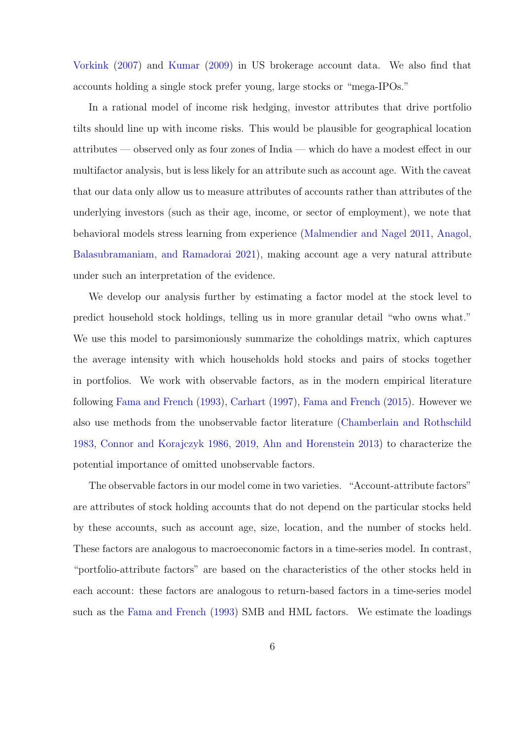[Vorkink](#page-54-9) [\(2007\)](#page-54-9) and [Kumar](#page-53-4) [\(2009\)](#page-53-4) in US brokerage account data. We also find that accounts holding a single stock prefer young, large stocks or "mega-IPOs."

In a rational model of income risk hedging, investor attributes that drive portfolio tilts should line up with income risks. This would be plausible for geographical location attributes — observed only as four zones of India — which do have a modest effect in our multifactor analysis, but is less likely for an attribute such as account age. With the caveat that our data only allow us to measure attributes of accounts rather than attributes of the underlying investors (such as their age, income, or sector of employment), we note that behavioral models stress learning from experience [\(Malmendier and Nagel](#page-53-5) [2011,](#page-53-5) [Anagol,](#page-49-4) [Balasubramaniam, and Ramadorai](#page-49-4) [2021\)](#page-49-4), making account age a very natural attribute under such an interpretation of the evidence.

We develop our analysis further by estimating a factor model at the stock level to predict household stock holdings, telling us in more granular detail "who owns what." We use this model to parsimoniously summarize the coholdings matrix, which captures the average intensity with which households hold stocks and pairs of stocks together in portfolios. We work with observable factors, as in the modern empirical literature following [Fama and French](#page-51-2) [\(1993\)](#page-51-2), [Carhart](#page-51-3) [\(1997\)](#page-51-3), [Fama and French](#page-52-2) [\(2015\)](#page-52-2). However we also use methods from the unobservable factor literature [\(Chamberlain and Rothschild](#page-51-4) [1983,](#page-51-4) [Connor and Korajczyk](#page-51-5) [1986,](#page-51-5) [2019,](#page-51-6) [Ahn and Horenstein](#page-49-5) [2013\)](#page-49-5) to characterize the potential importance of omitted unobservable factors.

The observable factors in our model come in two varieties. "Account-attribute factors" are attributes of stock holding accounts that do not depend on the particular stocks held by these accounts, such as account age, size, location, and the number of stocks held. These factors are analogous to macroeconomic factors in a time-series model. In contrast, "portfolio-attribute factors" are based on the characteristics of the other stocks held in each account: these factors are analogous to return-based factors in a time-series model such as the [Fama and French](#page-51-2) [\(1993\)](#page-51-2) SMB and HML factors. We estimate the loadings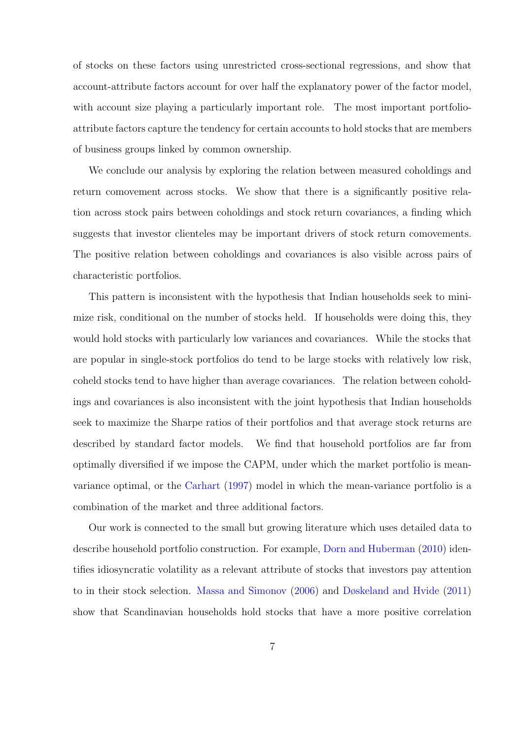of stocks on these factors using unrestricted cross-sectional regressions, and show that account-attribute factors account for over half the explanatory power of the factor model, with account size playing a particularly important role. The most important portfolioattribute factors capture the tendency for certain accounts to hold stocks that are members of business groups linked by common ownership.

We conclude our analysis by exploring the relation between measured coholdings and return comovement across stocks. We show that there is a significantly positive relation across stock pairs between coholdings and stock return covariances, a finding which suggests that investor clienteles may be important drivers of stock return comovements. The positive relation between coholdings and covariances is also visible across pairs of characteristic portfolios.

This pattern is inconsistent with the hypothesis that Indian households seek to minimize risk, conditional on the number of stocks held. If households were doing this, they would hold stocks with particularly low variances and covariances. While the stocks that are popular in single-stock portfolios do tend to be large stocks with relatively low risk, coheld stocks tend to have higher than average covariances. The relation between coholdings and covariances is also inconsistent with the joint hypothesis that Indian households seek to maximize the Sharpe ratios of their portfolios and that average stock returns are described by standard factor models. We find that household portfolios are far from optimally diversified if we impose the CAPM, under which the market portfolio is meanvariance optimal, or the [Carhart](#page-51-3) [\(1997\)](#page-51-3) model in which the mean-variance portfolio is a combination of the market and three additional factors.

Our work is connected to the small but growing literature which uses detailed data to describe household portfolio construction. For example, [Dorn and Huberman](#page-51-7) [\(2010\)](#page-51-7) identifies idiosyncratic volatility as a relevant attribute of stocks that investors pay attention to in their stock selection. [Massa and Simonov](#page-53-6) [\(2006\)](#page-53-6) and [Døskeland and Hvide](#page-51-8) [\(2011\)](#page-51-8) show that Scandinavian households hold stocks that have a more positive correlation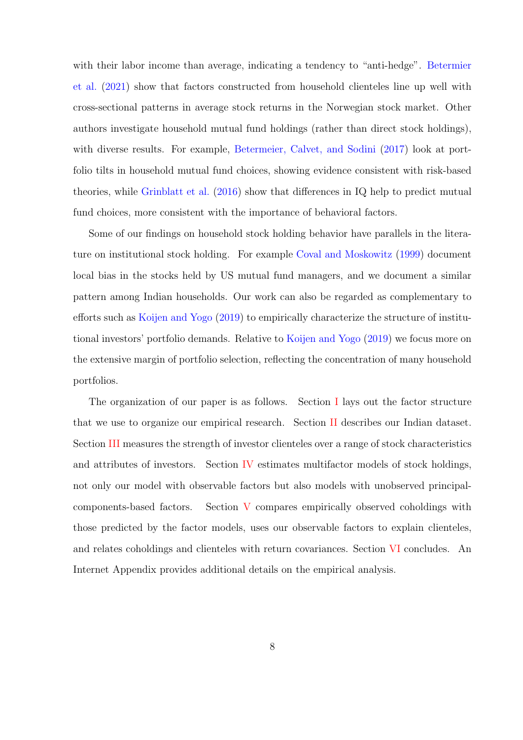with their labor income than average, indicating a tendency to "anti-hedge". [Betermier](#page-50-7) [et al.](#page-50-7) [\(2021\)](#page-50-7) show that factors constructed from household clienteles line up well with cross-sectional patterns in average stock returns in the Norwegian stock market. Other authors investigate household mutual fund holdings (rather than direct stock holdings), with diverse results. For example, [Betermeier, Calvet, and Sodini](#page-50-1) [\(2017\)](#page-50-1) look at portfolio tilts in household mutual fund choices, showing evidence consistent with risk-based theories, while [Grinblatt et al.](#page-52-7) [\(2016\)](#page-52-7) show that differences in IQ help to predict mutual fund choices, more consistent with the importance of behavioral factors.

Some of our findings on household stock holding behavior have parallels in the literature on institutional stock holding. For example [Coval and Moskowitz](#page-51-9) [\(1999\)](#page-51-9) document local bias in the stocks held by US mutual fund managers, and we document a similar pattern among Indian households. Our work can also be regarded as complementary to efforts such as [Koijen and Yogo](#page-53-7) [\(2019\)](#page-53-7) to empirically characterize the structure of institutional investors' portfolio demands. Relative to [Koijen and Yogo](#page-53-7) [\(2019\)](#page-53-7) we focus more on the extensive margin of portfolio selection, reflecting the concentration of many household portfolios.

<span id="page-7-0"></span>The organization of our paper is as follows. Section [I](#page-7-0) lays out the factor structure that we use to organize our empirical research. Section [II](#page-14-0) describes our Indian dataset. Section [III](#page-22-0) measures the strength of investor clienteles over a range of stock characteristics and attributes of investors. Section [IV](#page-32-0) estimates multifactor models of stock holdings, not only our model with observable factors but also models with unobserved principalcomponents-based factors. Section [V](#page-41-0) compares empirically observed coholdings with those predicted by the factor models, uses our observable factors to explain clienteles, and relates coholdings and clienteles with return covariances. Section [VI](#page-46-0) concludes. An Internet Appendix provides additional details on the empirical analysis.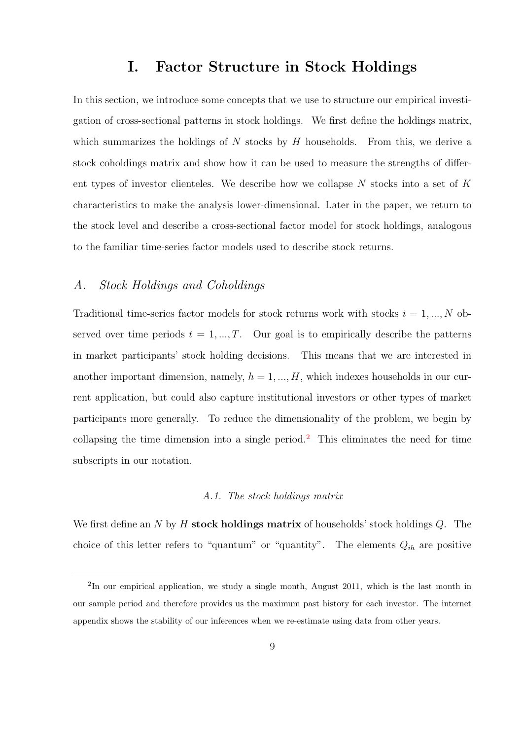## I. Factor Structure in Stock Holdings

In this section, we introduce some concepts that we use to structure our empirical investigation of cross-sectional patterns in stock holdings. We first define the holdings matrix, which summarizes the holdings of  $N$  stocks by  $H$  households. From this, we derive a stock coholdings matrix and show how it can be used to measure the strengths of different types of investor clienteles. We describe how we collapse  $N$  stocks into a set of  $K$ characteristics to make the analysis lower-dimensional. Later in the paper, we return to the stock level and describe a cross-sectional factor model for stock holdings, analogous to the familiar time-series factor models used to describe stock returns.

## A. Stock Holdings and Coholdings

Traditional time-series factor models for stock returns work with stocks  $i = 1, ..., N$  observed over time periods  $t = 1, ..., T$ . Our goal is to empirically describe the patterns in market participants' stock holding decisions. This means that we are interested in another important dimension, namely,  $h = 1, ..., H$ , which indexes households in our current application, but could also capture institutional investors or other types of market participants more generally. To reduce the dimensionality of the problem, we begin by collapsing the time dimension into a single period.<sup>[2](#page-0-0)</sup> This eliminates the need for time subscripts in our notation.

#### A.1. The stock holdings matrix

We first define an N by H stock holdings matrix of households' stock holdings  $Q$ . The choice of this letter refers to "quantum" or "quantity". The elements  $Q_{ih}$  are positive

<sup>&</sup>lt;sup>2</sup>In our empirical application, we study a single month, August 2011, which is the last month in our sample period and therefore provides us the maximum past history for each investor. The internet appendix shows the stability of our inferences when we re-estimate using data from other years.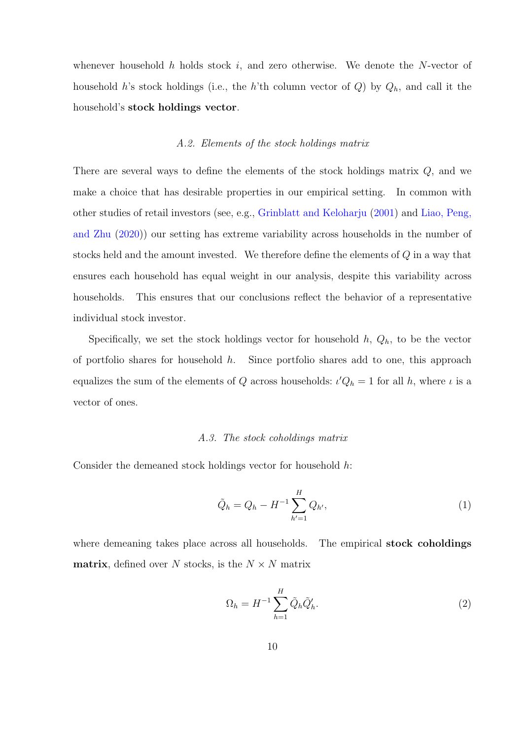whenever household h holds stock i, and zero otherwise. We denote the N-vector of household h's stock holdings (i.e., the h'th column vector of  $Q$ ) by  $Q_h$ , and call it the household's stock holdings vector.

#### A.2. Elements of the stock holdings matrix

There are several ways to define the elements of the stock holdings matrix Q, and we make a choice that has desirable properties in our empirical setting. In common with other studies of retail investors (see, e.g., [Grinblatt and Keloharju](#page-52-8) [\(2001\)](#page-52-8) and [Liao, Peng,](#page-53-8) [and Zhu](#page-53-8) [\(2020\)](#page-53-8)) our setting has extreme variability across households in the number of stocks held and the amount invested. We therefore define the elements of  $Q$  in a way that ensures each household has equal weight in our analysis, despite this variability across households. This ensures that our conclusions reflect the behavior of a representative individual stock investor.

Specifically, we set the stock holdings vector for household  $h, Q_h$ , to be the vector of portfolio shares for household  $h$ . Since portfolio shares add to one, this approach equalizes the sum of the elements of Q across households:  $\iota'Q_h = 1$  for all h, where  $\iota$  is a vector of ones.

#### A.3. The stock coholdings matrix

Consider the demeaned stock holdings vector for household h:

<span id="page-9-0"></span>
$$
\tilde{Q}_h = Q_h - H^{-1} \sum_{h'=1}^H Q_{h'},\tag{1}
$$

where demeaning takes place across all households. The empirical **stock coholdings matrix**, defined over N stocks, is the  $N \times N$  matrix

$$
\Omega_h = H^{-1} \sum_{h=1}^H \tilde{Q}_h \tilde{Q}'_h.
$$
\n(2)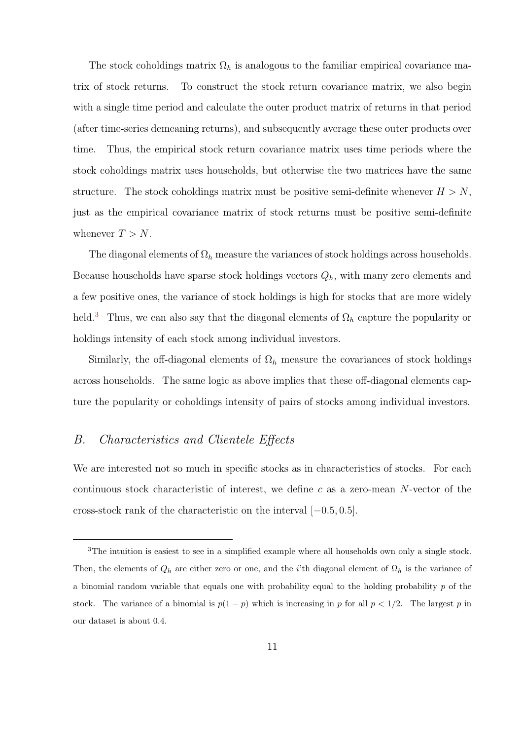The stock coholdings matrix  $\Omega_h$  is analogous to the familiar empirical covariance matrix of stock returns. To construct the stock return covariance matrix, we also begin with a single time period and calculate the outer product matrix of returns in that period (after time-series demeaning returns), and subsequently average these outer products over time. Thus, the empirical stock return covariance matrix uses time periods where the stock coholdings matrix uses households, but otherwise the two matrices have the same structure. The stock coholdings matrix must be positive semi-definite whenever  $H > N$ , just as the empirical covariance matrix of stock returns must be positive semi-definite whenever  $T > N$ .

The diagonal elements of  $\Omega_h$  measure the variances of stock holdings across households. Because households have sparse stock holdings vectors  $Q_h$ , with many zero elements and a few positive ones, the variance of stock holdings is high for stocks that are more widely held.<sup>[3](#page-0-0)</sup> Thus, we can also say that the diagonal elements of  $\Omega_h$  capture the popularity or holdings intensity of each stock among individual investors.

Similarly, the off-diagonal elements of  $\Omega_h$  measure the covariances of stock holdings across households. The same logic as above implies that these off-diagonal elements capture the popularity or coholdings intensity of pairs of stocks among individual investors.

## B. Characteristics and Clientele Effects

We are interested not so much in specific stocks as in characteristics of stocks. For each continuous stock characteristic of interest, we define c as a zero-mean  $N$ -vector of the cross-stock rank of the characteristic on the interval [−0.5, 0.5].

<sup>3</sup>The intuition is easiest to see in a simplified example where all households own only a single stock. Then, the elements of  $Q_h$  are either zero or one, and the *i*'th diagonal element of  $\Omega_h$  is the variance of a binomial random variable that equals one with probability equal to the holding probability p of the stock. The variance of a binomial is  $p(1-p)$  which is increasing in p for all  $p < 1/2$ . The largest p in our dataset is about 0.4.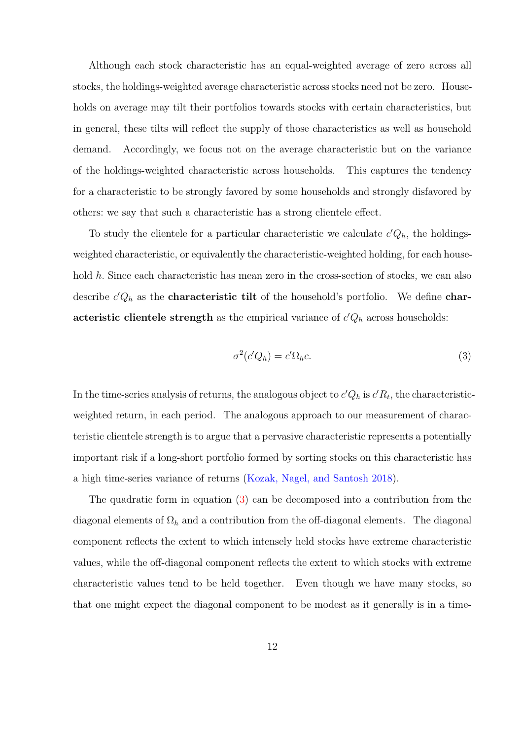Although each stock characteristic has an equal-weighted average of zero across all stocks, the holdings-weighted average characteristic across stocks need not be zero. Households on average may tilt their portfolios towards stocks with certain characteristics, but in general, these tilts will reflect the supply of those characteristics as well as household demand. Accordingly, we focus not on the average characteristic but on the variance of the holdings-weighted characteristic across households. This captures the tendency for a characteristic to be strongly favored by some households and strongly disfavored by others: we say that such a characteristic has a strong clientele effect.

To study the clientele for a particular characteristic we calculate  $c'Q_h$ , the holdingsweighted characteristic, or equivalently the characteristic-weighted holding, for each household h. Since each characteristic has mean zero in the cross-section of stocks, we can also describe  $c'Q_h$  as the **characteristic tilt** of the household's portfolio. We define **char**acteristic clientele strength as the empirical variance of  $c'Q_h$  across households:

<span id="page-11-0"></span>
$$
\sigma^2(c'Q_h) = c'\Omega_h c. \tag{3}
$$

In the time-series analysis of returns, the analogous object to  $c'Q_h$  is  $c'R_t$ , the characteristicweighted return, in each period. The analogous approach to our measurement of characteristic clientele strength is to argue that a pervasive characteristic represents a potentially important risk if a long-short portfolio formed by sorting stocks on this characteristic has a high time-series variance of returns [\(Kozak, Nagel, and Santosh](#page-53-9) [2018\)](#page-53-9).

The quadratic form in equation [\(3\)](#page-11-0) can be decomposed into a contribution from the diagonal elements of  $\Omega_h$  and a contribution from the off-diagonal elements. The diagonal component reflects the extent to which intensely held stocks have extreme characteristic values, while the off-diagonal component reflects the extent to which stocks with extreme characteristic values tend to be held together. Even though we have many stocks, so that one might expect the diagonal component to be modest as it generally is in a time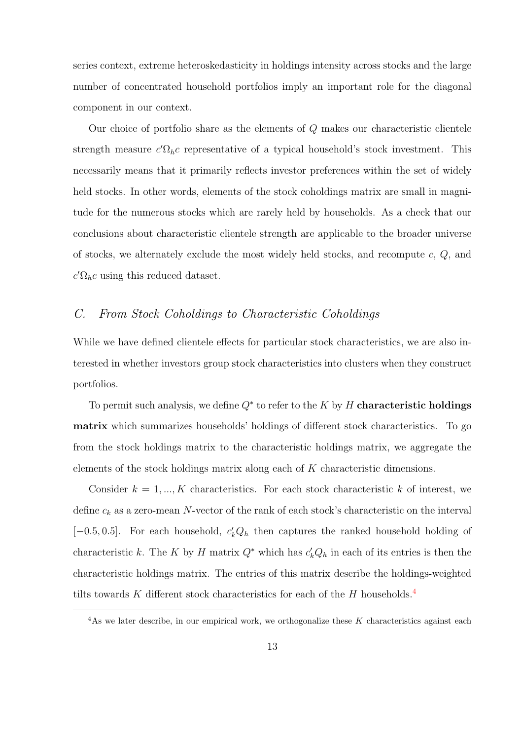series context, extreme heteroskedasticity in holdings intensity across stocks and the large number of concentrated household portfolios imply an important role for the diagonal component in our context.

Our choice of portfolio share as the elements of Q makes our characteristic clientele strength measure  $c'\Omega_h c$  representative of a typical household's stock investment. This necessarily means that it primarily reflects investor preferences within the set of widely held stocks. In other words, elements of the stock coholdings matrix are small in magnitude for the numerous stocks which are rarely held by households. As a check that our conclusions about characteristic clientele strength are applicable to the broader universe of stocks, we alternately exclude the most widely held stocks, and recompute  $c, Q$ , and  $c'\Omega_h c$  using this reduced dataset.

## C. From Stock Coholdings to Characteristic Coholdings

While we have defined clientele effects for particular stock characteristics, we are also interested in whether investors group stock characteristics into clusters when they construct portfolios.

To permit such analysis, we define  $Q^*$  to refer to the K by H characteristic holdings matrix which summarizes households' holdings of different stock characteristics. To go from the stock holdings matrix to the characteristic holdings matrix, we aggregate the elements of the stock holdings matrix along each of K characteristic dimensions.

Consider  $k = 1, ..., K$  characteristics. For each stock characteristic k of interest, we define  $c_k$  as a zero-mean N-vector of the rank of each stock's characteristic on the interval [-0.5, 0.5]. For each household,  $c'_k Q_h$  then captures the ranked household holding of characteristic k. The K by H matrix  $Q^*$  which has  $c'_k Q_h$  in each of its entries is then the characteristic holdings matrix. The entries of this matrix describe the holdings-weighted tilts towards  $K$  different stock characteristics for each of the  $H$  households.<sup>[4](#page-0-0)</sup>

 $4$ As we later describe, in our empirical work, we orthogonalize these K characteristics against each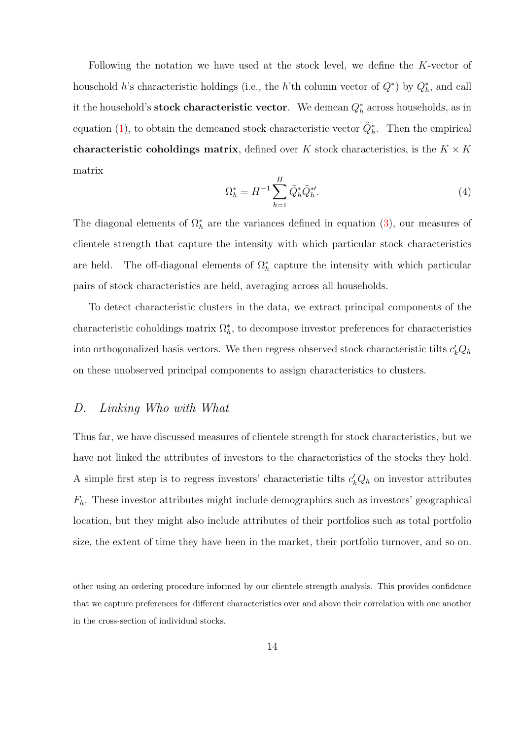Following the notation we have used at the stock level, we define the K-vector of household h's characteristic holdings (i.e., the h'th column vector of  $Q^*$ ) by  $Q_h^*$ , and call it the household's **stock characteristic vector**. We demean  $Q_h^*$  across households, as in equation [\(1\)](#page-9-0), to obtain the demeaned stock characteristic vector  $\tilde{Q}_h^*$ . Then the empirical characteristic coholdings matrix, defined over K stock characteristics, is the  $K \times K$ matrix

$$
\Omega_h^* = H^{-1} \sum_{h=1}^H \tilde{Q}_h^* \tilde{Q}_h^{*\prime}.
$$
\n(4)

The diagonal elements of  $\Omega_h^*$  are the variances defined in equation [\(3\)](#page-11-0), our measures of clientele strength that capture the intensity with which particular stock characteristics are held. The off-diagonal elements of  $\Omega_h^*$  capture the intensity with which particular pairs of stock characteristics are held, averaging across all households.

To detect characteristic clusters in the data, we extract principal components of the characteristic coholdings matrix  $\Omega_h^*$ , to decompose investor preferences for characteristics into orthogonalized basis vectors. We then regress observed stock characteristic tilts  $c'_k Q_h$ on these unobserved principal components to assign characteristics to clusters.

## D. Linking Who with What

Thus far, we have discussed measures of clientele strength for stock characteristics, but we have not linked the attributes of investors to the characteristics of the stocks they hold. A simple first step is to regress investors' characteristic tilts  $c'_k Q_h$  on investor attributes  $F<sub>h</sub>$ . These investor attributes might include demographics such as investors' geographical location, but they might also include attributes of their portfolios such as total portfolio size, the extent of time they have been in the market, their portfolio turnover, and so on.

other using an ordering procedure informed by our clientele strength analysis. This provides confidence that we capture preferences for different characteristics over and above their correlation with one another in the cross-section of individual stocks.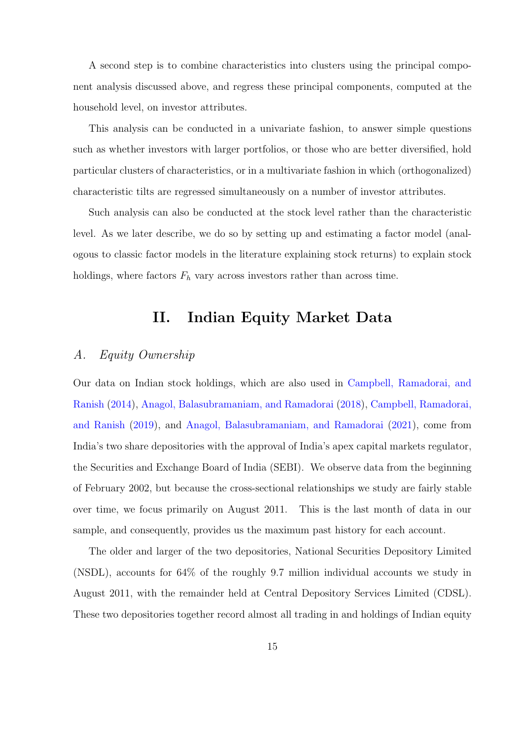A second step is to combine characteristics into clusters using the principal component analysis discussed above, and regress these principal components, computed at the household level, on investor attributes.

This analysis can be conducted in a univariate fashion, to answer simple questions such as whether investors with larger portfolios, or those who are better diversified, hold particular clusters of characteristics, or in a multivariate fashion in which (orthogonalized) characteristic tilts are regressed simultaneously on a number of investor attributes.

Such analysis can also be conducted at the stock level rather than the characteristic level. As we later describe, we do so by setting up and estimating a factor model (analogous to classic factor models in the literature explaining stock returns) to explain stock holdings, where factors  $F_h$  vary across investors rather than across time.

## II. Indian Equity Market Data

## <span id="page-14-0"></span>A. Equity Ownership

Our data on Indian stock holdings, which are also used in [Campbell, Ramadorai, and](#page-50-2) [Ranish](#page-50-2) [\(2014\)](#page-50-2), [Anagol, Balasubramaniam, and Ramadorai](#page-49-6) [\(2018\)](#page-49-6), [Campbell, Ramadorai,](#page-50-3) [and Ranish](#page-50-3) [\(2019\)](#page-50-3), and [Anagol, Balasubramaniam, and Ramadorai](#page-49-4) [\(2021\)](#page-49-4), come from India's two share depositories with the approval of India's apex capital markets regulator, the Securities and Exchange Board of India (SEBI). We observe data from the beginning of February 2002, but because the cross-sectional relationships we study are fairly stable over time, we focus primarily on August 2011. This is the last month of data in our sample, and consequently, provides us the maximum past history for each account.

The older and larger of the two depositories, National Securities Depository Limited (NSDL), accounts for 64% of the roughly 9.7 million individual accounts we study in August 2011, with the remainder held at Central Depository Services Limited (CDSL). These two depositories together record almost all trading in and holdings of Indian equity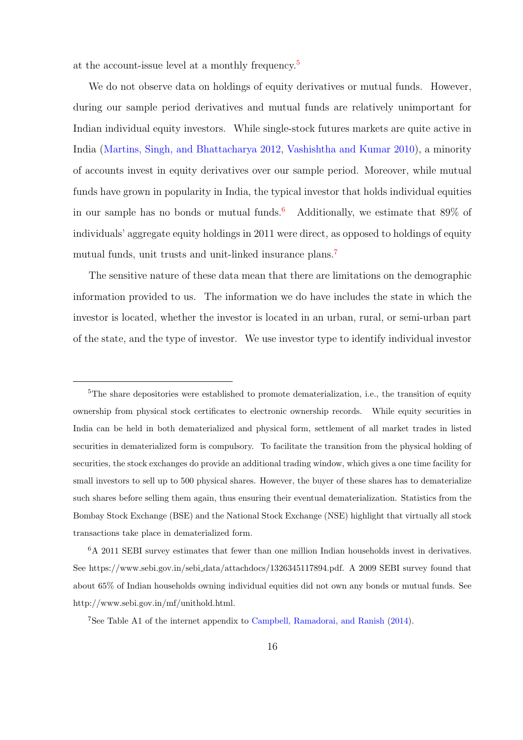at the account-issue level at a monthly frequency.[5](#page-0-0)

We do not observe data on holdings of equity derivatives or mutual funds. However, during our sample period derivatives and mutual funds are relatively unimportant for Indian individual equity investors. While single-stock futures markets are quite active in India [\(Martins, Singh, and Bhattacharya](#page-53-10) [2012,](#page-53-10) [Vashishtha and Kumar](#page-54-10) [2010\)](#page-54-10), a minority of accounts invest in equity derivatives over our sample period. Moreover, while mutual funds have grown in popularity in India, the typical investor that holds individual equities in our sample has no bonds or mutual funds.<sup>[6](#page-0-0)</sup> Additionally, we estimate that  $89\%$  of individuals' aggregate equity holdings in 2011 were direct, as opposed to holdings of equity mutual funds, unit trusts and unit-linked insurance plans.<sup>[7](#page-0-0)</sup>

The sensitive nature of these data mean that there are limitations on the demographic information provided to us. The information we do have includes the state in which the investor is located, whether the investor is located in an urban, rural, or semi-urban part of the state, and the type of investor. We use investor type to identify individual investor

<sup>7</sup>See Table A1 of the internet appendix to [Campbell, Ramadorai, and Ranish](#page-50-2) [\(2014\)](#page-50-2).

<sup>&</sup>lt;sup>5</sup>The share depositories were established to promote dematerialization, i.e., the transition of equity ownership from physical stock certificates to electronic ownership records. While equity securities in India can be held in both dematerialized and physical form, settlement of all market trades in listed securities in dematerialized form is compulsory. To facilitate the transition from the physical holding of securities, the stock exchanges do provide an additional trading window, which gives a one time facility for small investors to sell up to 500 physical shares. However, the buyer of these shares has to dematerialize such shares before selling them again, thus ensuring their eventual dematerialization. Statistics from the Bombay Stock Exchange (BSE) and the National Stock Exchange (NSE) highlight that virtually all stock transactions take place in dematerialized form.

<sup>6</sup>A 2011 SEBI survey estimates that fewer than one million Indian households invest in derivatives. See https://www.sebi.gov.in/sebi data/attachdocs/1326345117894.pdf. A 2009 SEBI survey found that about 65% of Indian households owning individual equities did not own any bonds or mutual funds. See http://www.sebi.gov.in/mf/unithold.html.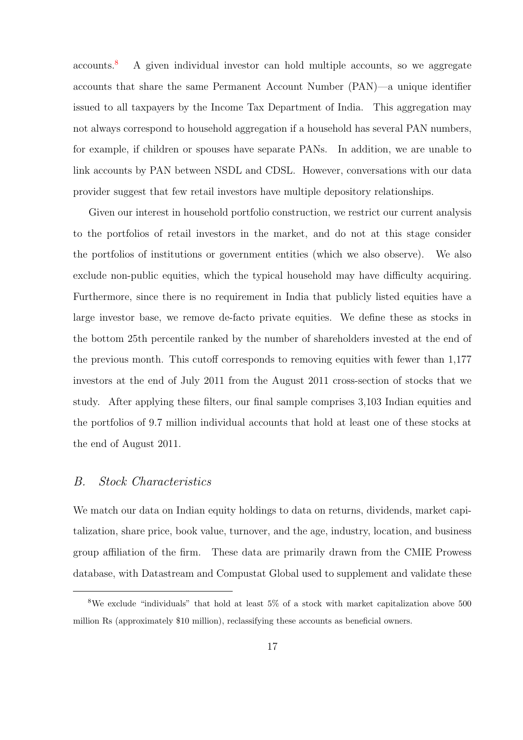accounts.[8](#page-0-0) A given individual investor can hold multiple accounts, so we aggregate accounts that share the same Permanent Account Number (PAN)—a unique identifier issued to all taxpayers by the Income Tax Department of India. This aggregation may not always correspond to household aggregation if a household has several PAN numbers, for example, if children or spouses have separate PANs. In addition, we are unable to link accounts by PAN between NSDL and CDSL. However, conversations with our data provider suggest that few retail investors have multiple depository relationships.

Given our interest in household portfolio construction, we restrict our current analysis to the portfolios of retail investors in the market, and do not at this stage consider the portfolios of institutions or government entities (which we also observe). We also exclude non-public equities, which the typical household may have difficulty acquiring. Furthermore, since there is no requirement in India that publicly listed equities have a large investor base, we remove de-facto private equities. We define these as stocks in the bottom 25th percentile ranked by the number of shareholders invested at the end of the previous month. This cutoff corresponds to removing equities with fewer than 1,177 investors at the end of July 2011 from the August 2011 cross-section of stocks that we study. After applying these filters, our final sample comprises 3,103 Indian equities and the portfolios of 9.7 million individual accounts that hold at least one of these stocks at the end of August 2011.

### B. Stock Characteristics

We match our data on Indian equity holdings to data on returns, dividends, market capitalization, share price, book value, turnover, and the age, industry, location, and business group affiliation of the firm. These data are primarily drawn from the CMIE Prowess database, with Datastream and Compustat Global used to supplement and validate these

<sup>8</sup>We exclude "individuals" that hold at least 5% of a stock with market capitalization above 500 million Rs (approximately \$10 million), reclassifying these accounts as beneficial owners.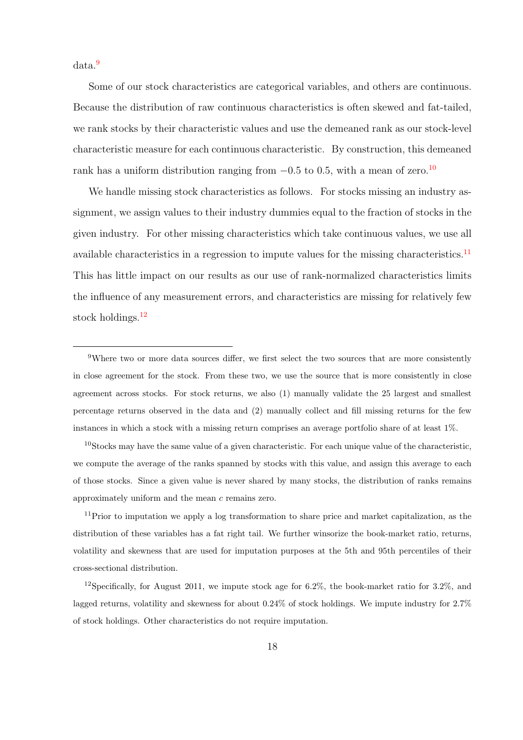data.[9](#page-0-0)

Some of our stock characteristics are categorical variables, and others are continuous. Because the distribution of raw continuous characteristics is often skewed and fat-tailed, we rank stocks by their characteristic values and use the demeaned rank as our stock-level characteristic measure for each continuous characteristic. By construction, this demeaned rank has a uniform distribution ranging from  $-0.5$  to 0.5, with a mean of zero.<sup>[10](#page-0-0)</sup>

We handle missing stock characteristics as follows. For stocks missing an industry assignment, we assign values to their industry dummies equal to the fraction of stocks in the given industry. For other missing characteristics which take continuous values, we use all available characteristics in a regression to impute values for the missing characteristics.<sup>[11](#page-0-0)</sup> This has little impact on our results as our use of rank-normalized characteristics limits the influence of any measurement errors, and characteristics are missing for relatively few stock holdings.<sup>[12](#page-0-0)</sup>

<sup>9</sup>Where two or more data sources differ, we first select the two sources that are more consistently in close agreement for the stock. From these two, we use the source that is more consistently in close agreement across stocks. For stock returns, we also (1) manually validate the 25 largest and smallest percentage returns observed in the data and (2) manually collect and fill missing returns for the few instances in which a stock with a missing return comprises an average portfolio share of at least 1%.

<sup>10</sup>Stocks may have the same value of a given characteristic. For each unique value of the characteristic, we compute the average of the ranks spanned by stocks with this value, and assign this average to each of those stocks. Since a given value is never shared by many stocks, the distribution of ranks remains approximately uniform and the mean c remains zero.

<sup>11</sup>Prior to imputation we apply a log transformation to share price and market capitalization, as the distribution of these variables has a fat right tail. We further winsorize the book-market ratio, returns, volatility and skewness that are used for imputation purposes at the 5th and 95th percentiles of their cross-sectional distribution.

<sup>12</sup>Specifically, for August 2011, we impute stock age for  $6.2\%$ , the book-market ratio for  $3.2\%$ , and lagged returns, volatility and skewness for about 0.24% of stock holdings. We impute industry for 2.7% of stock holdings. Other characteristics do not require imputation.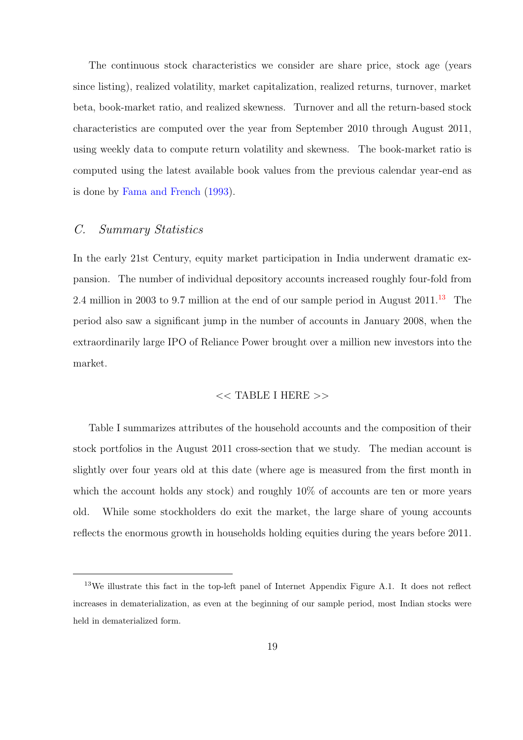The continuous stock characteristics we consider are share price, stock age (years since listing), realized volatility, market capitalization, realized returns, turnover, market beta, book-market ratio, and realized skewness. Turnover and all the return-based stock characteristics are computed over the year from September 2010 through August 2011, using weekly data to compute return volatility and skewness. The book-market ratio is computed using the latest available book values from the previous calendar year-end as is done by [Fama and French](#page-51-2) [\(1993\)](#page-51-2).

## C. Summary Statistics

In the early 21st Century, equity market participation in India underwent dramatic expansion. The number of individual depository accounts increased roughly four-fold from 2.4 million in 2003 to 9.7 million at the end of our sample period in August  $2011^{13}$  $2011^{13}$  $2011^{13}$  The period also saw a significant jump in the number of accounts in January 2008, when the extraordinarily large IPO of Reliance Power brought over a million new investors into the market.

#### $<<$  TABLE I HERE  $>>$

Table I summarizes attributes of the household accounts and the composition of their stock portfolios in the August 2011 cross-section that we study. The median account is slightly over four years old at this date (where age is measured from the first month in which the account holds any stock) and roughly  $10\%$  of accounts are ten or more years old. While some stockholders do exit the market, the large share of young accounts reflects the enormous growth in households holding equities during the years before 2011.

<sup>&</sup>lt;sup>13</sup>We illustrate this fact in the top-left panel of Internet Appendix Figure A.1. It does not reflect increases in dematerialization, as even at the beginning of our sample period, most Indian stocks were held in dematerialized form.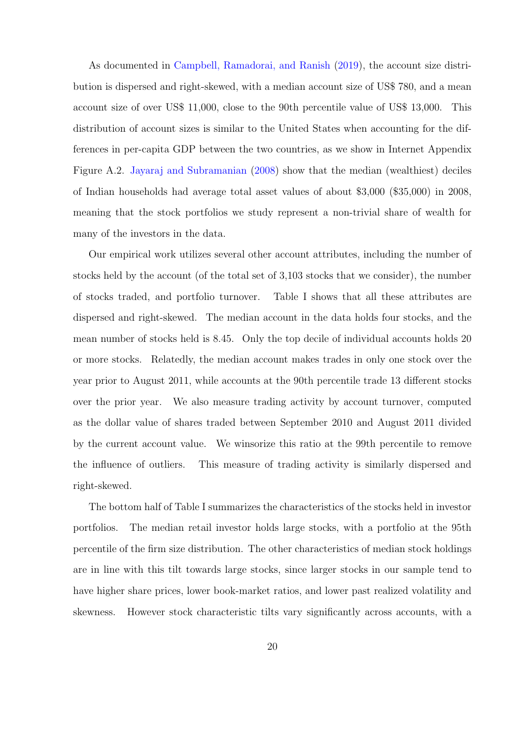As documented in [Campbell, Ramadorai, and Ranish](#page-50-3) [\(2019\)](#page-50-3), the account size distribution is dispersed and right-skewed, with a median account size of US\$ 780, and a mean account size of over US\$ 11,000, close to the 90th percentile value of US\$ 13,000. This distribution of account sizes is similar to the United States when accounting for the differences in per-capita GDP between the two countries, as we show in Internet Appendix Figure A.2. [Jayaraj and Subramanian](#page-52-9) [\(2008\)](#page-52-9) show that the median (wealthiest) deciles of Indian households had average total asset values of about \$3,000 (\$35,000) in 2008, meaning that the stock portfolios we study represent a non-trivial share of wealth for many of the investors in the data.

Our empirical work utilizes several other account attributes, including the number of stocks held by the account (of the total set of 3,103 stocks that we consider), the number of stocks traded, and portfolio turnover. Table I shows that all these attributes are dispersed and right-skewed. The median account in the data holds four stocks, and the mean number of stocks held is 8.45. Only the top decile of individual accounts holds 20 or more stocks. Relatedly, the median account makes trades in only one stock over the year prior to August 2011, while accounts at the 90th percentile trade 13 different stocks over the prior year. We also measure trading activity by account turnover, computed as the dollar value of shares traded between September 2010 and August 2011 divided by the current account value. We winsorize this ratio at the 99th percentile to remove the influence of outliers. This measure of trading activity is similarly dispersed and right-skewed.

The bottom half of Table I summarizes the characteristics of the stocks held in investor portfolios. The median retail investor holds large stocks, with a portfolio at the 95th percentile of the firm size distribution. The other characteristics of median stock holdings are in line with this tilt towards large stocks, since larger stocks in our sample tend to have higher share prices, lower book-market ratios, and lower past realized volatility and skewness. However stock characteristic tilts vary significantly across accounts, with a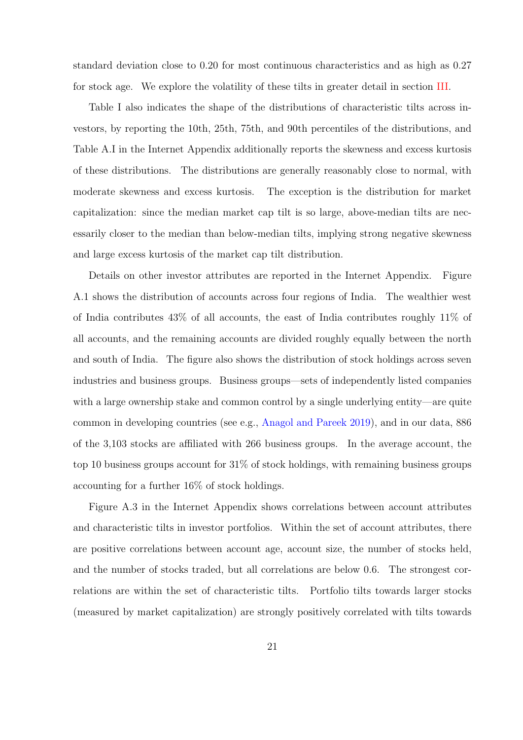standard deviation close to 0.20 for most continuous characteristics and as high as 0.27 for stock age. We explore the volatility of these tilts in greater detail in section [III.](#page-22-0)

Table I also indicates the shape of the distributions of characteristic tilts across investors, by reporting the 10th, 25th, 75th, and 90th percentiles of the distributions, and Table A.I in the Internet Appendix additionally reports the skewness and excess kurtosis of these distributions. The distributions are generally reasonably close to normal, with moderate skewness and excess kurtosis. The exception is the distribution for market capitalization: since the median market cap tilt is so large, above-median tilts are necessarily closer to the median than below-median tilts, implying strong negative skewness and large excess kurtosis of the market cap tilt distribution.

Details on other investor attributes are reported in the Internet Appendix. Figure A.1 shows the distribution of accounts across four regions of India. The wealthier west of India contributes 43% of all accounts, the east of India contributes roughly 11% of all accounts, and the remaining accounts are divided roughly equally between the north and south of India. The figure also shows the distribution of stock holdings across seven industries and business groups. Business groups—sets of independently listed companies with a large ownership stake and common control by a single underlying entity—are quite common in developing countries (see e.g., [Anagol and Pareek](#page-49-3) [2019\)](#page-49-3), and in our data, 886 of the 3,103 stocks are affiliated with 266 business groups. In the average account, the top 10 business groups account for 31% of stock holdings, with remaining business groups accounting for a further 16% of stock holdings.

Figure A.3 in the Internet Appendix shows correlations between account attributes and characteristic tilts in investor portfolios. Within the set of account attributes, there are positive correlations between account age, account size, the number of stocks held, and the number of stocks traded, but all correlations are below 0.6. The strongest correlations are within the set of characteristic tilts. Portfolio tilts towards larger stocks (measured by market capitalization) are strongly positively correlated with tilts towards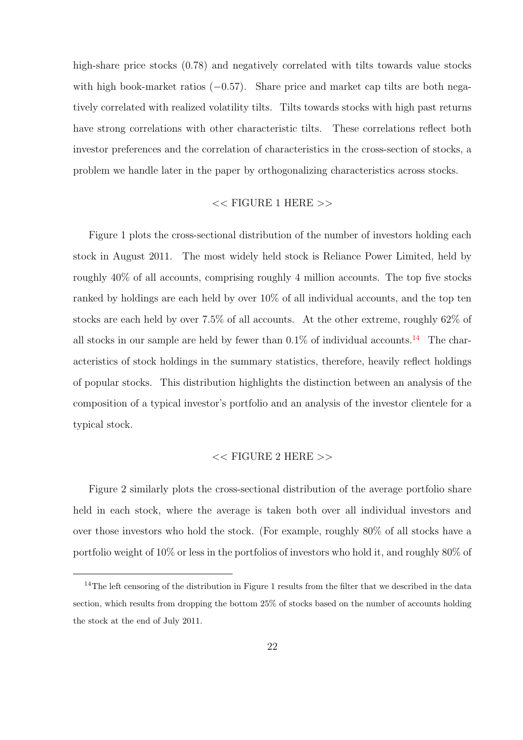high-share price stocks  $(0.78)$  and negatively correlated with tilts towards value stocks with high book-market ratios  $(-0.57)$ . Share price and market cap tilts are both negatively correlated with realized volatility tilts. Tilts towards stocks with high past returns have strong correlations with other characteristic tilts. These correlations reflect both investor preferences and the correlation of characteristics in the cross-section of stocks, a problem we handle later in the paper by orthogonalizing characteristics across stocks.

#### $<<$  FIGURE 1 HERE  $>>$

Figure 1 plots the cross-sectional distribution of the number of investors holding each stock in August 2011. The most widely held stock is Reliance Power Limited, held by roughly 40% of all accounts, comprising roughly 4 million accounts. The top five stocks ranked by holdings are each held by over 10% of all individual accounts, and the top ten stocks are each held by over 7.5% of all accounts. At the other extreme, roughly 62% of all stocks in our sample are held by fewer than  $0.1\%$  of individual accounts.<sup>[14](#page-0-0)</sup> The characteristics of stock holdings in the summary statistics, therefore, heavily reflect holdings of popular stocks. This distribution highlights the distinction between an analysis of the composition of a typical investor's portfolio and an analysis of the investor clientele for a typical stock.

#### $<<$  FIGURE 2 HERE  $>>$

Figure 2 similarly plots the cross-sectional distribution of the average portfolio share held in each stock, where the average is taken both over all individual investors and over those investors who hold the stock. (For example, roughly 80% of all stocks have a portfolio weight of 10% or less in the portfolios of investors who hold it, and roughly 80% of

<sup>&</sup>lt;sup>14</sup>The left censoring of the distribution in Figure 1 results from the filter that we described in the data section, which results from dropping the bottom 25% of stocks based on the number of accounts holding the stock at the end of July 2011.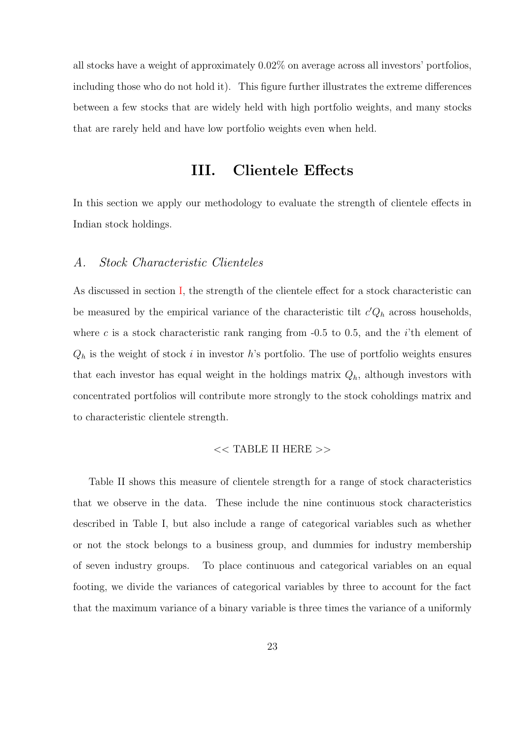all stocks have a weight of approximately 0.02% on average across all investors' portfolios, including those who do not hold it). This figure further illustrates the extreme differences between a few stocks that are widely held with high portfolio weights, and many stocks that are rarely held and have low portfolio weights even when held.

## III. Clientele Effects

<span id="page-22-0"></span>In this section we apply our methodology to evaluate the strength of clientele effects in Indian stock holdings.

#### A. Stock Characteristic Clienteles

As discussed in section [I,](#page-7-0) the strength of the clientele effect for a stock characteristic can be measured by the empirical variance of the characteristic tilt  $c'Q_h$  across households, where c is a stock characteristic rank ranging from  $-0.5$  to 0.5, and the *i*'th element of  $Q_h$  is the weight of stock i in investor h's portfolio. The use of portfolio weights ensures that each investor has equal weight in the holdings matrix  $Q_h$ , although investors with concentrated portfolios will contribute more strongly to the stock coholdings matrix and to characteristic clientele strength.

#### << TABLE II HERE >>

Table II shows this measure of clientele strength for a range of stock characteristics that we observe in the data. These include the nine continuous stock characteristics described in Table I, but also include a range of categorical variables such as whether or not the stock belongs to a business group, and dummies for industry membership of seven industry groups. To place continuous and categorical variables on an equal footing, we divide the variances of categorical variables by three to account for the fact that the maximum variance of a binary variable is three times the variance of a uniformly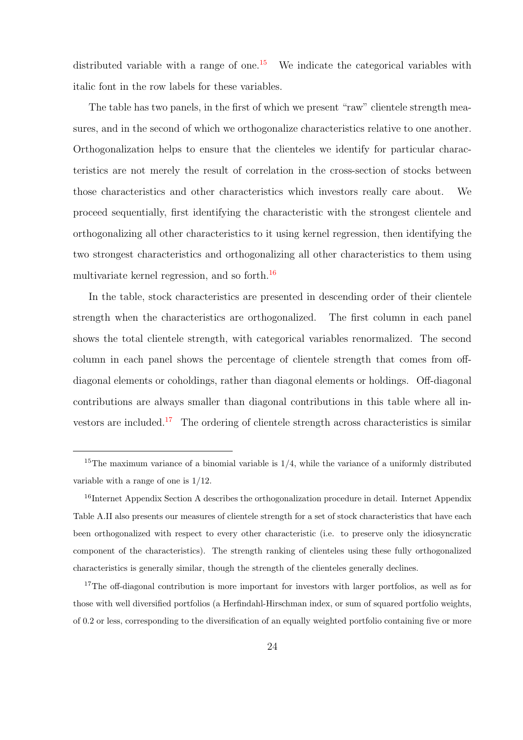distributed variable with a range of one.<sup>[15](#page-0-0)</sup> We indicate the categorical variables with italic font in the row labels for these variables.

The table has two panels, in the first of which we present "raw" clientele strength measures, and in the second of which we orthogonalize characteristics relative to one another. Orthogonalization helps to ensure that the clienteles we identify for particular characteristics are not merely the result of correlation in the cross-section of stocks between those characteristics and other characteristics which investors really care about. We proceed sequentially, first identifying the characteristic with the strongest clientele and orthogonalizing all other characteristics to it using kernel regression, then identifying the two strongest characteristics and orthogonalizing all other characteristics to them using multivariate kernel regression, and so forth.[16](#page-0-0)

In the table, stock characteristics are presented in descending order of their clientele strength when the characteristics are orthogonalized. The first column in each panel shows the total clientele strength, with categorical variables renormalized. The second column in each panel shows the percentage of clientele strength that comes from offdiagonal elements or coholdings, rather than diagonal elements or holdings. Off-diagonal contributions are always smaller than diagonal contributions in this table where all in-vestors are included.<sup>[17](#page-0-0)</sup> The ordering of clientele strength across characteristics is similar

<sup>&</sup>lt;sup>15</sup>The maximum variance of a binomial variable is  $1/4$ , while the variance of a uniformly distributed variable with a range of one is 1/12.

<sup>&</sup>lt;sup>16</sup>Internet Appendix Section A describes the orthogonalization procedure in detail. Internet Appendix Table A.II also presents our measures of clientele strength for a set of stock characteristics that have each been orthogonalized with respect to every other characteristic (i.e. to preserve only the idiosyncratic component of the characteristics). The strength ranking of clienteles using these fully orthogonalized characteristics is generally similar, though the strength of the clienteles generally declines.

<sup>&</sup>lt;sup>17</sup>The off-diagonal contribution is more important for investors with larger portfolios, as well as for those with well diversified portfolios (a Herfindahl-Hirschman index, or sum of squared portfolio weights, of 0.2 or less, corresponding to the diversification of an equally weighted portfolio containing five or more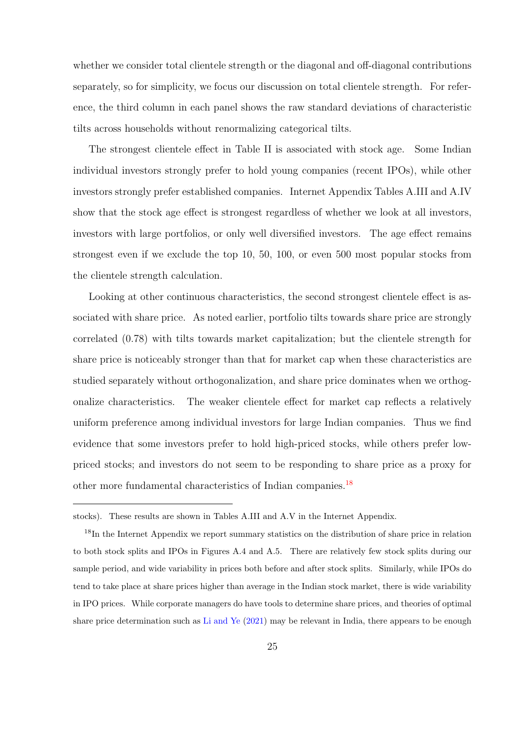whether we consider total clientele strength or the diagonal and off-diagonal contributions separately, so for simplicity, we focus our discussion on total clientele strength. For reference, the third column in each panel shows the raw standard deviations of characteristic tilts across households without renormalizing categorical tilts.

The strongest clientele effect in Table II is associated with stock age. Some Indian individual investors strongly prefer to hold young companies (recent IPOs), while other investors strongly prefer established companies. Internet Appendix Tables A.III and A.IV show that the stock age effect is strongest regardless of whether we look at all investors, investors with large portfolios, or only well diversified investors. The age effect remains strongest even if we exclude the top 10, 50, 100, or even 500 most popular stocks from the clientele strength calculation.

Looking at other continuous characteristics, the second strongest clientele effect is associated with share price. As noted earlier, portfolio tilts towards share price are strongly correlated (0.78) with tilts towards market capitalization; but the clientele strength for share price is noticeably stronger than that for market cap when these characteristics are studied separately without orthogonalization, and share price dominates when we orthogonalize characteristics. The weaker clientele effect for market cap reflects a relatively uniform preference among individual investors for large Indian companies. Thus we find evidence that some investors prefer to hold high-priced stocks, while others prefer lowpriced stocks; and investors do not seem to be responding to share price as a proxy for other more fundamental characteristics of Indian companies.[18](#page-0-0)

stocks). These results are shown in Tables A.III and A.V in the Internet Appendix.

<sup>&</sup>lt;sup>18</sup>In the Internet Appendix we report summary statistics on the distribution of share price in relation to both stock splits and IPOs in Figures A.4 and A.5. There are relatively few stock splits during our sample period, and wide variability in prices both before and after stock splits. Similarly, while IPOs do tend to take place at share prices higher than average in the Indian stock market, there is wide variability in IPO prices. While corporate managers do have tools to determine share prices, and theories of optimal share price determination such as [Li and Ye](#page-53-11) [\(2021\)](#page-53-11) may be relevant in India, there appears to be enough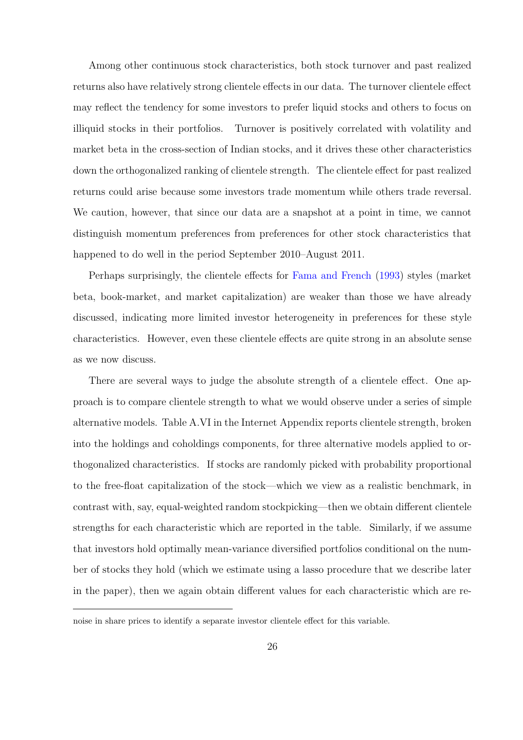Among other continuous stock characteristics, both stock turnover and past realized returns also have relatively strong clientele effects in our data. The turnover clientele effect may reflect the tendency for some investors to prefer liquid stocks and others to focus on illiquid stocks in their portfolios. Turnover is positively correlated with volatility and market beta in the cross-section of Indian stocks, and it drives these other characteristics down the orthogonalized ranking of clientele strength. The clientele effect for past realized returns could arise because some investors trade momentum while others trade reversal. We caution, however, that since our data are a snapshot at a point in time, we cannot distinguish momentum preferences from preferences for other stock characteristics that happened to do well in the period September 2010–August 2011.

Perhaps surprisingly, the clientele effects for [Fama and French](#page-51-2) [\(1993\)](#page-51-2) styles (market beta, book-market, and market capitalization) are weaker than those we have already discussed, indicating more limited investor heterogeneity in preferences for these style characteristics. However, even these clientele effects are quite strong in an absolute sense as we now discuss.

There are several ways to judge the absolute strength of a clientele effect. One approach is to compare clientele strength to what we would observe under a series of simple alternative models. Table A.VI in the Internet Appendix reports clientele strength, broken into the holdings and coholdings components, for three alternative models applied to orthogonalized characteristics. If stocks are randomly picked with probability proportional to the free-float capitalization of the stock—which we view as a realistic benchmark, in contrast with, say, equal-weighted random stockpicking—then we obtain different clientele strengths for each characteristic which are reported in the table. Similarly, if we assume that investors hold optimally mean-variance diversified portfolios conditional on the number of stocks they hold (which we estimate using a lasso procedure that we describe later in the paper), then we again obtain different values for each characteristic which are re-

noise in share prices to identify a separate investor clientele effect for this variable.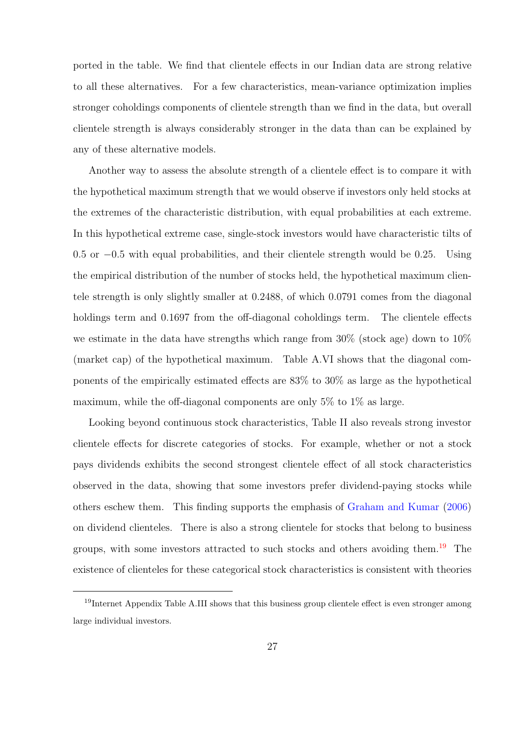ported in the table. We find that clientele effects in our Indian data are strong relative to all these alternatives. For a few characteristics, mean-variance optimization implies stronger coholdings components of clientele strength than we find in the data, but overall clientele strength is always considerably stronger in the data than can be explained by any of these alternative models.

Another way to assess the absolute strength of a clientele effect is to compare it with the hypothetical maximum strength that we would observe if investors only held stocks at the extremes of the characteristic distribution, with equal probabilities at each extreme. In this hypothetical extreme case, single-stock investors would have characteristic tilts of 0.5 or −0.5 with equal probabilities, and their clientele strength would be 0.25. Using the empirical distribution of the number of stocks held, the hypothetical maximum clientele strength is only slightly smaller at 0.2488, of which 0.0791 comes from the diagonal holdings term and 0.1697 from the off-diagonal coholdings term. The clientele effects we estimate in the data have strengths which range from 30% (stock age) down to 10% (market cap) of the hypothetical maximum. Table A.VI shows that the diagonal components of the empirically estimated effects are 83% to 30% as large as the hypothetical maximum, while the off-diagonal components are only 5% to 1% as large.

Looking beyond continuous stock characteristics, Table II also reveals strong investor clientele effects for discrete categories of stocks. For example, whether or not a stock pays dividends exhibits the second strongest clientele effect of all stock characteristics observed in the data, showing that some investors prefer dividend-paying stocks while others eschew them. This finding supports the emphasis of [Graham and Kumar](#page-52-5) [\(2006\)](#page-52-5) on dividend clienteles. There is also a strong clientele for stocks that belong to business groups, with some investors attracted to such stocks and others avoiding them.<sup>[19](#page-0-0)</sup> The existence of clienteles for these categorical stock characteristics is consistent with theories

<sup>&</sup>lt;sup>19</sup>Internet Appendix Table A.III shows that this business group clientele effect is even stronger among large individual investors.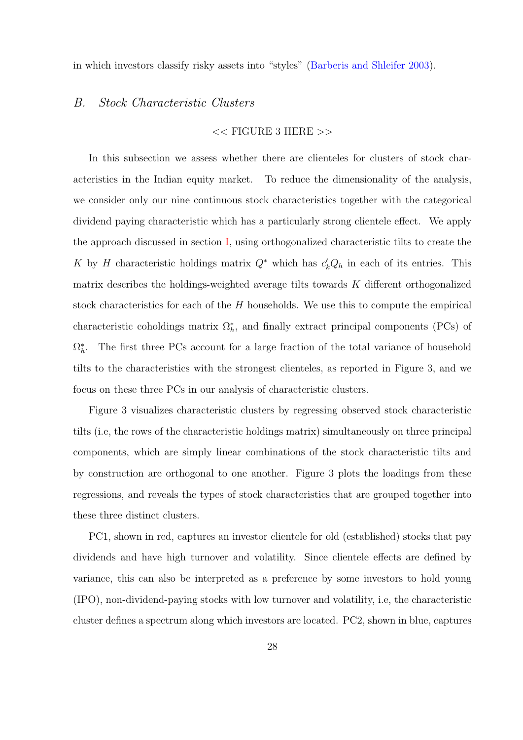in which investors classify risky assets into "styles" [\(Barberis and Shleifer](#page-50-8) [2003\)](#page-50-8).

#### B. Stock Characteristic Clusters

#### $<<$  FIGURE 3 HERE  $>>$

In this subsection we assess whether there are clienteles for clusters of stock characteristics in the Indian equity market. To reduce the dimensionality of the analysis, we consider only our nine continuous stock characteristics together with the categorical dividend paying characteristic which has a particularly strong clientele effect. We apply the approach discussed in section [I,](#page-7-0) using orthogonalized characteristic tilts to create the K by H characteristic holdings matrix  $Q^*$  which has  $c'_k Q_h$  in each of its entries. This matrix describes the holdings-weighted average tilts towards  $K$  different orthogonalized stock characteristics for each of the  $H$  households. We use this to compute the empirical characteristic coholdings matrix  $\Omega_h^*$ , and finally extract principal components (PCs) of  $\Omega_h^*$ . The first three PCs account for a large fraction of the total variance of household tilts to the characteristics with the strongest clienteles, as reported in Figure 3, and we focus on these three PCs in our analysis of characteristic clusters.

Figure 3 visualizes characteristic clusters by regressing observed stock characteristic tilts (i.e, the rows of the characteristic holdings matrix) simultaneously on three principal components, which are simply linear combinations of the stock characteristic tilts and by construction are orthogonal to one another. Figure 3 plots the loadings from these regressions, and reveals the types of stock characteristics that are grouped together into these three distinct clusters.

PC1, shown in red, captures an investor clientele for old (established) stocks that pay dividends and have high turnover and volatility. Since clientele effects are defined by variance, this can also be interpreted as a preference by some investors to hold young (IPO), non-dividend-paying stocks with low turnover and volatility, i.e, the characteristic cluster defines a spectrum along which investors are located. PC2, shown in blue, captures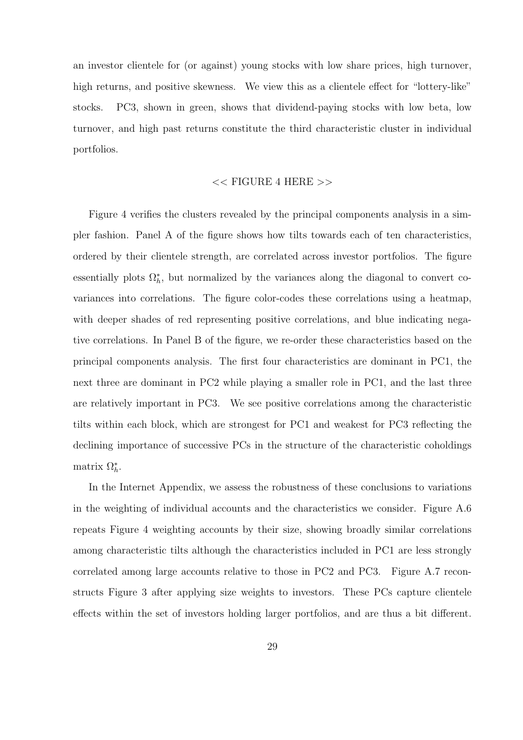an investor clientele for (or against) young stocks with low share prices, high turnover, high returns, and positive skewness. We view this as a clientele effect for "lottery-like" stocks. PC3, shown in green, shows that dividend-paying stocks with low beta, low turnover, and high past returns constitute the third characteristic cluster in individual portfolios.

#### << FIGURE 4 HERE >>

Figure 4 verifies the clusters revealed by the principal components analysis in a simpler fashion. Panel A of the figure shows how tilts towards each of ten characteristics, ordered by their clientele strength, are correlated across investor portfolios. The figure essentially plots  $\Omega_h^*$ , but normalized by the variances along the diagonal to convert covariances into correlations. The figure color-codes these correlations using a heatmap, with deeper shades of red representing positive correlations, and blue indicating negative correlations. In Panel B of the figure, we re-order these characteristics based on the principal components analysis. The first four characteristics are dominant in PC1, the next three are dominant in PC2 while playing a smaller role in PC1, and the last three are relatively important in PC3. We see positive correlations among the characteristic tilts within each block, which are strongest for PC1 and weakest for PC3 reflecting the declining importance of successive PCs in the structure of the characteristic coholdings matrix  $\Omega_h^*$ .

In the Internet Appendix, we assess the robustness of these conclusions to variations in the weighting of individual accounts and the characteristics we consider. Figure A.6 repeats Figure 4 weighting accounts by their size, showing broadly similar correlations among characteristic tilts although the characteristics included in PC1 are less strongly correlated among large accounts relative to those in PC2 and PC3. Figure A.7 reconstructs Figure 3 after applying size weights to investors. These PCs capture clientele effects within the set of investors holding larger portfolios, and are thus a bit different.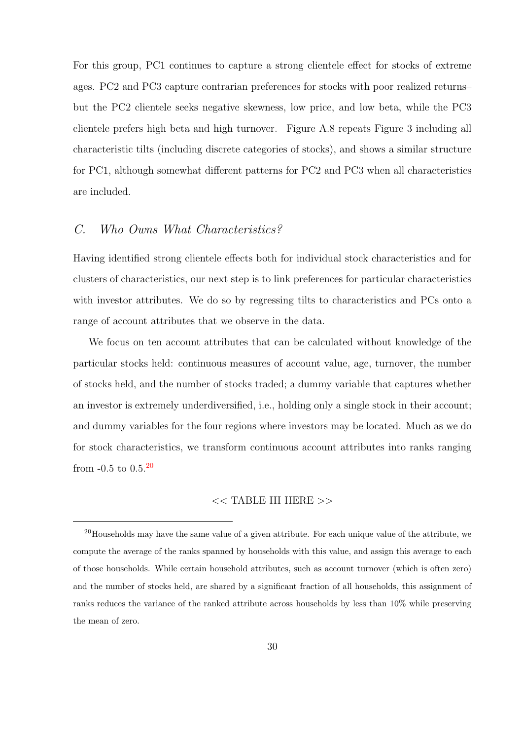For this group, PC1 continues to capture a strong clientele effect for stocks of extreme ages. PC2 and PC3 capture contrarian preferences for stocks with poor realized returns– but the PC2 clientele seeks negative skewness, low price, and low beta, while the PC3 clientele prefers high beta and high turnover. Figure A.8 repeats Figure 3 including all characteristic tilts (including discrete categories of stocks), and shows a similar structure for PC1, although somewhat different patterns for PC2 and PC3 when all characteristics are included.

## C. Who Owns What Characteristics?

Having identified strong clientele effects both for individual stock characteristics and for clusters of characteristics, our next step is to link preferences for particular characteristics with investor attributes. We do so by regressing tilts to characteristics and PCs onto a range of account attributes that we observe in the data.

We focus on ten account attributes that can be calculated without knowledge of the particular stocks held: continuous measures of account value, age, turnover, the number of stocks held, and the number of stocks traded; a dummy variable that captures whether an investor is extremely underdiversified, i.e., holding only a single stock in their account; and dummy variables for the four regions where investors may be located. Much as we do for stock characteristics, we transform continuous account attributes into ranks ranging from  $-0.5$  to  $0.5$ .<sup>[20](#page-0-0)</sup>

#### << TABLE III HERE >>

<sup>&</sup>lt;sup>20</sup>Households may have the same value of a given attribute. For each unique value of the attribute, we compute the average of the ranks spanned by households with this value, and assign this average to each of those households. While certain household attributes, such as account turnover (which is often zero) and the number of stocks held, are shared by a significant fraction of all households, this assignment of ranks reduces the variance of the ranked attribute across households by less than 10% while preserving the mean of zero.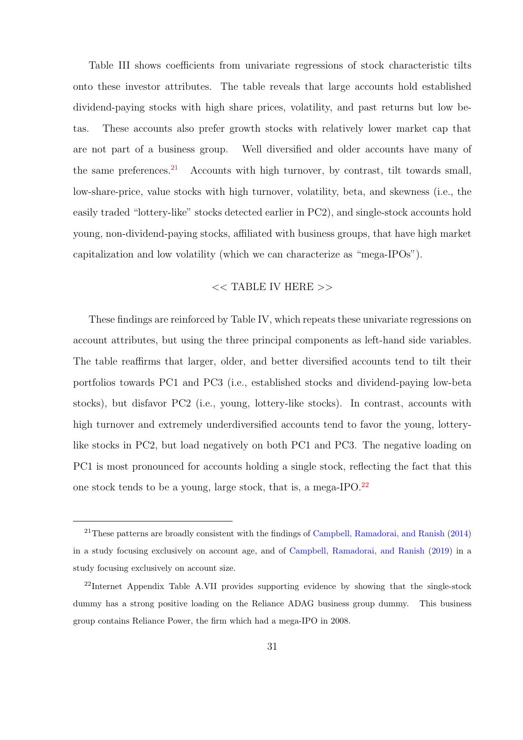Table III shows coefficients from univariate regressions of stock characteristic tilts onto these investor attributes. The table reveals that large accounts hold established dividend-paying stocks with high share prices, volatility, and past returns but low betas. These accounts also prefer growth stocks with relatively lower market cap that are not part of a business group. Well diversified and older accounts have many of the same preferences. $^{21}$  $^{21}$  $^{21}$  Accounts with high turnover, by contrast, tilt towards small, low-share-price, value stocks with high turnover, volatility, beta, and skewness (i.e., the easily traded "lottery-like" stocks detected earlier in PC2), and single-stock accounts hold young, non-dividend-paying stocks, affiliated with business groups, that have high market capitalization and low volatility (which we can characterize as "mega-IPOs").

## $<<$  TABLE IV HERE  $>>$

These findings are reinforced by Table IV, which repeats these univariate regressions on account attributes, but using the three principal components as left-hand side variables. The table reaffirms that larger, older, and better diversified accounts tend to tilt their portfolios towards PC1 and PC3 (i.e., established stocks and dividend-paying low-beta stocks), but disfavor PC2 (i.e., young, lottery-like stocks). In contrast, accounts with high turnover and extremely underdiversified accounts tend to favor the young, lotterylike stocks in PC2, but load negatively on both PC1 and PC3. The negative loading on PC1 is most pronounced for accounts holding a single stock, reflecting the fact that this one stock tends to be a young, large stock, that is, a mega-IPO.[22](#page-0-0)

 $21$ These patterns are broadly consistent with the findings of [Campbell, Ramadorai, and Ranish](#page-50-2) [\(2014\)](#page-50-2) in a study focusing exclusively on account age, and of [Campbell, Ramadorai, and Ranish](#page-50-3) [\(2019\)](#page-50-3) in a study focusing exclusively on account size.

<sup>&</sup>lt;sup>22</sup>Internet Appendix Table A.VII provides supporting evidence by showing that the single-stock dummy has a strong positive loading on the Reliance ADAG business group dummy. This business group contains Reliance Power, the firm which had a mega-IPO in 2008.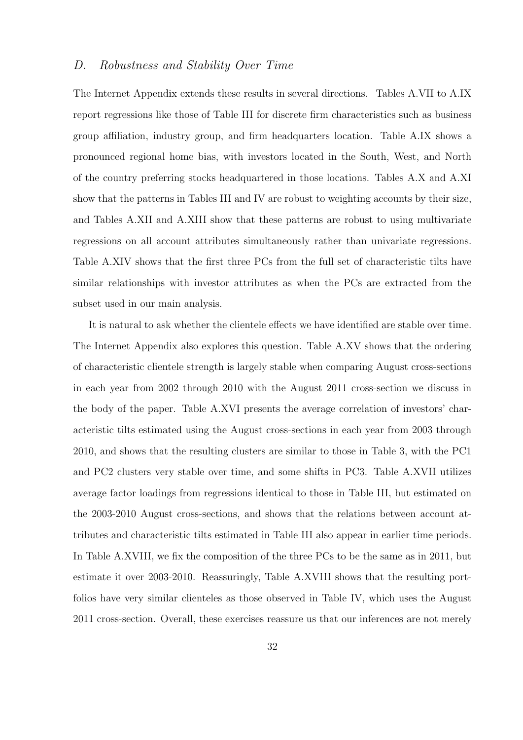## D. Robustness and Stability Over Time

The Internet Appendix extends these results in several directions. Tables A.VII to A.IX report regressions like those of Table III for discrete firm characteristics such as business group affiliation, industry group, and firm headquarters location. Table A.IX shows a pronounced regional home bias, with investors located in the South, West, and North of the country preferring stocks headquartered in those locations. Tables A.X and A.XI show that the patterns in Tables III and IV are robust to weighting accounts by their size, and Tables A.XII and A.XIII show that these patterns are robust to using multivariate regressions on all account attributes simultaneously rather than univariate regressions. Table A.XIV shows that the first three PCs from the full set of characteristic tilts have similar relationships with investor attributes as when the PCs are extracted from the subset used in our main analysis.

It is natural to ask whether the clientele effects we have identified are stable over time. The Internet Appendix also explores this question. Table A.XV shows that the ordering of characteristic clientele strength is largely stable when comparing August cross-sections in each year from 2002 through 2010 with the August 2011 cross-section we discuss in the body of the paper. Table A.XVI presents the average correlation of investors' characteristic tilts estimated using the August cross-sections in each year from 2003 through 2010, and shows that the resulting clusters are similar to those in Table 3, with the PC1 and PC2 clusters very stable over time, and some shifts in PC3. Table A.XVII utilizes average factor loadings from regressions identical to those in Table III, but estimated on the 2003-2010 August cross-sections, and shows that the relations between account attributes and characteristic tilts estimated in Table III also appear in earlier time periods. In Table A.XVIII, we fix the composition of the three PCs to be the same as in 2011, but estimate it over 2003-2010. Reassuringly, Table A.XVIII shows that the resulting portfolios have very similar clienteles as those observed in Table IV, which uses the August 2011 cross-section. Overall, these exercises reassure us that our inferences are not merely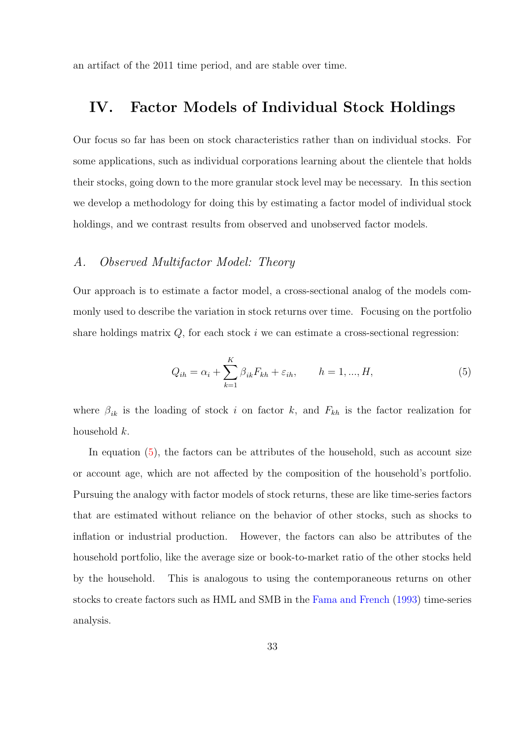<span id="page-32-0"></span>an artifact of the 2011 time period, and are stable over time.

## IV. Factor Models of Individual Stock Holdings

Our focus so far has been on stock characteristics rather than on individual stocks. For some applications, such as individual corporations learning about the clientele that holds their stocks, going down to the more granular stock level may be necessary. In this section we develop a methodology for doing this by estimating a factor model of individual stock holdings, and we contrast results from observed and unobserved factor models.

#### A. Observed Multifactor Model: Theory

Our approach is to estimate a factor model, a cross-sectional analog of the models commonly used to describe the variation in stock returns over time. Focusing on the portfolio share holdings matrix  $Q$ , for each stock  $i$  we can estimate a cross-sectional regression:

<span id="page-32-1"></span>
$$
Q_{ih} = \alpha_i + \sum_{k=1}^{K} \beta_{ik} F_{kh} + \varepsilon_{ih}, \qquad h = 1, ..., H,
$$
 (5)

where  $\beta_{ik}$  is the loading of stock i on factor k, and  $F_{kh}$  is the factor realization for household k.

In equation [\(5\)](#page-32-1), the factors can be attributes of the household, such as account size or account age, which are not affected by the composition of the household's portfolio. Pursuing the analogy with factor models of stock returns, these are like time-series factors that are estimated without reliance on the behavior of other stocks, such as shocks to inflation or industrial production. However, the factors can also be attributes of the household portfolio, like the average size or book-to-market ratio of the other stocks held by the household. This is analogous to using the contemporaneous returns on other stocks to create factors such as HML and SMB in the [Fama and French](#page-51-2) [\(1993\)](#page-51-2) time-series analysis.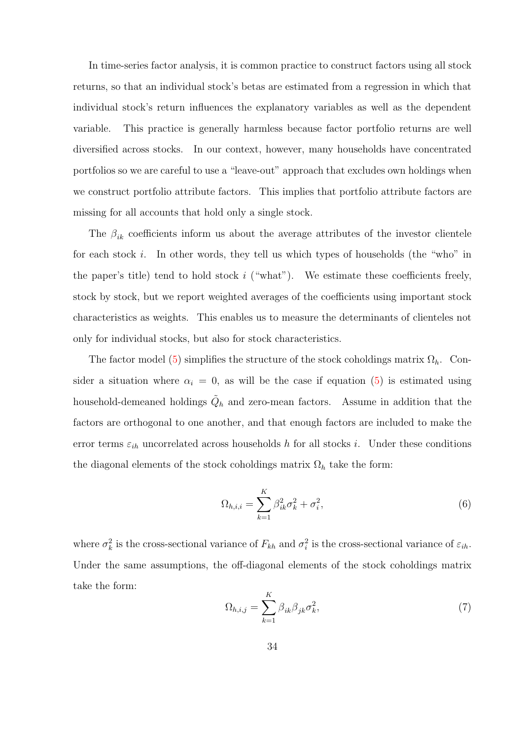In time-series factor analysis, it is common practice to construct factors using all stock returns, so that an individual stock's betas are estimated from a regression in which that individual stock's return influences the explanatory variables as well as the dependent variable. This practice is generally harmless because factor portfolio returns are well diversified across stocks. In our context, however, many households have concentrated portfolios so we are careful to use a "leave-out" approach that excludes own holdings when we construct portfolio attribute factors. This implies that portfolio attribute factors are missing for all accounts that hold only a single stock.

The  $\beta_{ik}$  coefficients inform us about the average attributes of the investor clientele for each stock  $i$ . In other words, they tell us which types of households (the "who" in the paper's title) tend to hold stock  $i$  ("what"). We estimate these coefficients freely, stock by stock, but we report weighted averages of the coefficients using important stock characteristics as weights. This enables us to measure the determinants of clienteles not only for individual stocks, but also for stock characteristics.

The factor model [\(5\)](#page-32-1) simplifies the structure of the stock coholdings matrix  $\Omega_h$ . Consider a situation where  $\alpha_i = 0$ , as will be the case if equation [\(5\)](#page-32-1) is estimated using household-demeaned holdings  $\tilde{Q}_h$  and zero-mean factors. Assume in addition that the factors are orthogonal to one another, and that enough factors are included to make the error terms  $\varepsilon_{ih}$  uncorrelated across households h for all stocks i. Under these conditions the diagonal elements of the stock coholdings matrix  $\Omega_h$  take the form:

<span id="page-33-0"></span>
$$
\Omega_{h,i,i} = \sum_{k=1}^{K} \beta_{ik}^2 \sigma_k^2 + \sigma_i^2,\tag{6}
$$

where  $\sigma_k^2$  is the cross-sectional variance of  $F_{kh}$  and  $\sigma_i^2$  is the cross-sectional variance of  $\varepsilon_{ih}$ . Under the same assumptions, the off-diagonal elements of the stock coholdings matrix take the form:

<span id="page-33-1"></span>
$$
\Omega_{h,i,j} = \sum_{k=1}^{K} \beta_{ik} \beta_{jk} \sigma_k^2, \tag{7}
$$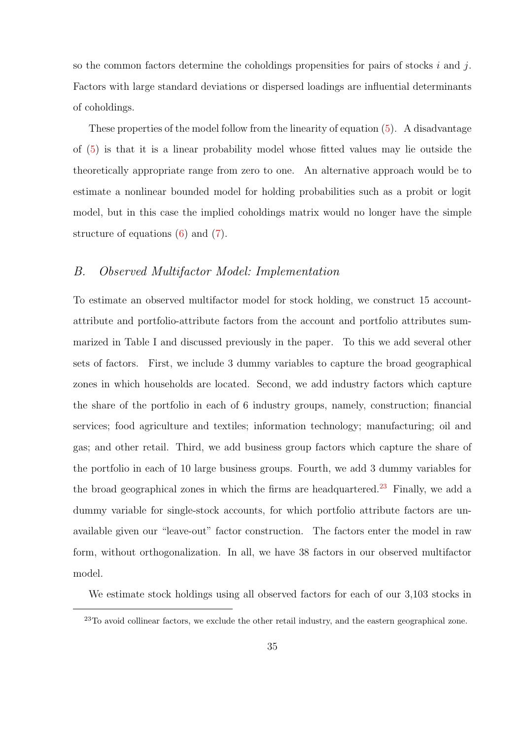so the common factors determine the coholdings propensities for pairs of stocks  $i$  and  $j$ . Factors with large standard deviations or dispersed loadings are influential determinants of coholdings.

These properties of the model follow from the linearity of equation [\(5\)](#page-32-1). A disadvantage of [\(5\)](#page-32-1) is that it is a linear probability model whose fitted values may lie outside the theoretically appropriate range from zero to one. An alternative approach would be to estimate a nonlinear bounded model for holding probabilities such as a probit or logit model, but in this case the implied coholdings matrix would no longer have the simple structure of equations [\(6\)](#page-33-0) and [\(7\)](#page-33-1).

### B. Observed Multifactor Model: Implementation

To estimate an observed multifactor model for stock holding, we construct 15 accountattribute and portfolio-attribute factors from the account and portfolio attributes summarized in Table I and discussed previously in the paper. To this we add several other sets of factors. First, we include 3 dummy variables to capture the broad geographical zones in which households are located. Second, we add industry factors which capture the share of the portfolio in each of 6 industry groups, namely, construction; financial services; food agriculture and textiles; information technology; manufacturing; oil and gas; and other retail. Third, we add business group factors which capture the share of the portfolio in each of 10 large business groups. Fourth, we add 3 dummy variables for the broad geographical zones in which the firms are headquartered.<sup>[23](#page-0-0)</sup> Finally, we add a dummy variable for single-stock accounts, for which portfolio attribute factors are unavailable given our "leave-out" factor construction. The factors enter the model in raw form, without orthogonalization. In all, we have 38 factors in our observed multifactor model.

We estimate stock holdings using all observed factors for each of our 3,103 stocks in

 $^{23}$ To avoid collinear factors, we exclude the other retail industry, and the eastern geographical zone.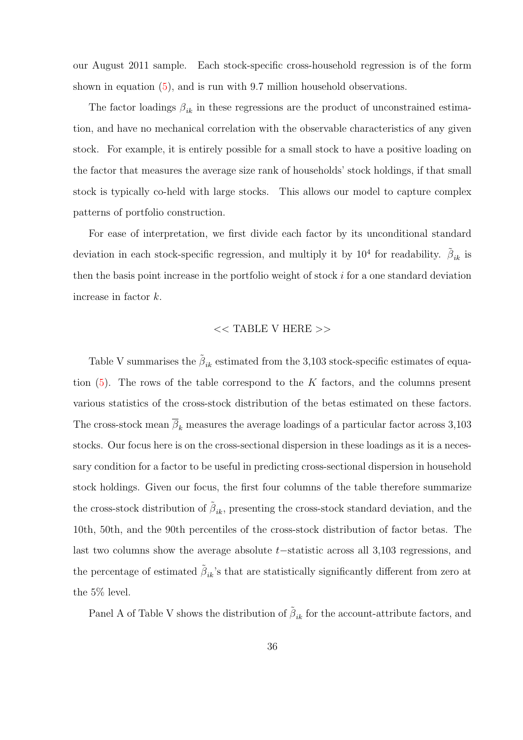our August 2011 sample. Each stock-specific cross-household regression is of the form shown in equation [\(5\)](#page-32-1), and is run with 9.7 million household observations.

The factor loadings  $\beta_{ik}$  in these regressions are the product of unconstrained estimation, and have no mechanical correlation with the observable characteristics of any given stock. For example, it is entirely possible for a small stock to have a positive loading on the factor that measures the average size rank of households' stock holdings, if that small stock is typically co-held with large stocks. This allows our model to capture complex patterns of portfolio construction.

For ease of interpretation, we first divide each factor by its unconditional standard deviation in each stock-specific regression, and multiply it by  $10^4$  for readability.  $\tilde{\beta}_{ik}$  is then the basis point increase in the portfolio weight of stock  $i$  for a one standard deviation increase in factor k.

#### $<<$  TABLE V HERE  $>>$

Table V summarises the  $\tilde{\beta}_{ik}$  estimated from the 3,103 stock-specific estimates of equation  $(5)$ . The rows of the table correspond to the K factors, and the columns present various statistics of the cross-stock distribution of the betas estimated on these factors. The cross-stock mean  $\overline{\beta}_k$  measures the average loadings of a particular factor across 3,103 stocks. Our focus here is on the cross-sectional dispersion in these loadings as it is a necessary condition for a factor to be useful in predicting cross-sectional dispersion in household stock holdings. Given our focus, the first four columns of the table therefore summarize the cross-stock distribution of  $\tilde{\beta}_{ik}$ , presenting the cross-stock standard deviation, and the 10th, 50th, and the 90th percentiles of the cross-stock distribution of factor betas. The last two columns show the average absolute t−statistic across all 3,103 regressions, and the percentage of estimated  $\tilde{\beta}_{ik}$ 's that are statistically significantly different from zero at the 5% level.

Panel A of Table V shows the distribution of  $\tilde{\beta}_{ik}$  for the account-attribute factors, and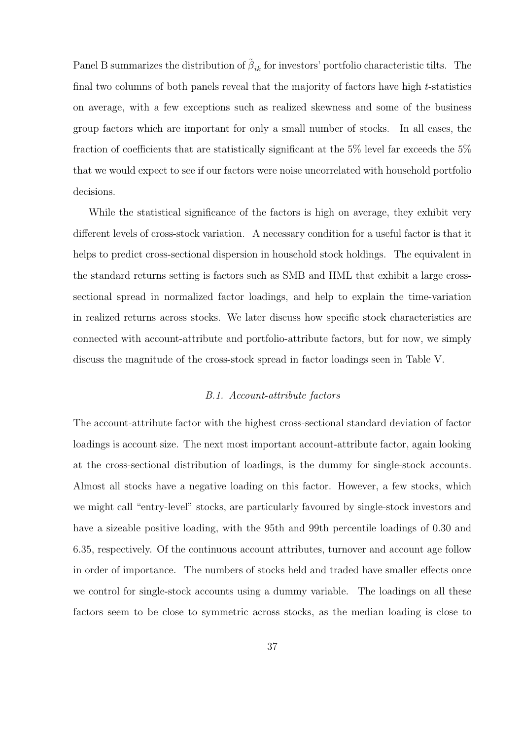Panel B summarizes the distribution of  $\tilde{\beta}_{ik}$  for investors' portfolio characteristic tilts. The final two columns of both panels reveal that the majority of factors have high t-statistics on average, with a few exceptions such as realized skewness and some of the business group factors which are important for only a small number of stocks. In all cases, the fraction of coefficients that are statistically significant at the 5% level far exceeds the 5% that we would expect to see if our factors were noise uncorrelated with household portfolio decisions.

While the statistical significance of the factors is high on average, they exhibit very different levels of cross-stock variation. A necessary condition for a useful factor is that it helps to predict cross-sectional dispersion in household stock holdings. The equivalent in the standard returns setting is factors such as SMB and HML that exhibit a large crosssectional spread in normalized factor loadings, and help to explain the time-variation in realized returns across stocks. We later discuss how specific stock characteristics are connected with account-attribute and portfolio-attribute factors, but for now, we simply discuss the magnitude of the cross-stock spread in factor loadings seen in Table V.

#### B.1. Account-attribute factors

The account-attribute factor with the highest cross-sectional standard deviation of factor loadings is account size. The next most important account-attribute factor, again looking at the cross-sectional distribution of loadings, is the dummy for single-stock accounts. Almost all stocks have a negative loading on this factor. However, a few stocks, which we might call "entry-level" stocks, are particularly favoured by single-stock investors and have a sizeable positive loading, with the 95th and 99th percentile loadings of 0.30 and 6.35, respectively. Of the continuous account attributes, turnover and account age follow in order of importance. The numbers of stocks held and traded have smaller effects once we control for single-stock accounts using a dummy variable. The loadings on all these factors seem to be close to symmetric across stocks, as the median loading is close to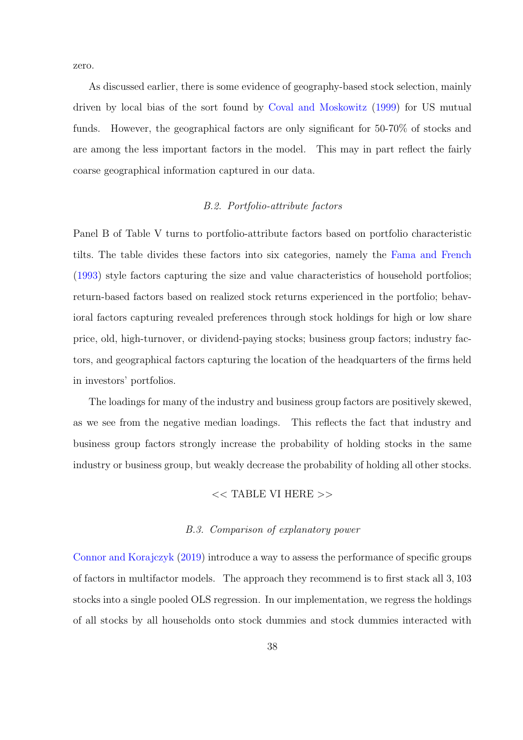zero.

As discussed earlier, there is some evidence of geography-based stock selection, mainly driven by local bias of the sort found by [Coval and Moskowitz](#page-51-9) [\(1999\)](#page-51-9) for US mutual funds. However, the geographical factors are only significant for 50-70% of stocks and are among the less important factors in the model. This may in part reflect the fairly coarse geographical information captured in our data.

#### B.2. Portfolio-attribute factors

Panel B of Table V turns to portfolio-attribute factors based on portfolio characteristic tilts. The table divides these factors into six categories, namely the [Fama and French](#page-51-2) [\(1993\)](#page-51-2) style factors capturing the size and value characteristics of household portfolios; return-based factors based on realized stock returns experienced in the portfolio; behavioral factors capturing revealed preferences through stock holdings for high or low share price, old, high-turnover, or dividend-paying stocks; business group factors; industry factors, and geographical factors capturing the location of the headquarters of the firms held in investors' portfolios.

The loadings for many of the industry and business group factors are positively skewed, as we see from the negative median loadings. This reflects the fact that industry and business group factors strongly increase the probability of holding stocks in the same industry or business group, but weakly decrease the probability of holding all other stocks.

#### << TABLE VI HERE >>

#### B.3. Comparison of explanatory power

[Connor and Korajczyk](#page-51-6) [\(2019\)](#page-51-6) introduce a way to assess the performance of specific groups of factors in multifactor models. The approach they recommend is to first stack all 3, 103 stocks into a single pooled OLS regression. In our implementation, we regress the holdings of all stocks by all households onto stock dummies and stock dummies interacted with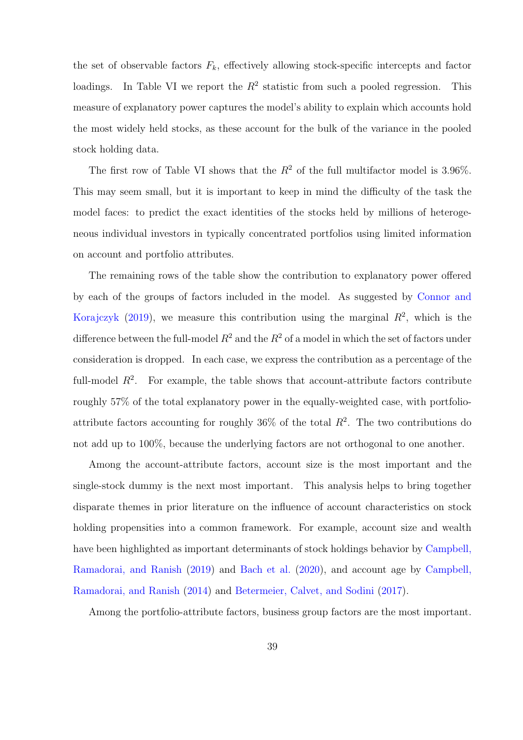the set of observable factors  $F_k$ , effectively allowing stock-specific intercepts and factor loadings. In Table VI we report the  $R^2$  statistic from such a pooled regression. This measure of explanatory power captures the model's ability to explain which accounts hold the most widely held stocks, as these account for the bulk of the variance in the pooled stock holding data.

The first row of Table VI shows that the  $R^2$  of the full multifactor model is 3.96%. This may seem small, but it is important to keep in mind the difficulty of the task the model faces: to predict the exact identities of the stocks held by millions of heterogeneous individual investors in typically concentrated portfolios using limited information on account and portfolio attributes.

The remaining rows of the table show the contribution to explanatory power offered by each of the groups of factors included in the model. As suggested by [Connor and](#page-51-6) [Korajczyk](#page-51-6) [\(2019\)](#page-51-6), we measure this contribution using the marginal  $R^2$ , which is the difference between the full-model  $R^2$  and the  $R^2$  of a model in which the set of factors under consideration is dropped. In each case, we express the contribution as a percentage of the full-model  $R^2$ . For example, the table shows that account-attribute factors contribute roughly 57% of the total explanatory power in the equally-weighted case, with portfolioattribute factors accounting for roughly  $36\%$  of the total  $R^2$ . The two contributions do not add up to 100%, because the underlying factors are not orthogonal to one another.

Among the account-attribute factors, account size is the most important and the single-stock dummy is the next most important. This analysis helps to bring together disparate themes in prior literature on the influence of account characteristics on stock holding propensities into a common framework. For example, account size and wealth have been highlighted as important determinants of stock holdings behavior by [Campbell,](#page-50-3) [Ramadorai, and Ranish](#page-50-3) [\(2019\)](#page-50-3) and [Bach et al.](#page-49-7) [\(2020\)](#page-49-7), and account age by [Campbell,](#page-50-2) [Ramadorai, and Ranish](#page-50-2) [\(2014\)](#page-50-2) and [Betermeier, Calvet, and Sodini](#page-50-1) [\(2017\)](#page-50-1).

Among the portfolio-attribute factors, business group factors are the most important.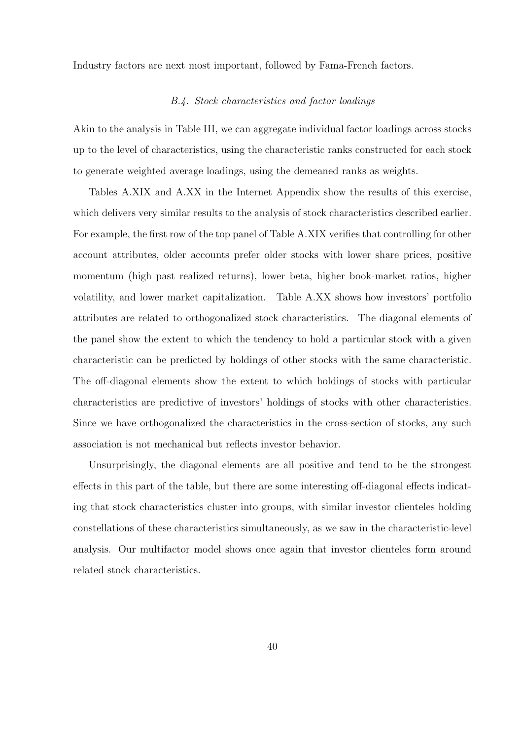Industry factors are next most important, followed by Fama-French factors.

#### B.4. Stock characteristics and factor loadings

Akin to the analysis in Table III, we can aggregate individual factor loadings across stocks up to the level of characteristics, using the characteristic ranks constructed for each stock to generate weighted average loadings, using the demeaned ranks as weights.

Tables A.XIX and A.XX in the Internet Appendix show the results of this exercise, which delivers very similar results to the analysis of stock characteristics described earlier. For example, the first row of the top panel of Table A.XIX verifies that controlling for other account attributes, older accounts prefer older stocks with lower share prices, positive momentum (high past realized returns), lower beta, higher book-market ratios, higher volatility, and lower market capitalization. Table A.XX shows how investors' portfolio attributes are related to orthogonalized stock characteristics. The diagonal elements of the panel show the extent to which the tendency to hold a particular stock with a given characteristic can be predicted by holdings of other stocks with the same characteristic. The off-diagonal elements show the extent to which holdings of stocks with particular characteristics are predictive of investors' holdings of stocks with other characteristics. Since we have orthogonalized the characteristics in the cross-section of stocks, any such association is not mechanical but reflects investor behavior.

Unsurprisingly, the diagonal elements are all positive and tend to be the strongest effects in this part of the table, but there are some interesting off-diagonal effects indicating that stock characteristics cluster into groups, with similar investor clienteles holding constellations of these characteristics simultaneously, as we saw in the characteristic-level analysis. Our multifactor model shows once again that investor clienteles form around related stock characteristics.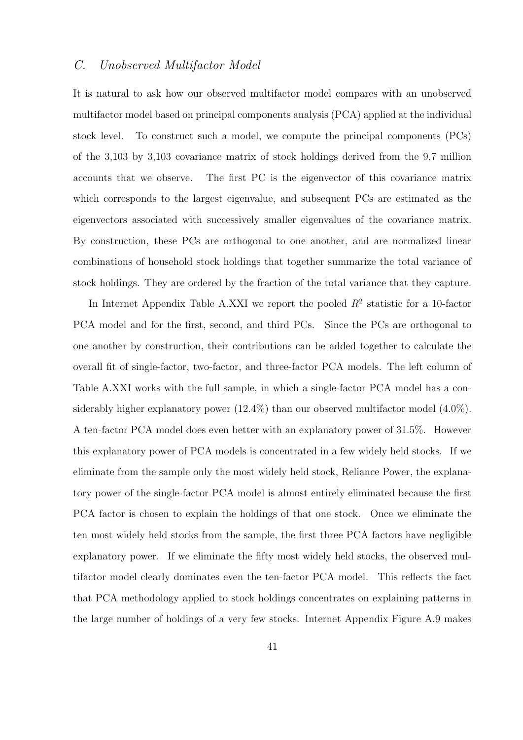## C. Unobserved Multifactor Model

It is natural to ask how our observed multifactor model compares with an unobserved multifactor model based on principal components analysis (PCA) applied at the individual stock level. To construct such a model, we compute the principal components (PCs) of the 3,103 by 3,103 covariance matrix of stock holdings derived from the 9.7 million accounts that we observe. The first PC is the eigenvector of this covariance matrix which corresponds to the largest eigenvalue, and subsequent PCs are estimated as the eigenvectors associated with successively smaller eigenvalues of the covariance matrix. By construction, these PCs are orthogonal to one another, and are normalized linear combinations of household stock holdings that together summarize the total variance of stock holdings. They are ordered by the fraction of the total variance that they capture.

In Internet Appendix Table A.XXI we report the pooled  $R^2$  statistic for a 10-factor PCA model and for the first, second, and third PCs. Since the PCs are orthogonal to one another by construction, their contributions can be added together to calculate the overall fit of single-factor, two-factor, and three-factor PCA models. The left column of Table A.XXI works with the full sample, in which a single-factor PCA model has a considerably higher explanatory power  $(12.4\%)$  than our observed multifactor model  $(4.0\%)$ . A ten-factor PCA model does even better with an explanatory power of 31.5%. However this explanatory power of PCA models is concentrated in a few widely held stocks. If we eliminate from the sample only the most widely held stock, Reliance Power, the explanatory power of the single-factor PCA model is almost entirely eliminated because the first PCA factor is chosen to explain the holdings of that one stock. Once we eliminate the ten most widely held stocks from the sample, the first three PCA factors have negligible explanatory power. If we eliminate the fifty most widely held stocks, the observed multifactor model clearly dominates even the ten-factor PCA model. This reflects the fact that PCA methodology applied to stock holdings concentrates on explaining patterns in the large number of holdings of a very few stocks. Internet Appendix Figure A.9 makes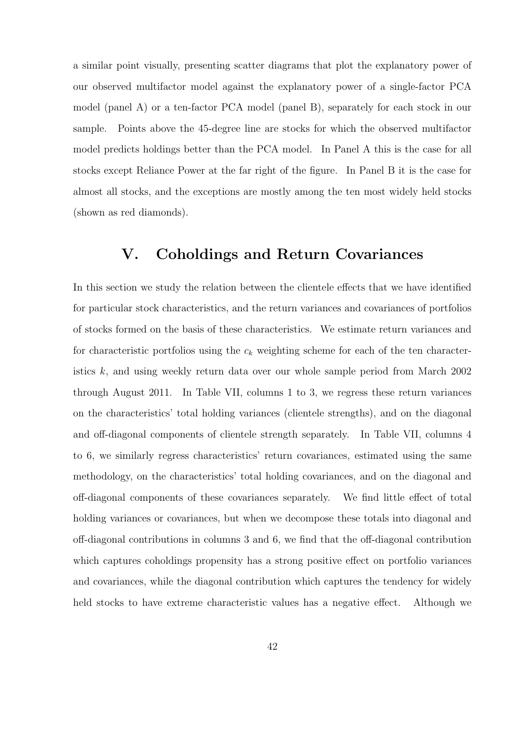a similar point visually, presenting scatter diagrams that plot the explanatory power of our observed multifactor model against the explanatory power of a single-factor PCA model (panel A) or a ten-factor PCA model (panel B), separately for each stock in our sample. Points above the 45-degree line are stocks for which the observed multifactor model predicts holdings better than the PCA model. In Panel A this is the case for all stocks except Reliance Power at the far right of the figure. In Panel B it is the case for almost all stocks, and the exceptions are mostly among the ten most widely held stocks (shown as red diamonds).

## <span id="page-41-0"></span>V. Coholdings and Return Covariances

In this section we study the relation between the clientele effects that we have identified for particular stock characteristics, and the return variances and covariances of portfolios of stocks formed on the basis of these characteristics. We estimate return variances and for characteristic portfolios using the  $c_k$  weighting scheme for each of the ten characteristics k, and using weekly return data over our whole sample period from March 2002 through August 2011. In Table VII, columns 1 to 3, we regress these return variances on the characteristics' total holding variances (clientele strengths), and on the diagonal and off-diagonal components of clientele strength separately. In Table VII, columns 4 to 6, we similarly regress characteristics' return covariances, estimated using the same methodology, on the characteristics' total holding covariances, and on the diagonal and off-diagonal components of these covariances separately. We find little effect of total holding variances or covariances, but when we decompose these totals into diagonal and off-diagonal contributions in columns 3 and 6, we find that the off-diagonal contribution which captures coholdings propensity has a strong positive effect on portfolio variances and covariances, while the diagonal contribution which captures the tendency for widely held stocks to have extreme characteristic values has a negative effect. Although we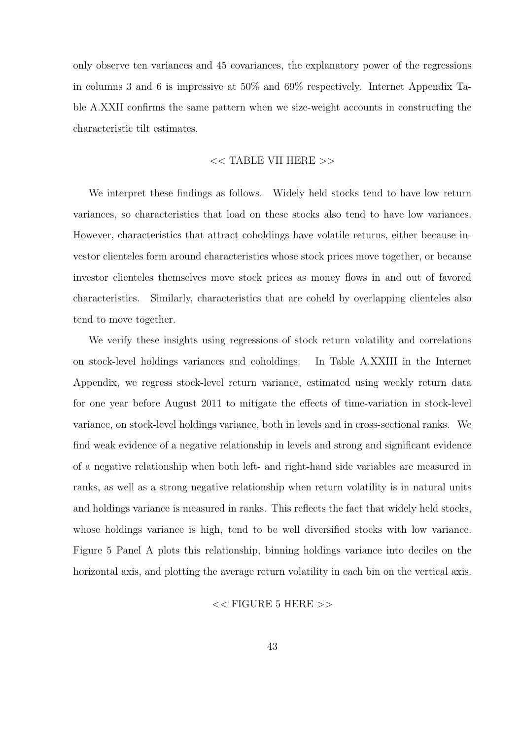only observe ten variances and 45 covariances, the explanatory power of the regressions in columns 3 and 6 is impressive at 50% and 69% respectively. Internet Appendix Table A.XXII confirms the same pattern when we size-weight accounts in constructing the characteristic tilt estimates.

#### << TABLE VII HERE >>

We interpret these findings as follows. Widely held stocks tend to have low return variances, so characteristics that load on these stocks also tend to have low variances. However, characteristics that attract coholdings have volatile returns, either because investor clienteles form around characteristics whose stock prices move together, or because investor clienteles themselves move stock prices as money flows in and out of favored characteristics. Similarly, characteristics that are coheld by overlapping clienteles also tend to move together.

We verify these insights using regressions of stock return volatility and correlations on stock-level holdings variances and coholdings. In Table A.XXIII in the Internet Appendix, we regress stock-level return variance, estimated using weekly return data for one year before August 2011 to mitigate the effects of time-variation in stock-level variance, on stock-level holdings variance, both in levels and in cross-sectional ranks. We find weak evidence of a negative relationship in levels and strong and significant evidence of a negative relationship when both left- and right-hand side variables are measured in ranks, as well as a strong negative relationship when return volatility is in natural units and holdings variance is measured in ranks. This reflects the fact that widely held stocks, whose holdings variance is high, tend to be well diversified stocks with low variance. Figure 5 Panel A plots this relationship, binning holdings variance into deciles on the horizontal axis, and plotting the average return volatility in each bin on the vertical axis.

#### $<<$  FIGURE 5 HERE  $>>$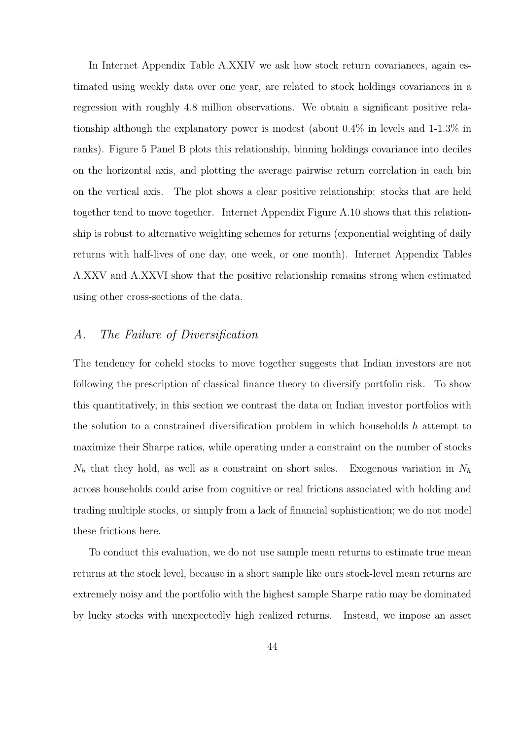In Internet Appendix Table A.XXIV we ask how stock return covariances, again estimated using weekly data over one year, are related to stock holdings covariances in a regression with roughly 4.8 million observations. We obtain a significant positive relationship although the explanatory power is modest (about 0.4% in levels and 1-1.3% in ranks). Figure 5 Panel B plots this relationship, binning holdings covariance into deciles on the horizontal axis, and plotting the average pairwise return correlation in each bin on the vertical axis. The plot shows a clear positive relationship: stocks that are held together tend to move together. Internet Appendix Figure A.10 shows that this relationship is robust to alternative weighting schemes for returns (exponential weighting of daily returns with half-lives of one day, one week, or one month). Internet Appendix Tables A.XXV and A.XXVI show that the positive relationship remains strong when estimated using other cross-sections of the data.

## A. The Failure of Diversification

The tendency for coheld stocks to move together suggests that Indian investors are not following the prescription of classical finance theory to diversify portfolio risk. To show this quantitatively, in this section we contrast the data on Indian investor portfolios with the solution to a constrained diversification problem in which households  $h$  attempt to maximize their Sharpe ratios, while operating under a constraint on the number of stocks  $N_h$  that they hold, as well as a constraint on short sales. Exogenous variation in  $N_h$ across households could arise from cognitive or real frictions associated with holding and trading multiple stocks, or simply from a lack of financial sophistication; we do not model these frictions here.

To conduct this evaluation, we do not use sample mean returns to estimate true mean returns at the stock level, because in a short sample like ours stock-level mean returns are extremely noisy and the portfolio with the highest sample Sharpe ratio may be dominated by lucky stocks with unexpectedly high realized returns. Instead, we impose an asset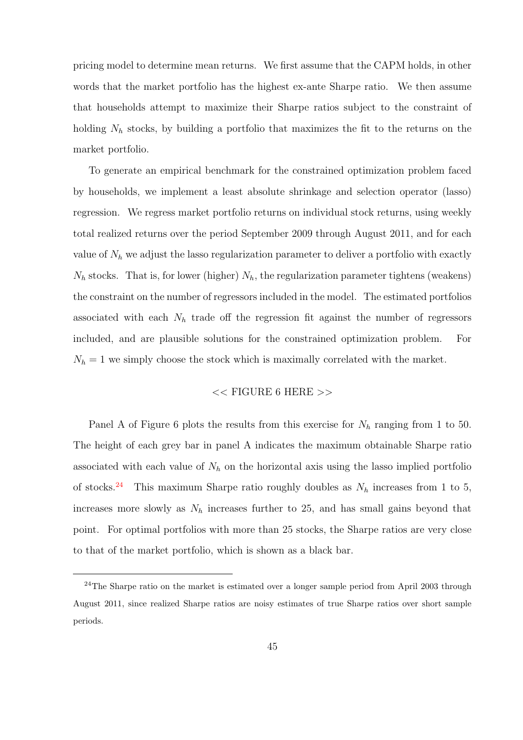pricing model to determine mean returns. We first assume that the CAPM holds, in other words that the market portfolio has the highest ex-ante Sharpe ratio. We then assume that households attempt to maximize their Sharpe ratios subject to the constraint of holding  $N_h$  stocks, by building a portfolio that maximizes the fit to the returns on the market portfolio.

To generate an empirical benchmark for the constrained optimization problem faced by households, we implement a least absolute shrinkage and selection operator (lasso) regression. We regress market portfolio returns on individual stock returns, using weekly total realized returns over the period September 2009 through August 2011, and for each value of  $N_h$  we adjust the lasso regularization parameter to deliver a portfolio with exactly  $N_h$  stocks. That is, for lower (higher)  $N_h$ , the regularization parameter tightens (weakens) the constraint on the number of regressors included in the model. The estimated portfolios associated with each  $N_h$  trade off the regression fit against the number of regressors included, and are plausible solutions for the constrained optimization problem. For  $N_h = 1$  we simply choose the stock which is maximally correlated with the market.

### << FIGURE 6 HERE >>

Panel A of Figure 6 plots the results from this exercise for  $N_h$  ranging from 1 to 50. The height of each grey bar in panel A indicates the maximum obtainable Sharpe ratio associated with each value of  $N_h$  on the horizontal axis using the lasso implied portfolio of stocks.<sup>[24](#page-0-0)</sup> This maximum Sharpe ratio roughly doubles as  $N_h$  increases from 1 to 5, increases more slowly as  $N_h$  increases further to 25, and has small gains beyond that point. For optimal portfolios with more than 25 stocks, the Sharpe ratios are very close to that of the market portfolio, which is shown as a black bar.

<sup>&</sup>lt;sup>24</sup>The Sharpe ratio on the market is estimated over a longer sample period from April 2003 through August 2011, since realized Sharpe ratios are noisy estimates of true Sharpe ratios over short sample periods.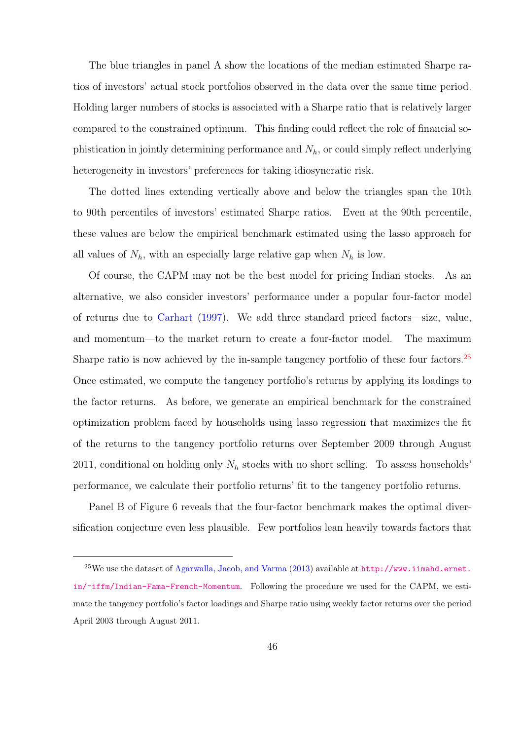The blue triangles in panel A show the locations of the median estimated Sharpe ratios of investors' actual stock portfolios observed in the data over the same time period. Holding larger numbers of stocks is associated with a Sharpe ratio that is relatively larger compared to the constrained optimum. This finding could reflect the role of financial sophistication in jointly determining performance and  $N_h$ , or could simply reflect underlying heterogeneity in investors' preferences for taking idiosyncratic risk.

The dotted lines extending vertically above and below the triangles span the 10th to 90th percentiles of investors' estimated Sharpe ratios. Even at the 90th percentile, these values are below the empirical benchmark estimated using the lasso approach for all values of  $N_h$ , with an especially large relative gap when  $N_h$  is low.

Of course, the CAPM may not be the best model for pricing Indian stocks. As an alternative, we also consider investors' performance under a popular four-factor model of returns due to [Carhart](#page-51-3) [\(1997\)](#page-51-3). We add three standard priced factors—size, value, and momentum—to the market return to create a four-factor model. The maximum Sharpe ratio is now achieved by the in-sample tangency portfolio of these four factors.<sup>[25](#page-0-0)</sup> Once estimated, we compute the tangency portfolio's returns by applying its loadings to the factor returns. As before, we generate an empirical benchmark for the constrained optimization problem faced by households using lasso regression that maximizes the fit of the returns to the tangency portfolio returns over September 2009 through August 2011, conditional on holding only  $N_h$  stocks with no short selling. To assess households' performance, we calculate their portfolio returns' fit to the tangency portfolio returns.

Panel B of Figure 6 reveals that the four-factor benchmark makes the optimal diversification conjecture even less plausible. Few portfolios lean heavily towards factors that

 $^{25}$ We use the dataset of [Agarwalla, Jacob, and Varma](#page-49-8) [\(2013\)](#page-49-8) available at  $http://www.iimahd.ernet.$ [in/~iffm/Indian-Fama-French-Momentum](http://www.iimahd.ernet.in/~iffm/Indian-Fama-French-Momentum). Following the procedure we used for the CAPM, we estimate the tangency portfolio's factor loadings and Sharpe ratio using weekly factor returns over the period April 2003 through August 2011.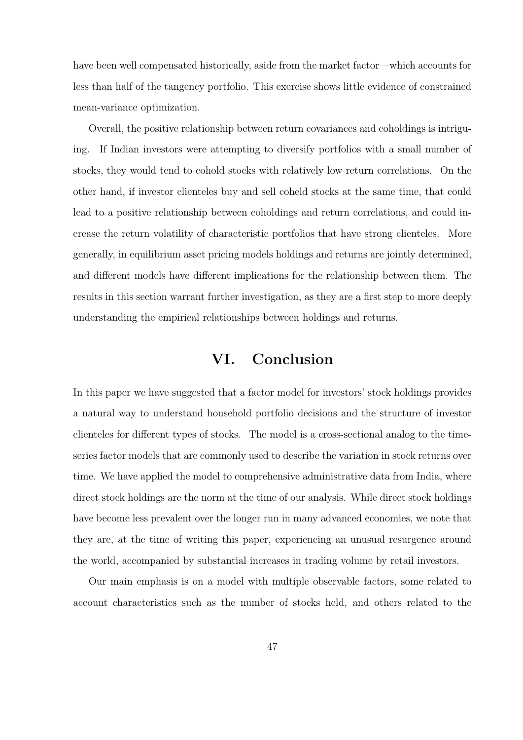have been well compensated historically, aside from the market factor—which accounts for less than half of the tangency portfolio. This exercise shows little evidence of constrained mean-variance optimization.

Overall, the positive relationship between return covariances and coholdings is intriguing. If Indian investors were attempting to diversify portfolios with a small number of stocks, they would tend to cohold stocks with relatively low return correlations. On the other hand, if investor clienteles buy and sell coheld stocks at the same time, that could lead to a positive relationship between coholdings and return correlations, and could increase the return volatility of characteristic portfolios that have strong clienteles. More generally, in equilibrium asset pricing models holdings and returns are jointly determined, and different models have different implications for the relationship between them. The results in this section warrant further investigation, as they are a first step to more deeply understanding the empirical relationships between holdings and returns.

## VI. Conclusion

<span id="page-46-0"></span>In this paper we have suggested that a factor model for investors' stock holdings provides a natural way to understand household portfolio decisions and the structure of investor clienteles for different types of stocks. The model is a cross-sectional analog to the timeseries factor models that are commonly used to describe the variation in stock returns over time. We have applied the model to comprehensive administrative data from India, where direct stock holdings are the norm at the time of our analysis. While direct stock holdings have become less prevalent over the longer run in many advanced economies, we note that they are, at the time of writing this paper, experiencing an unusual resurgence around the world, accompanied by substantial increases in trading volume by retail investors.

Our main emphasis is on a model with multiple observable factors, some related to account characteristics such as the number of stocks held, and others related to the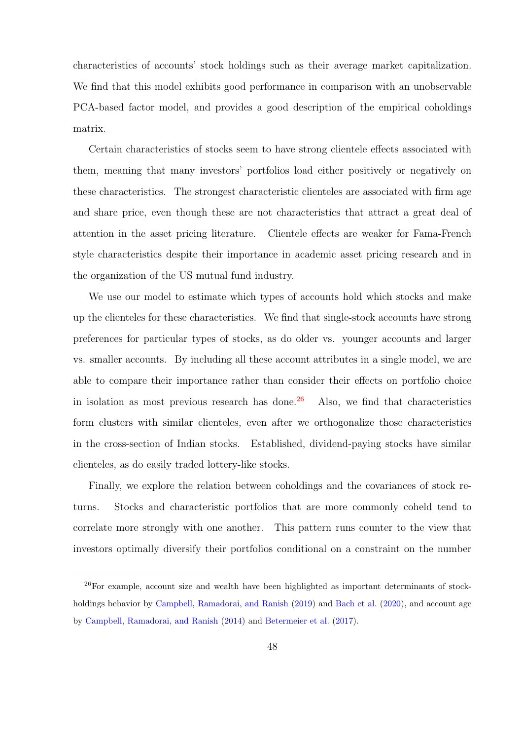characteristics of accounts' stock holdings such as their average market capitalization. We find that this model exhibits good performance in comparison with an unobservable PCA-based factor model, and provides a good description of the empirical coholdings matrix.

Certain characteristics of stocks seem to have strong clientele effects associated with them, meaning that many investors' portfolios load either positively or negatively on these characteristics. The strongest characteristic clienteles are associated with firm age and share price, even though these are not characteristics that attract a great deal of attention in the asset pricing literature. Clientele effects are weaker for Fama-French style characteristics despite their importance in academic asset pricing research and in the organization of the US mutual fund industry.

We use our model to estimate which types of accounts hold which stocks and make up the clienteles for these characteristics. We find that single-stock accounts have strong preferences for particular types of stocks, as do older vs. younger accounts and larger vs. smaller accounts. By including all these account attributes in a single model, we are able to compare their importance rather than consider their effects on portfolio choice in isolation as most previous research has done.<sup>[26](#page-0-0)</sup> Also, we find that characteristics form clusters with similar clienteles, even after we orthogonalize those characteristics in the cross-section of Indian stocks. Established, dividend-paying stocks have similar clienteles, as do easily traded lottery-like stocks.

Finally, we explore the relation between coholdings and the covariances of stock returns. Stocks and characteristic portfolios that are more commonly coheld tend to correlate more strongly with one another. This pattern runs counter to the view that investors optimally diversify their portfolios conditional on a constraint on the number

<sup>&</sup>lt;sup>26</sup>For example, account size and wealth have been highlighted as important determinants of stock-holdings behavior by [Campbell, Ramadorai, and Ranish](#page-50-3) [\(2019\)](#page-50-3) and [Bach et al.](#page-49-7) [\(2020\)](#page-49-7), and account age by [Campbell, Ramadorai, and Ranish](#page-50-2) [\(2014\)](#page-50-2) and [Betermeier et al.](#page-50-1) [\(2017\)](#page-50-1).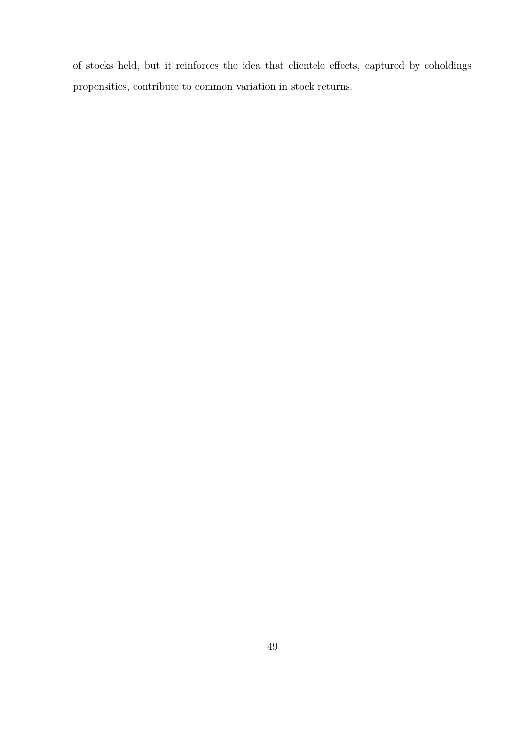of stocks held, but it reinforces the idea that clientele effects, captured by coholdings propensities, contribute to common variation in stock returns.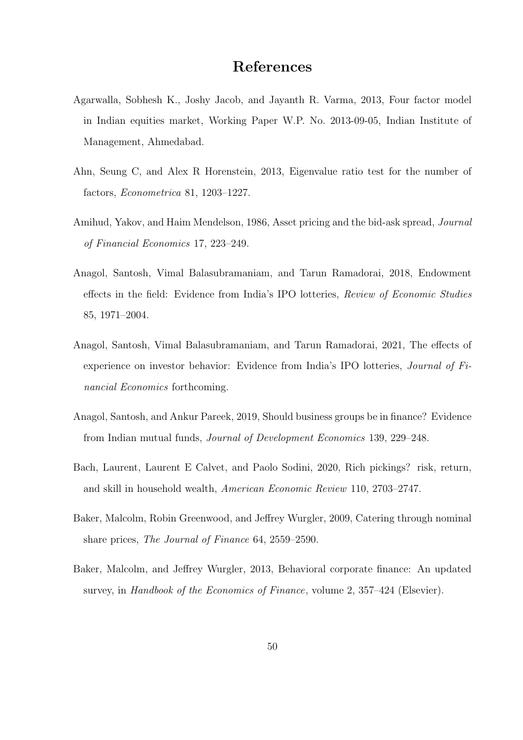## References

- <span id="page-49-8"></span>Agarwalla, Sobhesh K., Joshy Jacob, and Jayanth R. Varma, 2013, Four factor model in Indian equities market, Working Paper W.P. No. 2013-09-05, Indian Institute of Management, Ahmedabad.
- <span id="page-49-5"></span>Ahn, Seung C, and Alex R Horenstein, 2013, Eigenvalue ratio test for the number of factors, Econometrica 81, 1203–1227.
- <span id="page-49-0"></span>Amihud, Yakov, and Haim Mendelson, 1986, Asset pricing and the bid-ask spread, Journal of Financial Economics 17, 223–249.
- <span id="page-49-6"></span>Anagol, Santosh, Vimal Balasubramaniam, and Tarun Ramadorai, 2018, Endowment effects in the field: Evidence from India's IPO lotteries, Review of Economic Studies 85, 1971–2004.
- <span id="page-49-4"></span>Anagol, Santosh, Vimal Balasubramaniam, and Tarun Ramadorai, 2021, The effects of experience on investor behavior: Evidence from India's IPO lotteries, Journal of Financial Economics forthcoming.
- <span id="page-49-3"></span>Anagol, Santosh, and Ankur Pareek, 2019, Should business groups be in finance? Evidence from Indian mutual funds, Journal of Development Economics 139, 229–248.
- <span id="page-49-7"></span>Bach, Laurent, Laurent E Calvet, and Paolo Sodini, 2020, Rich pickings? risk, return, and skill in household wealth, American Economic Review 110, 2703–2747.
- <span id="page-49-1"></span>Baker, Malcolm, Robin Greenwood, and Jeffrey Wurgler, 2009, Catering through nominal share prices, The Journal of Finance 64, 2559–2590.
- <span id="page-49-2"></span>Baker, Malcolm, and Jeffrey Wurgler, 2013, Behavioral corporate finance: An updated survey, in Handbook of the Economics of Finance, volume 2, 357-424 (Elsevier).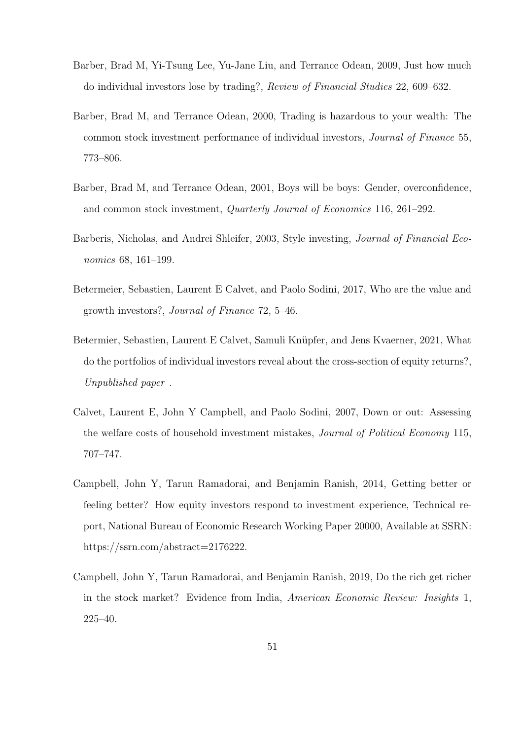- <span id="page-50-4"></span>Barber, Brad M, Yi-Tsung Lee, Yu-Jane Liu, and Terrance Odean, 2009, Just how much do individual investors lose by trading?, Review of Financial Studies 22, 609–632.
- <span id="page-50-5"></span>Barber, Brad M, and Terrance Odean, 2000, Trading is hazardous to your wealth: The common stock investment performance of individual investors, Journal of Finance 55, 773–806.
- <span id="page-50-6"></span>Barber, Brad M, and Terrance Odean, 2001, Boys will be boys: Gender, overconfidence, and common stock investment, Quarterly Journal of Economics 116, 261–292.
- <span id="page-50-8"></span>Barberis, Nicholas, and Andrei Shleifer, 2003, Style investing, Journal of Financial Economics 68, 161–199.
- <span id="page-50-1"></span>Betermeier, Sebastien, Laurent E Calvet, and Paolo Sodini, 2017, Who are the value and growth investors?, Journal of Finance 72, 5–46.
- <span id="page-50-7"></span>Betermier, Sebastien, Laurent E Calvet, Samuli Knüpfer, and Jens Kvaerner, 2021, What do the portfolios of individual investors reveal about the cross-section of equity returns?, Unpublished paper .
- <span id="page-50-0"></span>Calvet, Laurent E, John Y Campbell, and Paolo Sodini, 2007, Down or out: Assessing the welfare costs of household investment mistakes, Journal of Political Economy 115, 707–747.
- <span id="page-50-2"></span>Campbell, John Y, Tarun Ramadorai, and Benjamin Ranish, 2014, Getting better or feeling better? How equity investors respond to investment experience, Technical report, National Bureau of Economic Research Working Paper 20000, Available at SSRN: https://ssrn.com/abstract=2176222.
- <span id="page-50-3"></span>Campbell, John Y, Tarun Ramadorai, and Benjamin Ranish, 2019, Do the rich get richer in the stock market? Evidence from India, American Economic Review: Insights 1, 225–40.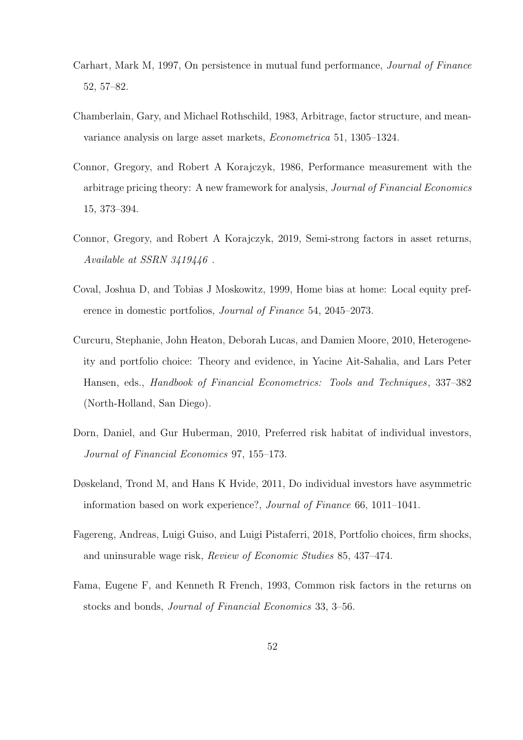- <span id="page-51-3"></span>Carhart, Mark M, 1997, On persistence in mutual fund performance, Journal of Finance 52, 57–82.
- <span id="page-51-4"></span>Chamberlain, Gary, and Michael Rothschild, 1983, Arbitrage, factor structure, and meanvariance analysis on large asset markets, Econometrica 51, 1305–1324.
- <span id="page-51-5"></span>Connor, Gregory, and Robert A Korajczyk, 1986, Performance measurement with the arbitrage pricing theory: A new framework for analysis, Journal of Financial Economics 15, 373–394.
- <span id="page-51-6"></span>Connor, Gregory, and Robert A Korajczyk, 2019, Semi-strong factors in asset returns, Available at SSRN 3419446 .
- <span id="page-51-9"></span>Coval, Joshua D, and Tobias J Moskowitz, 1999, Home bias at home: Local equity preference in domestic portfolios, Journal of Finance 54, 2045–2073.
- <span id="page-51-0"></span>Curcuru, Stephanie, John Heaton, Deborah Lucas, and Damien Moore, 2010, Heterogeneity and portfolio choice: Theory and evidence, in Yacine Ait-Sahalia, and Lars Peter Hansen, eds., Handbook of Financial Econometrics: Tools and Techniques, 337–382 (North-Holland, San Diego).
- <span id="page-51-7"></span>Dorn, Daniel, and Gur Huberman, 2010, Preferred risk habitat of individual investors, Journal of Financial Economics 97, 155–173.
- <span id="page-51-8"></span>Døskeland, Trond M, and Hans K Hvide, 2011, Do individual investors have asymmetric information based on work experience?, Journal of Finance 66, 1011–1041.
- <span id="page-51-1"></span>Fagereng, Andreas, Luigi Guiso, and Luigi Pistaferri, 2018, Portfolio choices, firm shocks, and uninsurable wage risk, Review of Economic Studies 85, 437–474.
- <span id="page-51-2"></span>Fama, Eugene F, and Kenneth R French, 1993, Common risk factors in the returns on stocks and bonds, Journal of Financial Economics 33, 3–56.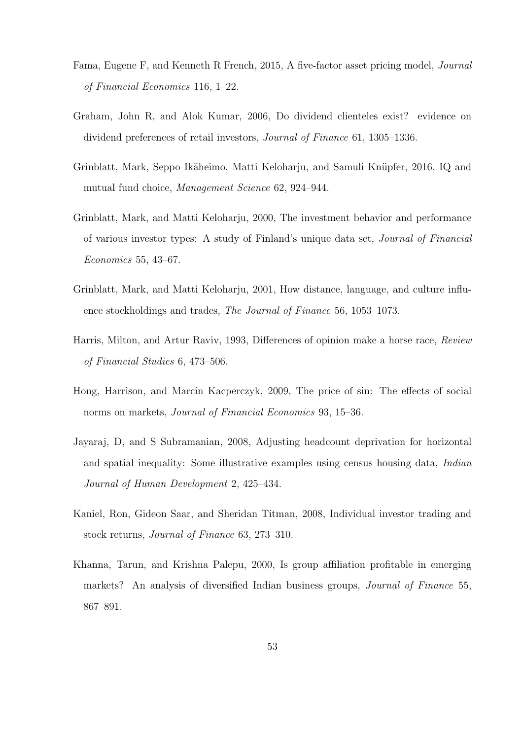- <span id="page-52-2"></span>Fama, Eugene F, and Kenneth R French, 2015, A five-factor asset pricing model, Journal of Financial Economics 116, 1–22.
- <span id="page-52-5"></span>Graham, John R, and Alok Kumar, 2006, Do dividend clienteles exist? evidence on dividend preferences of retail investors, Journal of Finance 61, 1305–1336.
- <span id="page-52-7"></span>Grinblatt, Mark, Seppo Ikäheimo, Matti Keloharju, and Samuli Knüpfer, 2016, IQ and mutual fund choice, Management Science 62, 924–944.
- <span id="page-52-3"></span>Grinblatt, Mark, and Matti Keloharju, 2000, The investment behavior and performance of various investor types: A study of Finland's unique data set, Journal of Financial Economics 55, 43–67.
- <span id="page-52-8"></span>Grinblatt, Mark, and Matti Keloharju, 2001, How distance, language, and culture influence stockholdings and trades, The Journal of Finance 56, 1053–1073.
- <span id="page-52-0"></span>Harris, Milton, and Artur Raviv, 1993, Differences of opinion make a horse race, Review of Financial Studies 6, 473–506.
- <span id="page-52-1"></span>Hong, Harrison, and Marcin Kacperczyk, 2009, The price of sin: The effects of social norms on markets, Journal of Financial Economics 93, 15–36.
- <span id="page-52-9"></span>Jayaraj, D, and S Subramanian, 2008, Adjusting headcount deprivation for horizontal and spatial inequality: Some illustrative examples using census housing data, *Indian* Journal of Human Development 2, 425–434.
- <span id="page-52-4"></span>Kaniel, Ron, Gideon Saar, and Sheridan Titman, 2008, Individual investor trading and stock returns, Journal of Finance 63, 273–310.
- <span id="page-52-6"></span>Khanna, Tarun, and Krishna Palepu, 2000, Is group affiliation profitable in emerging markets? An analysis of diversified Indian business groups, *Journal of Finance* 55, 867–891.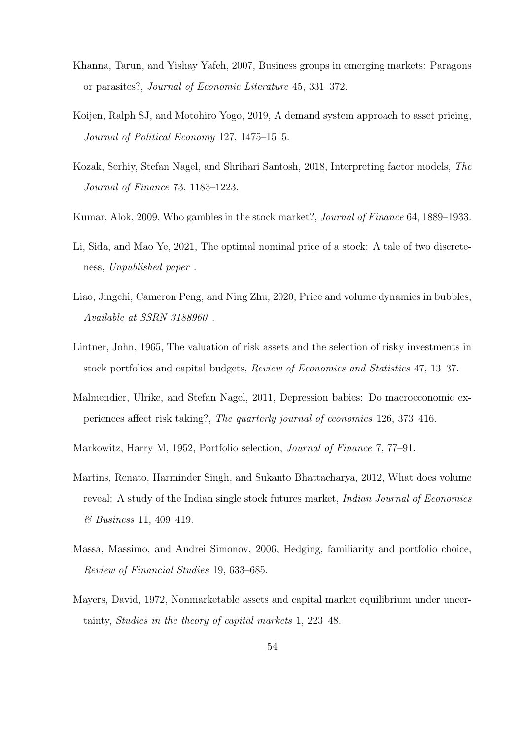- <span id="page-53-3"></span>Khanna, Tarun, and Yishay Yafeh, 2007, Business groups in emerging markets: Paragons or parasites?, Journal of Economic Literature 45, 331–372.
- <span id="page-53-7"></span>Koijen, Ralph SJ, and Motohiro Yogo, 2019, A demand system approach to asset pricing, Journal of Political Economy 127, 1475–1515.
- <span id="page-53-9"></span>Kozak, Serhiy, Stefan Nagel, and Shrihari Santosh, 2018, Interpreting factor models, The Journal of Finance 73, 1183–1223.
- <span id="page-53-4"></span>Kumar, Alok, 2009, Who gambles in the stock market?, Journal of Finance 64, 1889–1933.
- <span id="page-53-11"></span>Li, Sida, and Mao Ye, 2021, The optimal nominal price of a stock: A tale of two discreteness, Unpublished paper .
- <span id="page-53-8"></span>Liao, Jingchi, Cameron Peng, and Ning Zhu, 2020, Price and volume dynamics in bubbles, Available at SSRN 3188960 .
- <span id="page-53-1"></span>Lintner, John, 1965, The valuation of risk assets and the selection of risky investments in stock portfolios and capital budgets, Review of Economics and Statistics 47, 13–37.
- <span id="page-53-5"></span>Malmendier, Ulrike, and Stefan Nagel, 2011, Depression babies: Do macroeconomic experiences affect risk taking?, The quarterly journal of economics 126, 373–416.
- <span id="page-53-0"></span>Markowitz, Harry M, 1952, Portfolio selection, Journal of Finance 7, 77–91.
- <span id="page-53-10"></span>Martins, Renato, Harminder Singh, and Sukanto Bhattacharya, 2012, What does volume reveal: A study of the Indian single stock futures market, Indian Journal of Economics & Business 11, 409–419.
- <span id="page-53-6"></span>Massa, Massimo, and Andrei Simonov, 2006, Hedging, familiarity and portfolio choice, Review of Financial Studies 19, 633–685.
- <span id="page-53-2"></span>Mayers, David, 1972, Nonmarketable assets and capital market equilibrium under uncertainty, Studies in the theory of capital markets 1, 223–48.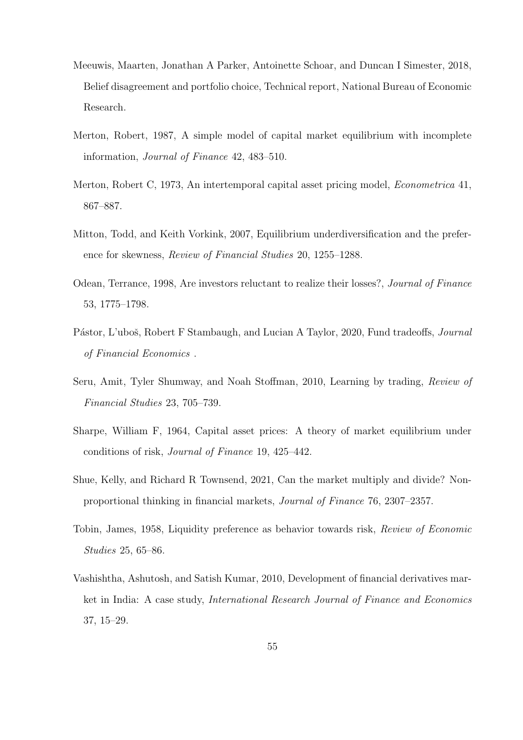- <span id="page-54-4"></span>Meeuwis, Maarten, Jonathan A Parker, Antoinette Schoar, and Duncan I Simester, 2018, Belief disagreement and portfolio choice, Technical report, National Bureau of Economic Research.
- <span id="page-54-3"></span>Merton, Robert, 1987, A simple model of capital market equilibrium with incomplete information, Journal of Finance 42, 483–510.
- <span id="page-54-2"></span>Merton, Robert C, 1973, An intertemporal capital asset pricing model, Econometrica 41, 867–887.
- <span id="page-54-9"></span>Mitton, Todd, and Keith Vorkink, 2007, Equilibrium underdiversification and the preference for skewness, Review of Financial Studies 20, 1255–1288.
- <span id="page-54-6"></span>Odean, Terrance, 1998, Are investors reluctant to realize their losses?, Journal of Finance 53, 1775–1798.
- <span id="page-54-5"></span>Pástor, L'uboš, Robert F Stambaugh, and Lucian A Taylor, 2020, Fund tradeoffs, *Journal* of Financial Economics .
- <span id="page-54-7"></span>Seru, Amit, Tyler Shumway, and Noah Stoffman, 2010, Learning by trading, Review of Financial Studies 23, 705–739.
- <span id="page-54-1"></span>Sharpe, William F, 1964, Capital asset prices: A theory of market equilibrium under conditions of risk, Journal of Finance 19, 425–442.
- <span id="page-54-8"></span>Shue, Kelly, and Richard R Townsend, 2021, Can the market multiply and divide? Nonproportional thinking in financial markets, Journal of Finance 76, 2307–2357.
- <span id="page-54-0"></span>Tobin, James, 1958, Liquidity preference as behavior towards risk, Review of Economic Studies 25, 65–86.
- <span id="page-54-10"></span>Vashishtha, Ashutosh, and Satish Kumar, 2010, Development of financial derivatives market in India: A case study, International Research Journal of Finance and Economics 37, 15–29.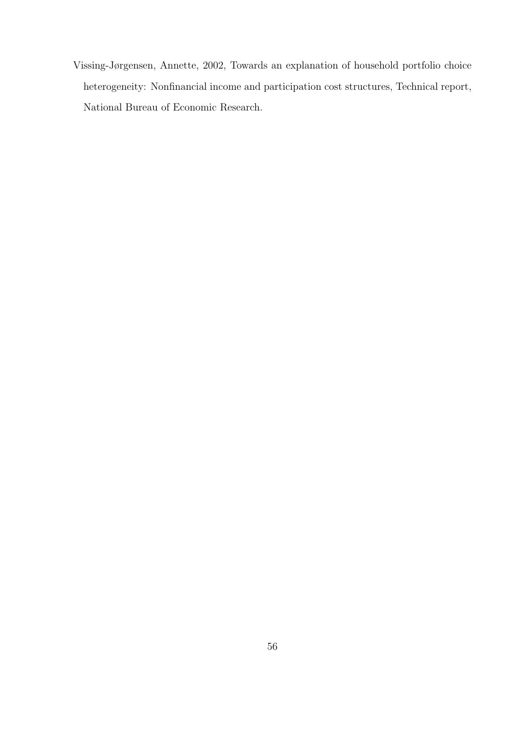<span id="page-55-0"></span>Vissing-Jørgensen, Annette, 2002, Towards an explanation of household portfolio choice heterogeneity: Nonfinancial income and participation cost structures, Technical report, National Bureau of Economic Research.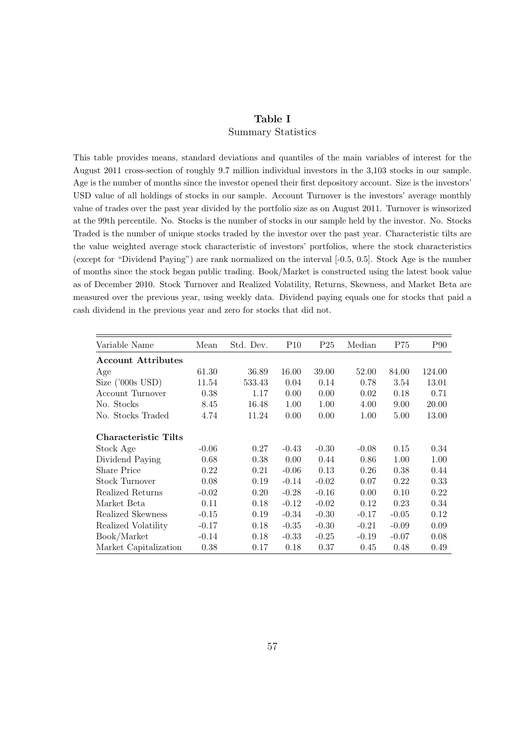## Table I Summary Statistics

This table provides means, standard deviations and quantiles of the main variables of interest for the August 2011 cross-section of roughly 9.7 million individual investors in the 3,103 stocks in our sample. Age is the number of months since the investor opened their first depository account. Size is the investors' USD value of all holdings of stocks in our sample. Account Turnover is the investors' average monthly value of trades over the past year divided by the portfolio size as on August 2011. Turnover is winsorized at the 99th percentile. No. Stocks is the number of stocks in our sample held by the investor. No. Stocks Traded is the number of unique stocks traded by the investor over the past year. Characteristic tilts are the value weighted average stock characteristic of investors' portfolios, where the stock characteristics (except for "Dividend Paying") are rank normalized on the interval [-0.5, 0.5]. Stock Age is the number of months since the stock began public trading. Book/Market is constructed using the latest book value as of December 2010. Stock Turnover and Realized Volatility, Returns, Skewness, and Market Beta are measured over the previous year, using weekly data. Dividend paying equals one for stocks that paid a cash dividend in the previous year and zero for stocks that did not.

| Variable Name             | Mean    | Std. Dev. | P10     | P <sub>25</sub> | Median  | P75     | P90    |
|---------------------------|---------|-----------|---------|-----------------|---------|---------|--------|
| <b>Account Attributes</b> |         |           |         |                 |         |         |        |
| Age                       | 61.30   | 36.89     | 16.00   | 39.00           | 52.00   | 84.00   | 124.00 |
| Size $('000s$ USD $)$     | 11.54   | 533.43    | 0.04    | 0.14            | 0.78    | 3.54    | 13.01  |
| Account Turnover          | 0.38    | 1.17      | 0.00    | 0.00            | 0.02    | 0.18    | 0.71   |
| No. Stocks                | 8.45    | 16.48     | 1.00    | 1.00            | 4.00    | 9.00    | 20.00  |
| No. Stocks Traded         | 4.74    | 11.24     | 0.00    | 0.00            | 1.00    | 5.00    | 13.00  |
| Characteristic Tilts      |         |           |         |                 |         |         |        |
| Stock Age                 | $-0.06$ | 0.27      | $-0.43$ | $-0.30$         | $-0.08$ | 0.15    | 0.34   |
| Dividend Paying           | 0.68    | 0.38      | 0.00    | 0.44            | 0.86    | 1.00    | 1.00   |
| <b>Share Price</b>        | 0.22    | 0.21      | $-0.06$ | 0.13            | 0.26    | 0.38    | 0.44   |
| <b>Stock Turnover</b>     | 0.08    | 0.19      | $-0.14$ | $-0.02$         | 0.07    | 0.22    | 0.33   |
| Realized Returns          | $-0.02$ | 0.20      | $-0.28$ | $-0.16$         | 0.00    | 0.10    | 0.22   |
| Market Beta               | 0.11    | 0.18      | $-0.12$ | $-0.02$         | 0.12    | 0.23    | 0.34   |
| Realized Skewness         | $-0.15$ | 0.19      | $-0.34$ | $-0.30$         | $-0.17$ | $-0.05$ | 0.12   |
| Realized Volatility       | $-0.17$ | 0.18      | $-0.35$ | $-0.30$         | $-0.21$ | $-0.09$ | 0.09   |
| Book/Market               | $-0.14$ | 0.18      | $-0.33$ | $-0.25$         | $-0.19$ | $-0.07$ | 0.08   |
| Market Capitalization     | 0.38    | 0.17      | 0.18    | 0.37            | 0.45    | 0.48    | 0.49   |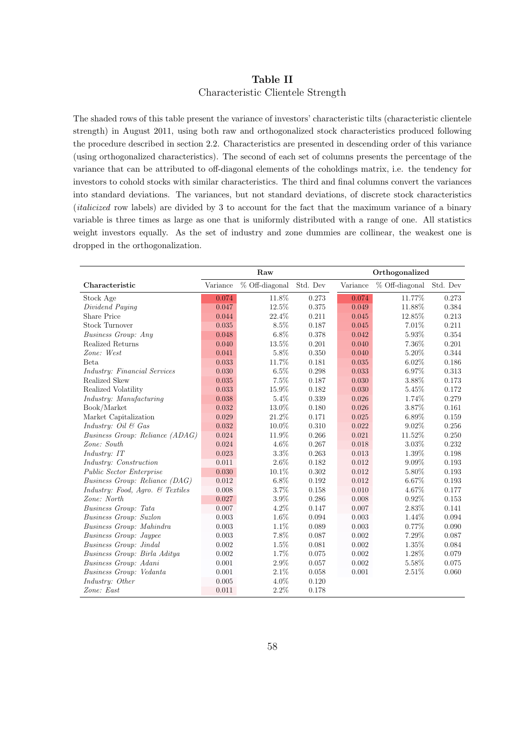### Table II Characteristic Clientele Strength

The shaded rows of this table present the variance of investors' characteristic tilts (characteristic clientele strength) in August 2011, using both raw and orthogonalized stock characteristics produced following the procedure described in section 2.2. Characteristics are presented in descending order of this variance (using orthogonalized characteristics). The second of each set of columns presents the percentage of the variance that can be attributed to off-diagonal elements of the coholdings matrix, i.e. the tendency for investors to cohold stocks with similar characteristics. The third and final columns convert the variances into standard deviations. The variances, but not standard deviations, of discrete stock characteristics (italicized row labels) are divided by 3 to account for the fact that the maximum variance of a binary variable is three times as large as one that is uniformly distributed with a range of one. All statistics weight investors equally. As the set of industry and zone dummies are collinear, the weakest one is dropped in the orthogonalization.

|                                              |           | Raw            |          | Orthogonalized |                |          |  |
|----------------------------------------------|-----------|----------------|----------|----------------|----------------|----------|--|
| Characteristic                               | Variance  | % Off-diagonal | Std. Dev | Variance       | % Off-diagonal | Std. Dev |  |
| Stock Age                                    | 0.074     | 11.8%          | 0.273    | 0.074          | 11.77%         | 0.273    |  |
| Dividend Paying                              | 0.047     | 12.5%          | 0.375    | 0.049          | 11.88%         | 0.384    |  |
| <b>Share Price</b>                           | 0.044     | 22.4%          | 0.211    | 0.045          | 12.85%         | 0.213    |  |
| <b>Stock Turnover</b>                        | 0.035     | 8.5%           | 0.187    | 0.045          | 7.01%          | 0.211    |  |
| Business Group: Any                          | 0.048     | $6.8\%$        | 0.378    | 0.042          | 5.93%          | 0.354    |  |
| Realized Returns                             | 0.040     | 13.5%          | 0.201    | 0.040          | 7.36%          | 0.201    |  |
| Zone: West                                   | 0.041     | 5.8%           | 0.350    | 0.040          | 5.20%          | 0.344    |  |
| Beta                                         | 0.033     | 11.7%          | 0.181    | 0.035          | 6.02%          | 0.186    |  |
| <i>Industry: Financial Services</i>          | 0.030     | 6.5%           | 0.298    | 0.033          | 6.97%          | 0.313    |  |
| Realized Skew                                | 0.035     | 7.5%           | 0.187    | 0.030          | 3.88%          | 0.173    |  |
| Realized Volatility                          | 0.033     | 15.9%          | 0.182    | 0.030          | 5.45%          | 0.172    |  |
| <i>Industry: Manufacturing</i>               | 0.038     | 5.4%           | 0.339    | 0.026          | 1.74%          | 0.279    |  |
| Book/Market                                  | 0.032     | 13.0%          | 0.180    | 0.026          | 3.87%          | 0.161    |  |
| Market Capitalization                        | 0.029     | 21.2%          | 0.171    | 0.025          | 6.89%          | 0.159    |  |
| Industry: Oil $\mathcal{B}$ Gas              | 0.032     | 10.0%          | 0.310    | 0.022          | 9.02%          | 0.256    |  |
| Business Group: Reliance (ADAG)              | 0.024     | 11.9%          | 0.266    | 0.021          | 11.52%         | 0.250    |  |
| Zone: South                                  | 0.024     | 4.6%           | 0.267    | 0.018          | 3.03%          | 0.232    |  |
| Industry: IT                                 | 0.023     | 3.3%           | 0.263    | 0.013          | 1.39%          | 0.198    |  |
| Industry: Construction                       | 0.011     | 2.6%           | 0.182    | 0.012          | 9.09%          | 0.193    |  |
| Public Sector Enterprise                     | 0.030     | 10.1%          | 0.302    | 0.012          | 5.80%          | 0.193    |  |
| <i>Business Group: Reliance (DAG)</i>        | 0.012     | 6.8%           | 0.192    | 0.012          | 6.67%          | 0.193    |  |
| Industry: Food, Agro. $\mathcal{B}$ Textiles | 0.008     | 3.7%           | 0.158    | 0.010          | 4.67%          | 0.177    |  |
| Zone: North                                  | 0.027     | 3.9%           | 0.286    | 0.008          | 0.92%          | 0.153    |  |
| Business Group: Tata                         | 0.007     | 4.2%           | 0.147    | 0.007          | 2.83%          | 0.141    |  |
| Business Group: Suzlon                       | 0.003     | 1.6%           | 0.094    | 0.003          | 1.44%          | 0.094    |  |
| Business Group: Mahindra                     | 0.003     | 1.1%           | 0.089    | 0.003          | 0.77%          | 0.090    |  |
| Business Group: Jaypee                       | 0.003     | 7.8%           | 0.087    | 0.002          | 7.29%          | 0.087    |  |
| Business Group: Jindal                       | 0.002     | $1.5\%$        | 0.081    | 0.002          | 1.35%          | 0.084    |  |
| Business Group: Birla Aditya                 | 0.002     | 1.7%           | 0.075    | 0.002          | 1.28%          | 0.079    |  |
| Business Group: Adani                        | 0.001     | 2.9%           | 0.057    | 0.002          | 5.58%          | 0.075    |  |
| Business Group: Vedanta                      | 0.001     | 2.1%           | 0.058    | 0.001          | 2.51%          | 0.060    |  |
| Industry: Other                              | $0.005\,$ | 4.0%           | 0.120    |                |                |          |  |
| Zone: East                                   | 0.011     | 2.2%           | 0.178    |                |                |          |  |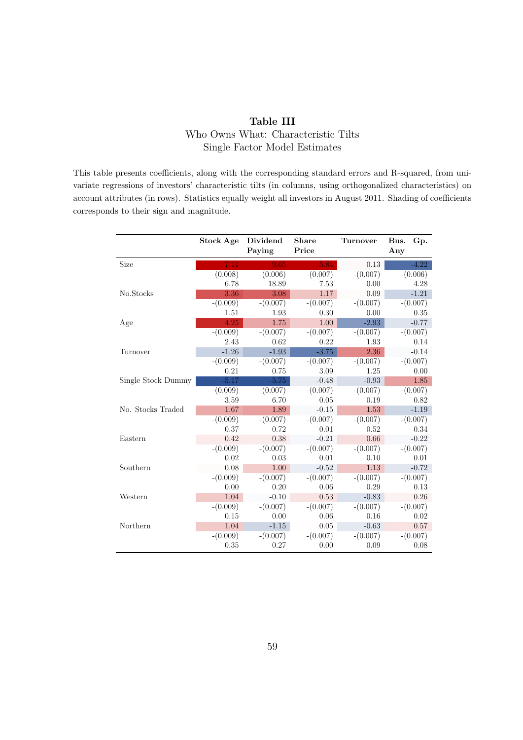## Table III Who Owns What: Characteristic Tilts Single Factor Model Estimates

This table presents coefficients, along with the corresponding standard errors and R-squared, from univariate regressions of investors' characteristic tilts (in columns, using orthogonalized characteristics) on account attributes (in rows). Statistics equally weight all investors in August 2011. Shading of coefficients corresponds to their sign and magnitude.

|                    | Stock Age  | Dividend<br>Paying | <b>Share</b><br>Price | <b>Turnover</b> | Bus.<br>Gp.<br>Any |
|--------------------|------------|--------------------|-----------------------|-----------------|--------------------|
| Size               | 7.11       | 9.65               | 5.84                  | 0.13            | $-4.22$            |
|                    | $-(0.008)$ | $-(0.006)$         | $-(0.007)$            | $-(0.007)$      | $-(0.006)$         |
|                    | 6.78       | 18.89              | 7.53                  | 0.00            | 4.28               |
| No.Stocks          | 3.36       | 3.08               | 1.17                  | 0.09            | $-1.21$            |
|                    | $-(0.009)$ | $-(0.007)$         | $-(0.007)$            | $-(0.007)$      | $-(0.007)$         |
|                    | 1.51       | 1.93               | 0.30                  | 0.00            | 0.35               |
| Age                | 4.25       | 1.75               | 1.00                  | $-2.93$         | $-0.77$            |
|                    | $-(0.009)$ | $-(0.007)$         | $-(0.007)$            | $-(0.007)$      | $-(0.007)$         |
|                    | 2.43       | 0.62               | 0.22                  | 1.93            | 0.14               |
| Turnover           | $-1.26$    | $-1.93$            | $-3.75$               | 2.36            | $-0.14$            |
|                    | $-(0.009)$ | $-(0.007)$         | $-(0.007)$            | $-(0.007)$      | $-(0.007)$         |
|                    | 0.21       | 0.75               | 3.09                  | 1.25            | 0.00               |
| Single Stock Dummy | $-5.17$    | $-5.75$            | $-0.48$               | $-0.93$         | 1.85               |
|                    | $-(0.009)$ | $-(0.007)$         | $-(0.007)$            | $-(0.007)$      | $-(0.007)$         |
|                    | 3.59       | 6.70               | 0.05                  | 0.19            | 0.82               |
| No. Stocks Traded  | 1.67       | 1.89               | $-0.15$               | 1.53            | $-1.19$            |
|                    | $-(0.009)$ | $-(0.007)$         | $-(0.007)$            | $-(0.007)$      | $-(0.007)$         |
|                    | 0.37       | 0.72               | 0.01                  | 0.52            | 0.34               |
| Eastern            | 0.42       | 0.38               | $-0.21$               | 0.66            | $-0.22$            |
|                    | $-(0.009)$ | $-(0.007)$         | $-(0.007)$            | $-(0.007)$      | $-(0.007)$         |
|                    | 0.02       | 0.03               | 0.01                  | 0.10            | 0.01               |
| Southern           | 0.08       | 1.00               | $-0.52$               | 1.13            | $-0.72$            |
|                    | $-(0.009)$ | $-(0.007)$         | $-(0.007)$            | $-(0.007)$      | $-(0.007)$         |
|                    | 0.00       | 0.20               | 0.06                  | 0.29            | 0.13               |
| Western            | 1.04       | $-0.10$            | 0.53                  | $-0.83$         | 0.26               |
|                    | $-(0.009)$ | $-(0.007)$         | $-(0.007)$            | $-(0.007)$      | $-(0.007)$         |
|                    | 0.15       | 0.00               | 0.06                  | 0.16            | 0.02               |
| Northern           | 1.04       | $-1.15$            | 0.05                  | $-0.63$         | 0.57               |
|                    | $-(0.009)$ | $-(0.007)$         | $-(0.007)$            | $-(0.007)$      | $-(0.007)$         |
|                    | 0.35       | 0.27               | 0.00                  | 0.09            | 0.08               |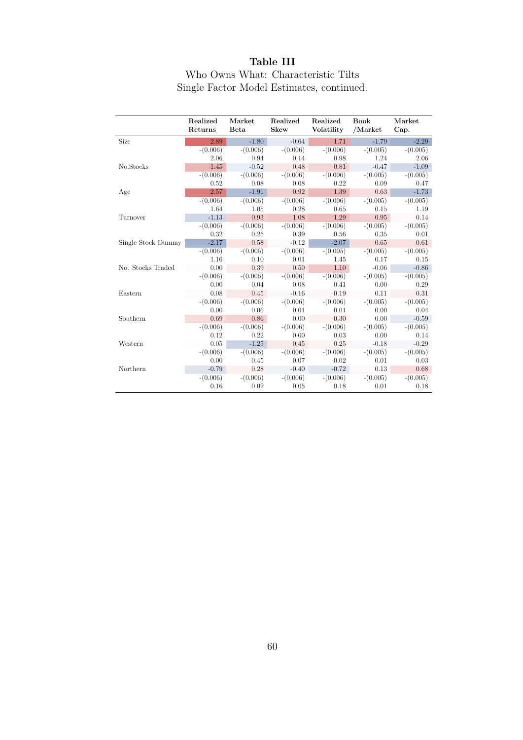## Table III

## Who Owns What: Characteristic Tilts Single Factor Model Estimates, continued.

|                    | Realized<br>Returns | Market<br><b>Beta</b> | Realized<br><b>Skew</b> | Realized<br>Volatility | <b>Book</b><br>/Market | Market<br>Cap. |
|--------------------|---------------------|-----------------------|-------------------------|------------------------|------------------------|----------------|
| Size               | 2.89                | $-1.80$               | $-0.64$                 | 1.71                   | $-1.79$                | $-2.29$        |
|                    | $-(0.006)$          | $-(0.006)$            | $-(0.006)$              | $-(0.006)$             | $-(0.005)$             | $-(0.005)$     |
|                    | 2.06                | 0.94                  | 0.14                    | 0.98                   | 1.24                   | 2.06           |
| No.Stocks          | 1.45                | $-0.52$               | 0.48                    | 0.81                   | $-0.47$                | $-1.09$        |
|                    | $-(0.006)$          | $-(0.006)$            | $-(0.006)$              | $-(0.006)$             | $-(0.005)$             | $-(0.005)$     |
|                    | 0.52                | 0.08                  | 0.08                    | 0.22                   | 0.09                   | 0.47           |
| Age                | 2.57                | $-1.91$               | 0.92                    | 1.39                   | 0.63                   | $-1.73$        |
|                    | $-(0.006)$          | $-(0.006)$            | $-(0.006)$              | $-(0.006)$             | $-(0.005)$             | $-(0.005)$     |
|                    | 1.64                | 1.05                  | 0.28                    | 0.65                   | 0.15                   | 1.19           |
| Turnover           | $-1.13$             | 0.93                  | 1.08                    | 1.29                   | 0.95                   | 0.14           |
|                    | $-(0.006)$          | $-(0.006)$            | $-(0.006)$              | $-(0.006)$             | $-(0.005)$             | $-(0.005)$     |
|                    | 0.32                | 0.25                  | 0.39                    | 0.56                   | 0.35                   | 0.01           |
| Single Stock Dummy | $-2.17$             | 0.58                  | $-0.12$                 | $-2.07$                | 0.65                   | 0.61           |
|                    | $-(0.006)$          | $-(0.006)$            | $-(0.006)$              | $-(0.005)$             | $-(0.005)$             | $-(0.005)$     |
|                    | 1.16                | 0.10                  | 0.01                    | 1.45                   | 0.17                   | 0.15           |
| No. Stocks Traded  | 0.00                | 0.39                  | 0.50                    | 1.10                   | $-0.06$                | $-0.86$        |
|                    | $-(0.006)$          | $-(0.006)$            | $-(0.006)$              | $-(0.006)$             | $-(0.005)$             | $-(0.005)$     |
|                    | 0.00                | 0.04                  | 0.08                    | 0.41                   | 0.00                   | 0.29           |
| Eastern            | 0.08                | 0.45                  | $-0.16$                 | 0.19                   | 0.11                   | 0.31           |
|                    | $-(0.006)$          | $-(0.006)$            | $-(0.006)$              | $-(0.006)$             | $-(0.005)$             | $-(0.005)$     |
|                    | 0.00                | 0.06                  | 0.01                    | 0.01                   | 0.00                   | 0.04           |
| Southern           | 0.69                | 0.86                  | 0.00                    | 0.30                   | 0.00                   | $-0.59$        |
|                    | $-(0.006)$          | $-(0.006)$            | $-(0.006)$              | $-(0.006)$             | $-(0.005)$             | $-(0.005)$     |
|                    | 0.12                | 0.22                  | 0.00                    | 0.03                   | 0.00                   | 0.14           |
| Western            | 0.05                | $-1.25$               | 0.45                    | 0.25                   | $-0.18$                | $-0.29$        |
|                    | $-(0.006)$          | $-(0.006)$            | $-(0.006)$              | $-(0.006)$             | $-(0.005)$             | $-(0.005)$     |
|                    | 0.00                | 0.45                  | 0.07                    | 0.02                   | 0.01                   | 0.03           |
| Northern           | $-0.79$             | 0.28                  | $-0.40$                 | $-0.72$                | 0.13                   | 0.68           |
|                    | $-(0.006)$          | $-(0.006)$            | $-(0.006)$              | $-(0.006)$             | $-(0.005)$             | $-(0.005)$     |
|                    | 0.16                | 0.02                  | 0.05                    | 0.18                   | 0.01                   | 0.18           |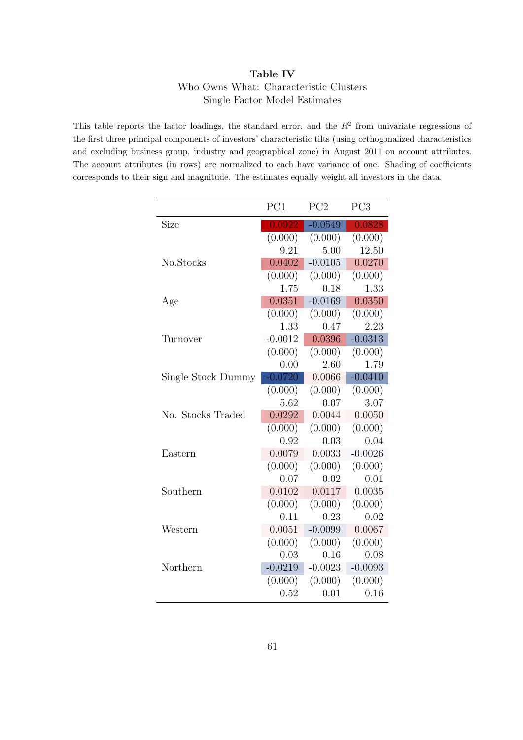## Table IV Who Owns What: Characteristic Clusters Single Factor Model Estimates

This table reports the factor loadings, the standard error, and the  $R<sup>2</sup>$  from univariate regressions of the first three principal components of investors' characteristic tilts (using orthogonalized characteristics and excluding business group, industry and geographical zone) in August 2011 on account attributes. The account attributes (in rows) are normalized to each have variance of one. Shading of coefficients corresponds to their sign and magnitude. The estimates equally weight all investors in the data.

|                    | PC1       | PC2       | PC <sub>3</sub> |
|--------------------|-----------|-----------|-----------------|
| Size               | 0.0922    | $-0.0549$ | 0.0828          |
|                    | (0.000)   | (0.000)   | (0.000)         |
|                    | 9.21      | 5.00      | 12.50           |
| No.Stocks          | 0.0402    | $-0.0105$ | 0.0270          |
|                    | (0.000)   | (0.000)   | (0.000)         |
|                    | 1.75      | 0.18      | 1.33            |
| Age                | 0.0351    | $-0.0169$ | 0.0350          |
|                    | (0.000)   | (0.000)   | (0.000)         |
|                    | 1.33      | 0.47      | 2.23            |
| Turnover           | $-0.0012$ | 0.0396    | $-0.0313$       |
|                    | (0.000)   | (0.000)   | (0.000)         |
|                    | 0.00      | 2.60      | 1.79            |
| Single Stock Dummy | $-0.0720$ | 0.0066    | $-0.0410$       |
|                    | (0.000)   | (0.000)   | (0.000)         |
|                    | 5.62      | 0.07      | 3.07            |
| No. Stocks Traded  | 0.0292    | 0.0044    | 0.0050          |
|                    | (0.000)   | (0.000)   | (0.000)         |
|                    | 0.92      | 0.03      | 0.04            |
| Eastern            | 0.0079    | 0.0033    | $-0.0026$       |
|                    | (0.000)   | (0.000)   | (0.000)         |
|                    | 0.07      | 0.02      | 0.01            |
| Southern           | 0.0102    | 0.0117    | 0.0035          |
|                    | (0.000)   | (0.000)   | (0.000)         |
|                    | 0.11      | 0.23      | 0.02            |
| Western            | 0.0051    | $-0.0099$ | 0.0067          |
|                    | (0.000)   | (0.000)   | (0.000)         |
|                    | 0.03      | 0.16      | 0.08            |
| Northern           | $-0.0219$ | $-0.0023$ | $-0.0093$       |
|                    | (0.000)   | (0.000)   | (0.000)         |
|                    | 0.52      | 0.01      | 0.16            |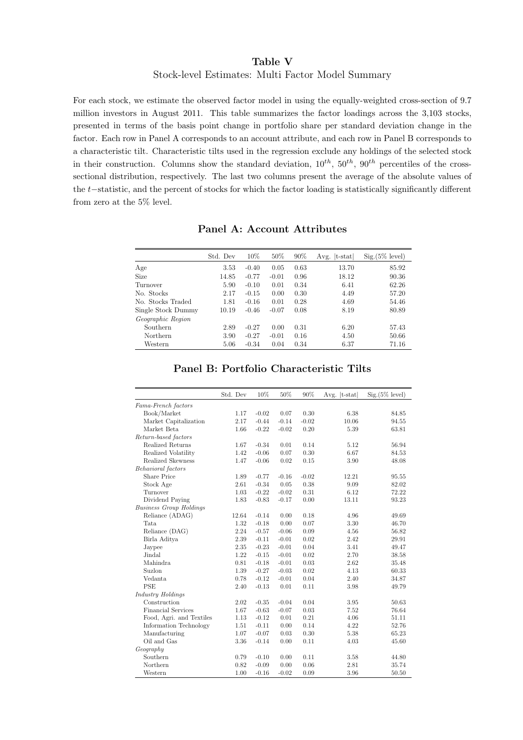### Table V Stock-level Estimates: Multi Factor Model Summary

For each stock, we estimate the observed factor model in using the equally-weighted cross-section of 9.7 million investors in August 2011. This table summarizes the factor loadings across the 3,103 stocks, presented in terms of the basis point change in portfolio share per standard deviation change in the factor. Each row in Panel A corresponds to an account attribute, and each row in Panel B corresponds to a characteristic tilt. Characteristic tilts used in the regression exclude any holdings of the selected stock in their construction. Columns show the standard deviation,  $10^{th}$ ,  $50^{th}$ ,  $90^{th}$  percentiles of the crosssectional distribution, respectively. The last two columns present the average of the absolute values of the t−statistic, and the percent of stocks for which the factor loading is statistically significantly different from zero at the 5% level.

|                    | Std. Dev | 10%     | 50%     | 90%  | Avg.<br>$ t - stat $ | $Sig.(5\%$ level) |
|--------------------|----------|---------|---------|------|----------------------|-------------------|
| Age                | 3.53     | $-0.40$ | 0.05    | 0.63 | 13.70                | 85.92             |
| <b>Size</b>        | 14.85    | $-0.77$ | $-0.01$ | 0.96 | 18.12                | 90.36             |
| Turnover           | 5.90     | $-0.10$ | 0.01    | 0.34 | 6.41                 | 62.26             |
| No. Stocks         | 2.17     | $-0.15$ | 0.00    | 0.30 | 4.49                 | 57.20             |
| No. Stocks Traded  | 1.81     | $-0.16$ | 0.01    | 0.28 | 4.69                 | 54.46             |
| Single Stock Dummy | 10.19    | $-0.46$ | $-0.07$ | 0.08 | 8.19                 | 80.89             |
| Geographic Region  |          |         |         |      |                      |                   |
| Southern           | 2.89     | $-0.27$ | 0.00    | 0.31 | 6.20                 | 57.43             |
| Northern           | 3.90     | $-0.27$ | $-0.01$ | 0.16 | 4.50                 | 50.66             |
| Western            | 5.06     | $-0.34$ | 0.04    | 0.34 | 6.37                 | 71.16             |

|                                | Std. Dev | 10%     | 50%     | 90%     | Avg. $ t\text{-stat} $ | $Sig.(5\%$ level) |
|--------------------------------|----------|---------|---------|---------|------------------------|-------------------|
| Fama-French factors            |          |         |         |         |                        |                   |
| Book/Market                    | 1.17     | $-0.02$ | 0.07    | 0.30    | 6.38                   | 84.85             |
| Market Capitalization          | 2.17     | $-0.44$ | $-0.14$ | $-0.02$ | 10.06                  | 94.55             |
| Market Beta                    | 1.66     | $-0.22$ | $-0.02$ | 0.20    | 5.39                   | 63.81             |
| Return-based factors           |          |         |         |         |                        |                   |
| Realized Returns               | 1.67     | $-0.34$ | 0.01    | 0.14    | 5.12                   | 56.94             |
| Realized Volatility            | 1.42     | $-0.06$ | 0.07    | 0.30    | 6.67                   | 84.53             |
| Realized Skewness              | 1.47     | $-0.06$ | 0.02    | 0.15    | 3.90                   | 48.08             |
| <b>Behavioral</b> factors      |          |         |         |         |                        |                   |
| Share Price                    | 1.89     | $-0.77$ | $-0.16$ | $-0.02$ | 12.21                  | 95.55             |
| Stock Age                      | 2.61     | $-0.34$ | 0.05    | 0.38    | 9.09                   | 82.02             |
| Turnover                       | 1.03     | $-0.22$ | $-0.02$ | 0.31    | 6.12                   | 72.22             |
| Dividend Paying                | 1.83     | $-0.83$ | $-0.17$ | 0.00    | 13.11                  | 93.23             |
| <b>Business Group Holdings</b> |          |         |         |         |                        |                   |
| Reliance (ADAG)                | 12.64    | $-0.14$ | 0.00    | 0.18    | 4.96                   | 49.69             |
| Tata                           | 1.32     | $-0.18$ | 0.00    | 0.07    | 3.30                   | 46.70             |
| Reliance (DAG)                 | 2.24     | $-0.57$ | $-0.06$ | 0.09    | 4.56                   | 56.82             |
| Birla Aditya                   | 2.39     | $-0.11$ | $-0.01$ | 0.02    | 2.42                   | 29.91             |
| Jaypee                         | 2.35     | $-0.23$ | $-0.01$ | 0.04    | 3.41                   | 49.47             |
| Jindal                         | 1.22     | $-0.15$ | $-0.01$ | 0.02    | 2.70                   | 38.58             |
| Mahindra                       | 0.81     | $-0.18$ | $-0.01$ | 0.03    | 2.62                   | 35.48             |
| Suzlon                         | 1.39     | $-0.27$ | $-0.03$ | 0.02    | 4.13                   | 60.33             |
| Vedanta                        | 0.78     | $-0.12$ | $-0.01$ | 0.04    | 2.40                   | 34.87             |
| <b>PSE</b>                     | 2.40     | $-0.13$ | 0.01    | 0.11    | 3.98                   | 49.79             |
| Industry Holdings              |          |         |         |         |                        |                   |
| Construction                   | 2.02     | $-0.35$ | $-0.04$ | 0.04    | 3.95                   | 50.63             |
| <b>Financial Services</b>      | 1.67     | $-0.63$ | $-0.07$ | 0.03    | 7.52                   | 76.64             |
| Food, Agri. and Textiles       | 1.13     | $-0.12$ | 0.01    | 0.21    | 4.06                   | 51.11             |
| Information Technology         | 1.51     | $-0.11$ | 0.00    | 0.14    | 4.22                   | 52.76             |
| Manufacturing                  | 1.07     | $-0.07$ | 0.03    | 0.30    | 5.38                   | 65.23             |
| Oil and Gas                    | 3.36     | $-0.14$ | 0.00    | 0.11    | 4.03                   | 45.60             |
| Geography                      |          |         |         |         |                        |                   |
| Southern                       | 0.79     | $-0.10$ | 0.00    | 0.11    | 3.58                   | 44.80             |
| Northern                       | 0.82     | $-0.09$ | 0.00    | 0.06    | 2.81                   | 35.74             |
| Western                        | 1.00     | $-0.16$ | $-0.02$ | 0.09    | 3.96                   | 50.50             |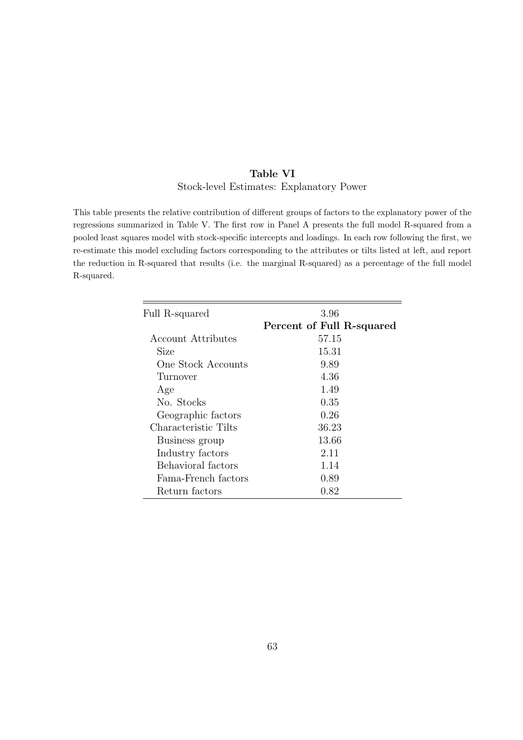## Table VI Stock-level Estimates: Explanatory Power

This table presents the relative contribution of different groups of factors to the explanatory power of the regressions summarized in Table V. The first row in Panel A presents the full model R-squared from a pooled least squares model with stock-specific intercepts and loadings. In each row following the first, we re-estimate this model excluding factors corresponding to the attributes or tilts listed at left, and report the reduction in R-squared that results (i.e. the marginal R-squared) as a percentage of the full model R-squared.

| 3.96                      |
|---------------------------|
| Percent of Full R-squared |
| 57.15                     |
| 15.31                     |
| 9.89                      |
| 4.36                      |
| 1.49                      |
| 0.35                      |
| 0.26                      |
| 36.23                     |
| 13.66                     |
| 2.11                      |
| 1.14                      |
| 0.89                      |
| 0.82                      |
|                           |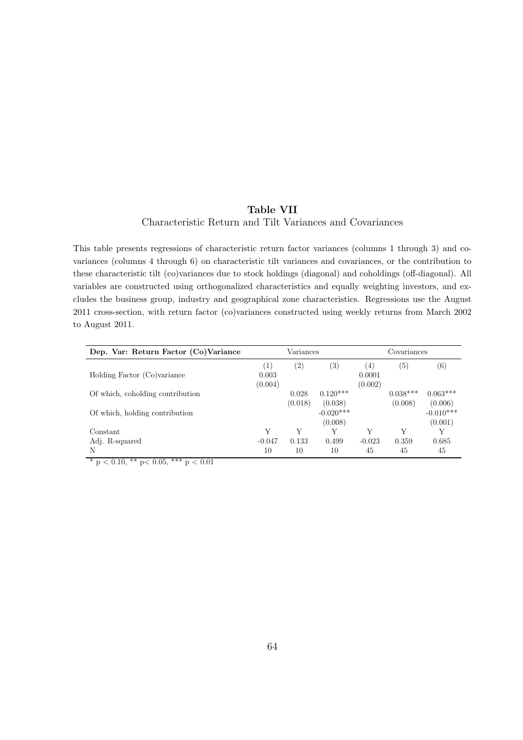### Table VII Characteristic Return and Tilt Variances and Covariances

This table presents regressions of characteristic return factor variances (columns 1 through 3) and covariances (columns 4 through 6) on characteristic tilt variances and covariances, or the contribution to these characteristic tilt (co)variances due to stock holdings (diagonal) and coholdings (off-diagonal). All variables are constructed using orthogonalized characteristics and equally weighting investors, and excludes the business group, industry and geographical zone characteristics. Regressions use the August 2011 cross-section, with return factor (co)variances constructed using weekly returns from March 2002 to August 2011.

| Dep. Var: Return Factor (Co)Variance |                  | Variances |                                   | Covariances       |                   |                                   |  |
|--------------------------------------|------------------|-----------|-----------------------------------|-------------------|-------------------|-----------------------------------|--|
|                                      | $\left(1\right)$ | (2)       | $\left( 3\right)$                 | $\left(4\right)$  | $\left( 5\right)$ | (6)                               |  |
| Holding Factor (Co)variance          | 0.003<br>(0.004) |           |                                   | 0.0001<br>(0.002) |                   |                                   |  |
| Of which, coholding contribution     |                  | 0.028     | $0.120***$                        |                   | $0.038***$        | $0.063***$                        |  |
| Of which, holding contribution       |                  | (0.018)   | (0.038)<br>$-0.020***$<br>(0.008) |                   | (0.008)           | (0.006)<br>$-0.010***$<br>(0.001) |  |
| Constant                             | Y                | Y         | V                                 | Y                 | Y                 |                                   |  |
| Adj. R-squared                       | $-0.047$         | 0.133     | 0.499                             | $-0.023$          | 0.359             | 0.685                             |  |
| N                                    | 10               | 10        | 10                                | 45                | 45                | 45                                |  |

 $\frac{1}{\sqrt{2}}$   $\frac{1}{\sqrt{2}}$   $\frac{1}{\sqrt{2}}$   $\frac{1}{\sqrt{2}}$   $\frac{1}{\sqrt{2}}$   $\frac{1}{\sqrt{2}}$   $\frac{1}{\sqrt{2}}$   $\frac{1}{\sqrt{2}}$   $\frac{1}{\sqrt{2}}$   $\frac{1}{\sqrt{2}}$   $\frac{1}{\sqrt{2}}$   $\frac{1}{\sqrt{2}}$   $\frac{1}{\sqrt{2}}$   $\frac{1}{\sqrt{2}}$   $\frac{1}{\sqrt{2}}$   $\frac{1}{\sqrt{2}}$   $\frac{1}{\sqrt{2}}$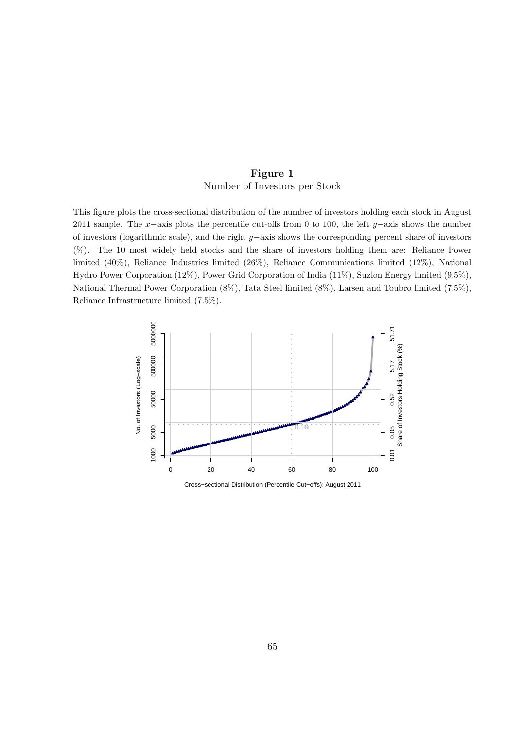## Figure 1 Number of Investors per Stock

This figure plots the cross-sectional distribution of the number of investors holding each stock in August 2011 sample. The x−axis plots the percentile cut-offs from 0 to 100, the left y–axis shows the number of investors (logarithmic scale), and the right y−axis shows the corresponding percent share of investors (%). The 10 most widely held stocks and the share of investors holding them are: Reliance Power limited (40%), Reliance Industries limited (26%), Reliance Communications limited (12%), National Hydro Power Corporation (12%), Power Grid Corporation of India (11%), Suzlon Energy limited (9.5%), National Thermal Power Corporation (8%), Tata Steel limited (8%), Larsen and Toubro limited (7.5%), Reliance Infrastructure limited (7.5%).



Cross−sectional Distribution (Percentile Cut−offs): August 2011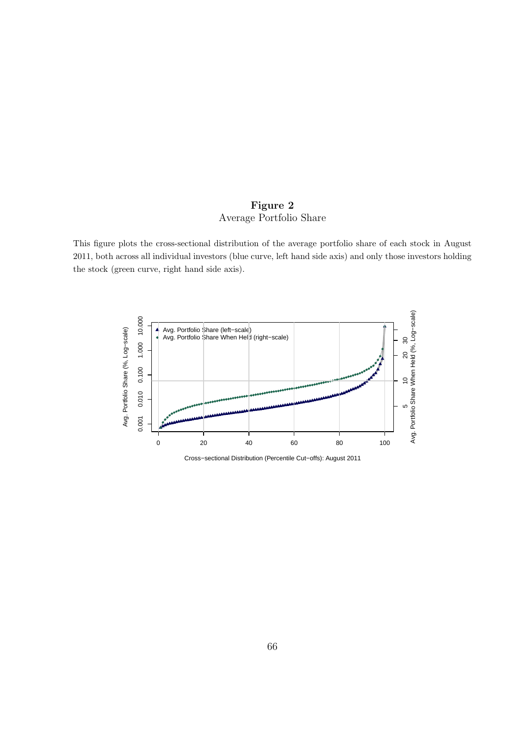## Figure 2 Average Portfolio Share

This figure plots the cross-sectional distribution of the average portfolio share of each stock in August 2011, both across all individual investors (blue curve, left hand side axis) and only those investors holding the stock (green curve, right hand side axis).



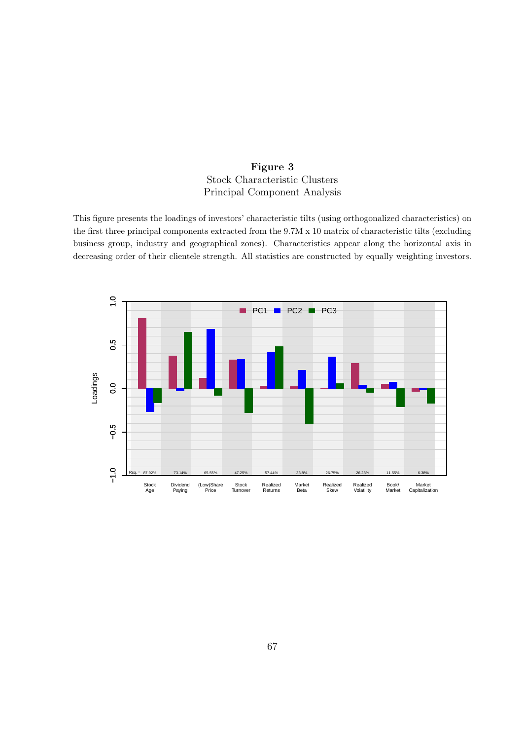## Figure 3 Stock Characteristic Clusters Principal Component Analysis

This figure presents the loadings of investors' characteristic tilts (using orthogonalized characteristics) on the first three principal components extracted from the 9.7M x 10 matrix of characteristic tilts (excluding business group, industry and geographical zones). Characteristics appear along the horizontal axis in decreasing order of their clientele strength. All statistics are constructed by equally weighting investors.

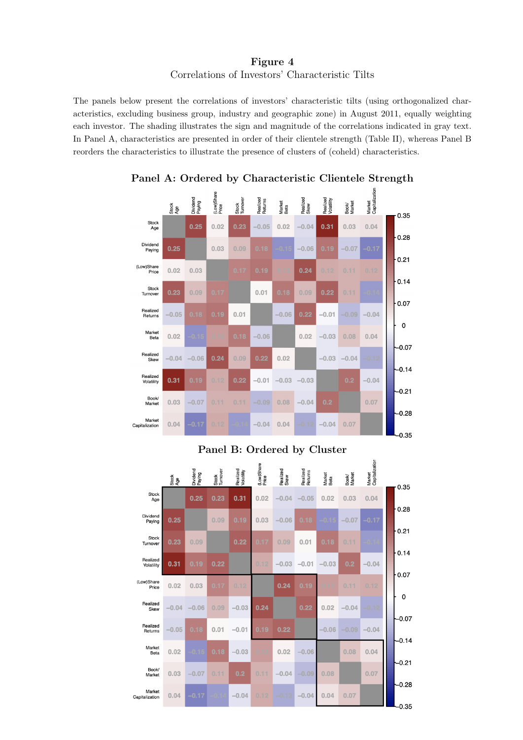Figure 4 Correlations of Investors' Characteristic Tilts

The panels below present the correlations of investors' characteristic tilts (using orthogonalized characteristics, excluding business group, industry and geographic zone) in August 2011, equally weighting each investor. The shading illustrates the sign and magnitude of the correlations indicated in gray text. In Panel A, characteristics are presented in order of their clientele strength (Table II), whereas Panel B reorders the characteristics to illustrate the presence of clusters of (coheld) characteristics.



## Panel A: Ordered by Characteristic Clientele Strength

Panel B: Ordered by Cluster

 $\overline{a}$ 

|                          | Stock<br>Age | Dividend<br>Paying | Stock<br>Turnover | Realized<br>Volatility | (Low)Share<br>Price | Realized<br>Skew | Realized<br>Returns | Market<br>Beta | Book/<br>Market | Market<br>Capitalizatio |         |
|--------------------------|--------------|--------------------|-------------------|------------------------|---------------------|------------------|---------------------|----------------|-----------------|-------------------------|---------|
| Stock<br>Age             |              | 0.25               | 0.23              | 0.31                   | 0.02                | $-0.04$          | $-0.05$             | 0.02           | 0.03            | 0.04                    | 0.35    |
| Dividend<br>Paying       | 0.25         |                    | 0.09              | 0.19                   | 0.03                | $-0.06$          | 0.18                |                | $-0.07$         | $-0.17$                 | 0.28    |
| Stock<br>Turnover        | 0.23         | 0.09               |                   | 0.22                   | 0.17                | 0.09             | 0.01                | 0.18           | 0.11            | $-0.14$                 | 0.21    |
| Realized<br>Volatility   | 0.31         | 0.19               | 0.22              |                        | 0.12                | $-0.03$          | $-0.01$             | $-0.03$        | 0.2             | $-0.04$                 | 0.14    |
| (Low)Share<br>Price      | 0.02         | 0.03               | 0.17              | 0.12                   |                     | 0.24             | 0.19                |                | 0.11            | 0.12                    | 0.07    |
| Realized<br>Skew         | $-0.04$      | $-0.06$            | 0.09              | $-0.03$                | 0.24                |                  | 0.22                | 0.02           | $-0.04$         | $-0.12$                 | 0       |
| Realized<br>Returns      | $-0.05$      | 0.18               | 0.01              | $-0.01$                | .19<br>0.           | 0.22             |                     | $-0.06$        | $-0.09$         | $-0.04$                 | $-0.07$ |
| Market<br>Beta           | 0.02         |                    | 0.18              | $-0.03$                | n 13                | 0.02             | $-0.06$             |                | 0.08            | 0.04                    | $-0.14$ |
| Book/<br>Market          | 0.03         | $-0.07$            | 0.11              | 0.2                    | 0.11                | $-0.04$          | $-0.09$             | 0.08           |                 | 0.07                    | $-0.21$ |
| Market<br>Capitalization | 0.04         | $-0.17$            |                   | $-0.04$                | 0.12                | $-0.12$          | $-0.04$             | 0.04           | 0.07            |                         | $-0.28$ |
|                          |              |                    |                   |                        |                     |                  |                     |                |                 |                         | $-0.35$ |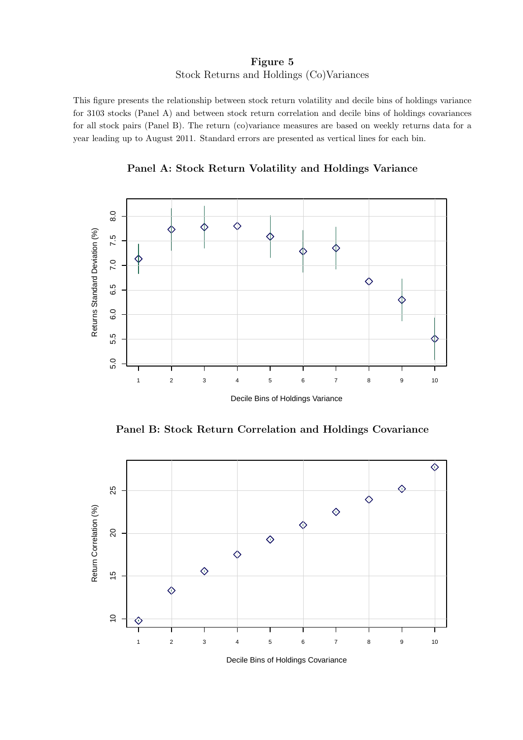### Figure 5 Stock Returns and Holdings (Co)Variances

This figure presents the relationship between stock return volatility and decile bins of holdings variance for 3103 stocks (Panel A) and between stock return correlation and decile bins of holdings covariances for all stock pairs (Panel B). The return (co)variance measures are based on weekly returns data for a year leading up to August 2011. Standard errors are presented as vertical lines for each bin.

Panel A: Stock Return Volatility and Holdings Variance



Panel B: Stock Return Correlation and Holdings Covariance



Decile Bins of Holdings Covariance